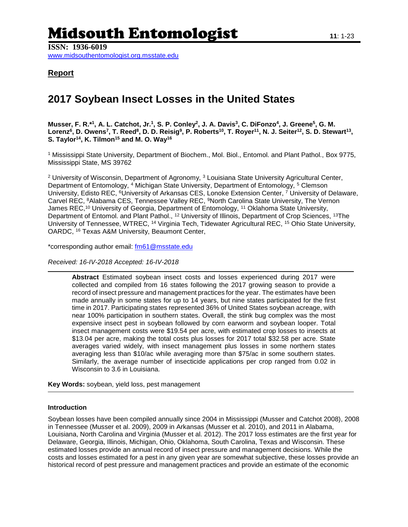# Midsouth Entomologist **<sup>11</sup>**: 1-23

**ISSN: 1936-6019** [www.midsouthentomologist.org.msstate.edu](http://www.midsouthentomologist.org.msstate.edu/) 

### **Report**

## **2017 Soybean Insect Losses in the United States**

Musser, F. R.\*<sup>1</sup>, A. L. Catchot, Jr.<sup>1</sup>, S. P. Conley<sup>2</sup>, J. A. Davis<sup>3</sup>, C. DiFonzo<sup>4</sup>, J. Greene<sup>5</sup>, G. M. Lorenz<sup>6</sup>, D. Owens<sup>7</sup>, T. Reed<sup>8</sup>, D. D. Reisig<sup>9</sup>, P. Roberts<sup>10</sup>, T. Royer<sup>11</sup>, N. J. Seiter<sup>12</sup>, S. D. Stewart<sup>13</sup>, **S. Taylor<sup>14</sup>, K. Tilmon<sup>15</sup> and M. O. Way<sup>16</sup>**

<sup>1</sup> Mississippi State University, Department of Biochem., Mol. Biol., Entomol. and Plant Pathol., Box 9775, Mississippi State, MS 39762

<sup>2</sup> University of Wisconsin, Department of Agronomy, <sup>3</sup> Louisiana State University Agricultural Center, Department of Entomology, <sup>4</sup> Michigan State University, Department of Entomology, <sup>5</sup> Clemson University, Edisto REC, <sup>6</sup>University of Arkansas CES, Lonoke Extension Center, <sup>7</sup> University of Delaware, Carvel REC, <sup>8</sup>Alabama CES, Tennessee Valley REC, <sup>9</sup>North Carolina State University, The Vernon James REC,<sup>10</sup> University of Georgia, Department of Entomology, <sup>11</sup> Oklahoma State University, Department of Entomol. and Plant Pathol., <sup>12</sup> University of Illinois, Department of Crop Sciences, <sup>13</sup>The University of Tennessee, WTREC, <sup>14</sup> Virginia Tech, Tidewater Agricultural REC, <sup>15</sup> Ohio State University, OARDC, <sup>16</sup> Texas A&M University, Beaumont Center,

\*corresponding author email: [fm61@msstate.edu](mailto:fm61@msstate.edu)

*Received: 16-IV-2018 Accepted: 16-IV-2018*

**Abstract** Estimated soybean insect costs and losses experienced during 2017 were collected and compiled from 16 states following the 2017 growing season to provide a record of insect pressure and management practices for the year. The estimates have been made annually in some states for up to 14 years, but nine states participated for the first time in 2017. Participating states represented 36% of United States soybean acreage, with near 100% participation in southern states. Overall, the stink bug complex was the most expensive insect pest in soybean followed by corn earworm and soybean looper. Total insect management costs were \$19.54 per acre, with estimated crop losses to insects at \$13.04 per acre, making the total costs plus losses for 2017 total \$32.58 per acre. State averages varied widely, with insect management plus losses in some northern states averaging less than \$10/ac while averaging more than \$75/ac in some southern states. Similarly, the average number of insecticide applications per crop ranged from 0.02 in Wisconsin to 3.6 in Louisiana.

**Key Words:** soybean, yield loss, pest management

#### **Introduction**

Soybean losses have been compiled annually since 2004 in Mississippi (Musser and Catchot 2008), 2008 in Tennessee (Musser et al. 2009), 2009 in Arkansas (Musser et al. 2010), and 2011 in Alabama, Louisiana, North Carolina and Virginia (Musser et al. 2012). The 2017 loss estimates are the first year for Delaware, Georgia, Illinois, Michigan, Ohio, Oklahoma, South Carolina, Texas and Wisconsin. These estimated losses provide an annual record of insect pressure and management decisions. While the costs and losses estimated for a pest in any given year are somewhat subjective, these losses provide an historical record of pest pressure and management practices and provide an estimate of the economic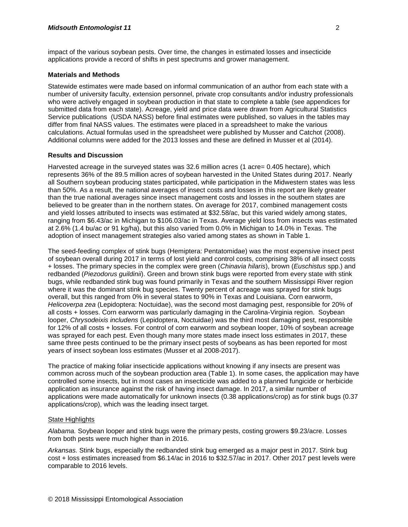impact of the various soybean pests. Over time, the changes in estimated losses and insecticide applications provide a record of shifts in pest spectrums and grower management.

#### **Materials and Methods**

Statewide estimates were made based on informal communication of an author from each state with a number of university faculty, extension personnel, private crop consultants and/or industry professionals who were actively engaged in soybean production in that state to complete a table (see appendices for submitted data from each state). Acreage, yield and price data were drawn from Agricultural Statistics Service publications (USDA NASS) before final estimates were published, so values in the tables may differ from final NASS values. The estimates were placed in a spreadsheet to make the various calculations. Actual formulas used in the spreadsheet were published by Musser and Catchot (2008). Additional columns were added for the 2013 losses and these are defined in Musser et al (2014).

#### **Results and Discussion**

Harvested acreage in the surveyed states was 32.6 million acres (1 acre= 0.405 hectare), which represents 36% of the 89.5 million acres of soybean harvested in the United States during 2017. Nearly all Southern soybean producing states participated, while participation in the Midwestern states was less than 50%. As a result, the national averages of insect costs and losses in this report are likely greater than the true national averages since insect management costs and losses in the southern states are believed to be greater than in the northern states. On average for 2017, combined management costs and yield losses attributed to insects was estimated at \$32.58/ac, but this varied widely among states, ranging from \$6.43/ac in Michigan to \$106.03/ac in Texas. Average yield loss from insects was estimated at 2.6% (1.4 bu/ac or 91 kg/ha), but this also varied from 0.0% in Michigan to 14.0% in Texas. The adoption of insect management strategies also varied among states as shown in Table 1.

The seed-feeding complex of stink bugs (Hemiptera: Pentatomidae) was the most expensive insect pest of soybean overall during 2017 in terms of lost yield and control costs, comprising 38% of all insect costs + losses. The primary species in the complex were green (*Chinavia hilaris*), brown (*Euschistus* spp.) and redbanded (*Piezodorus guildinii*). Green and brown stink bugs were reported from every state with stink bugs, while redbanded stink bug was found primarily in Texas and the southern Mississippi River region where it was the dominant stink bug species. Twenty percent of acreage was sprayed for stink bugs overall, but this ranged from 0% in several states to 90% in Texas and Louisiana. Corn earworm, *Helicoverpa zea* (Lepidoptera: Noctuidae), was the second most damaging pest, responsible for 20% of all costs + losses. Corn earworm was particularly damaging in the Carolina-Virginia region. Soybean looper, *Chrysodeixis includens* (Lepidoptera, Noctuidae) was the third most damaging pest, responsible for 12% of all costs + losses. For control of corn earworm and soybean looper, 10% of soybean acreage was sprayed for each pest. Even though many more states made insect loss estimates in 2017, these same three pests continued to be the primary insect pests of soybeans as has been reported for most years of insect soybean loss estimates (Musser et al 2008-2017).

The practice of making foliar insecticide applications without knowing if any insects are present was common across much of the soybean production area (Table 1). In some cases, the application may have controlled some insects, but in most cases an insecticide was added to a planned fungicide or herbicide application as insurance against the risk of having insect damage. In 2017, a similar number of applications were made automatically for unknown insects (0.38 applications/crop) as for stink bugs (0.37 applications/crop), which was the leading insect target.

#### State Highlights

*Alabama.* Soybean looper and stink bugs were the primary pests, costing growers \$9.23/acre. Losses from both pests were much higher than in 2016.

*Arkansas.* Stink bugs, especially the redbanded stink bug emerged as a major pest in 2017. Stink bug cost + loss estimates increased from \$6.14/ac in 2016 to \$32.57/ac in 2017. Other 2017 pest levels were comparable to 2016 levels.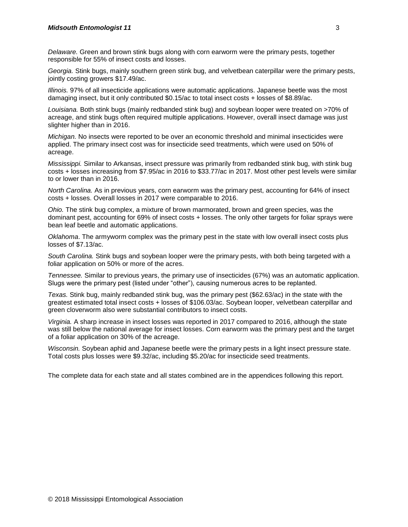*Delaware.* Green and brown stink bugs along with corn earworm were the primary pests, together responsible for 55% of insect costs and losses.

*Georgia.* Stink bugs, mainly southern green stink bug, and velvetbean caterpillar were the primary pests, jointly costing growers \$17.49/ac.

*Illinois.* 97% of all insecticide applications were automatic applications. Japanese beetle was the most damaging insect, but it only contributed \$0.15/ac to total insect costs + losses of \$8.89/ac.

*Louisiana.* Both stink bugs (mainly redbanded stink bug) and soybean looper were treated on >70% of acreage, and stink bugs often required multiple applications. However, overall insect damage was just slighter higher than in 2016.

*Michigan.* No insects were reported to be over an economic threshold and minimal insecticides were applied. The primary insect cost was for insecticide seed treatments, which were used on 50% of acreage.

*Mississippi.* Similar to Arkansas, insect pressure was primarily from redbanded stink bug, with stink bug costs + losses increasing from \$7.95/ac in 2016 to \$33.77/ac in 2017. Most other pest levels were similar to or lower than in 2016.

*North Carolina.* As in previous years, corn earworm was the primary pest, accounting for 64% of insect costs + losses. Overall losses in 2017 were comparable to 2016.

*Ohio.* The stink bug complex, a mixture of brown marmorated, brown and green species, was the dominant pest, accounting for 69% of insect costs + losses. The only other targets for foliar sprays were bean leaf beetle and automatic applications.

*Oklahoma*. The armyworm complex was the primary pest in the state with low overall insect costs plus losses of \$7.13/ac.

*South Carolina.* Stink bugs and soybean looper were the primary pests, with both being targeted with a foliar application on 50% or more of the acres.

*Tennessee.* Similar to previous years, the primary use of insecticides (67%) was an automatic application. Slugs were the primary pest (listed under "other"), causing numerous acres to be replanted.

*Texas.* Stink bug, mainly redbanded stink bug, was the primary pest (\$62.63/ac) in the state with the greatest estimated total insect costs + losses of \$106.03/ac. Soybean looper, velvetbean caterpillar and green cloverworm also were substantial contributors to insect costs.

*Virginia.* A sharp increase in insect losses was reported in 2017 compared to 2016, although the state was still below the national average for insect losses. Corn earworm was the primary pest and the target of a foliar application on 30% of the acreage.

*Wisconsin.* Soybean aphid and Japanese beetle were the primary pests in a light insect pressure state. Total costs plus losses were \$9.32/ac, including \$5.20/ac for insecticide seed treatments.

The complete data for each state and all states combined are in the appendices following this report.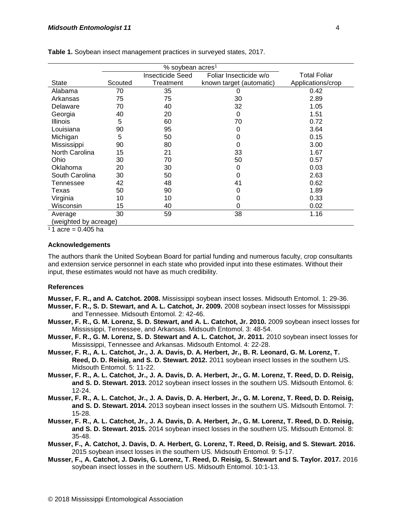|                       | % soybean acres <sup>1</sup><br>Total Foliar<br><b>Insecticide Seed</b><br>Foliar Insecticide w/o |           |                          |                   |  |  |  |  |  |  |  |  |  |
|-----------------------|---------------------------------------------------------------------------------------------------|-----------|--------------------------|-------------------|--|--|--|--|--|--|--|--|--|
|                       |                                                                                                   |           |                          |                   |  |  |  |  |  |  |  |  |  |
| <b>State</b>          | Scouted                                                                                           | Treatment | known target (automatic) | Applications/crop |  |  |  |  |  |  |  |  |  |
| Alabama               | 70                                                                                                | 35        | 0                        | 0.42              |  |  |  |  |  |  |  |  |  |
| Arkansas              | 75                                                                                                | 75        | 30                       | 2.89              |  |  |  |  |  |  |  |  |  |
| Delaware              | 70                                                                                                | 40        | 32                       | 1.05              |  |  |  |  |  |  |  |  |  |
| Georgia               | 40                                                                                                | 20        | 0                        | 1.51              |  |  |  |  |  |  |  |  |  |
| <b>Illinois</b>       | 5                                                                                                 | 60        | 70                       | 0.72              |  |  |  |  |  |  |  |  |  |
| Louisiana             | 90                                                                                                | 95        | 0                        | 3.64              |  |  |  |  |  |  |  |  |  |
| Michigan              | 5                                                                                                 | 50        | 0                        | 0.15              |  |  |  |  |  |  |  |  |  |
| Mississippi           | 90                                                                                                | 80        | 0                        | 3.00              |  |  |  |  |  |  |  |  |  |
| North Carolina        | 15                                                                                                | 21        | 33                       | 1.67              |  |  |  |  |  |  |  |  |  |
| Ohio                  | 30                                                                                                | 70        | 50                       | 0.57              |  |  |  |  |  |  |  |  |  |
| Oklahoma              | 20                                                                                                | 30        | 0                        | 0.03              |  |  |  |  |  |  |  |  |  |
| South Carolina        | 30                                                                                                | 50        | 0                        | 2.63              |  |  |  |  |  |  |  |  |  |
| Tennessee             | 42                                                                                                | 48        | 41                       | 0.62              |  |  |  |  |  |  |  |  |  |
| Texas                 | 50                                                                                                | 90        | 0                        | 1.89              |  |  |  |  |  |  |  |  |  |
| Virginia              | 10                                                                                                | 10        | 0                        | 0.33              |  |  |  |  |  |  |  |  |  |
| Wisconsin             | 15                                                                                                | 40        | 0                        | 0.02              |  |  |  |  |  |  |  |  |  |
| Average               | 30                                                                                                | 59        | 38                       | 1.16              |  |  |  |  |  |  |  |  |  |
| (weighted by acreage) |                                                                                                   |           |                          |                   |  |  |  |  |  |  |  |  |  |

**Table 1.** Soybean insect management practices in surveyed states, 2017.

 $11$  acre = 0.405 ha

#### **Acknowledgements**

The authors thank the United Soybean Board for partial funding and numerous faculty, crop consultants and extension service personnel in each state who provided input into these estimates. Without their input, these estimates would not have as much credibility.

#### **References**

**Musser, F. R., and A. Catchot. 2008.** Mississippi soybean insect losses. Midsouth Entomol. 1: 29-36.

- **Musser, F. R., S. D. Stewart, and A. L. Catchot, Jr. 2009.** 2008 soybean insect losses for Mississippi and Tennessee. Midsouth Entomol. 2: 42-46.
- **Musser, F. R., G. M. Lorenz, S. D. Stewart, and A. L. Catchot, Jr. 2010.** 2009 soybean insect losses for Mississippi, Tennessee, and Arkansas. Midsouth Entomol. 3: 48-54.
- **Musser, F. R., G. M. Lorenz, S. D. Stewart and A. L. Catchot, Jr. 2011.** 2010 soybean insect losses for Mississippi, Tennessee and Arkansas. Midsouth Entomol. 4: 22-28.
- **Musser, F. R., A. L. Catchot, Jr., J. A. Davis, D. A. Herbert, Jr., B. R. Leonard, G. M. Lorenz, T. Reed, D. D. Reisig, and S. D. Stewart. 2012.** 2011 soybean insect losses in the southern US. Midsouth Entomol. 5: 11-22.
- **Musser, F. R., A. L. Catchot, Jr., J. A. Davis, D. A. Herbert, Jr., G. M. Lorenz, T. Reed, D. D. Reisig, and S. D. Stewart. 2013.** 2012 soybean insect losses in the southern US. Midsouth Entomol. 6: 12-24.
- **Musser, F. R., A. L. Catchot, Jr., J. A. Davis, D. A. Herbert, Jr., G. M. Lorenz, T. Reed, D. D. Reisig, and S. D. Stewart. 2014.** 2013 soybean insect losses in the southern US. Midsouth Entomol. 7: 15-28.
- **Musser, F. R., A. L. Catchot, Jr., J. A. Davis, D. A. Herbert, Jr., G. M. Lorenz, T. Reed, D. D. Reisig, and S. D. Stewart. 2015.** 2014 soybean insect losses in the southern US. Midsouth Entomol. 8: 35-48.
- **Musser, F., A. Catchot, J. Davis, D. A. Herbert, G. Lorenz, T. Reed, D. Reisig, and S. Stewart. 2016.**  2015 soybean insect losses in the southern US. Midsouth Entomol. 9: 5-17.
- **Musser, F., A. Catchot, J. Davis, G. Lorenz, T. Reed, D. Reisig, S. Stewart and S. Taylor. 2017.** 2016 soybean insect losses in the southern US. Midsouth Entomol. 10:1-13.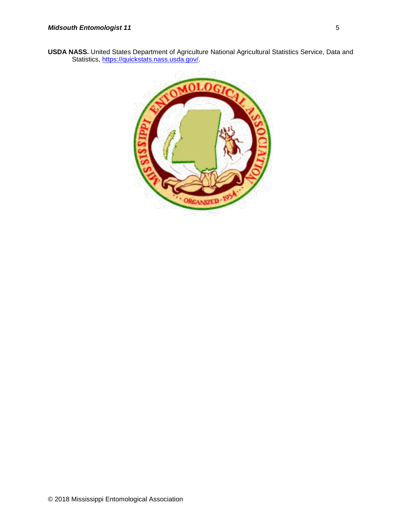**USDA NASS.** United States Department of Agriculture National Agricultural Statistics Service, Data and Statistics, https://quickstats.nass.usda.gov/

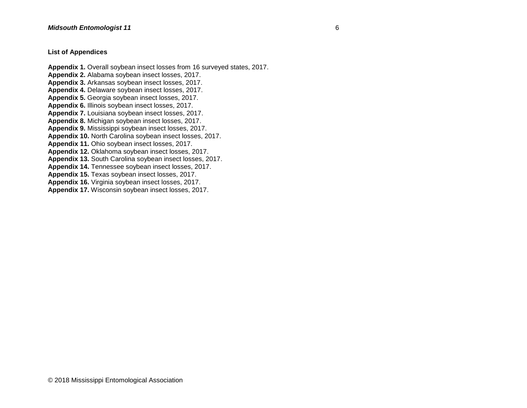#### **List of Appendices**

**Appendix 1.** Overall soybean insect losses from 16 surveyed states, 2017. **Appendix 2.** Alabama soybean insect losses, 2017. **Appendix 3.** Arkansas soybean insect losses, 2017. **Appendix 4.** Delaware soybean insect losses, 2017. **Appendix 5.** Georgia soybean insect losses, 2017. **Appendix 6.** Illinois soybean insect losses, 2017. **Appendix 7.** Louisiana soybean insect losses, 2017. **Appendix 8.** Michigan soybean insect losses, 2017. **Appendix 9.** Mississippi soybean insect losses, 2017. **Appendix 10.** North Carolina soybean insect losses, 2017. **Appendix 11.** Ohio soybean insect losses, 2017. **Appendix 12.** Oklahoma soybean insect losses, 2017. **Appendix 13.** South Carolina soybean insect losses, 2017. **Appendix 14.** Tennessee soybean insect losses, 2017. **Appendix 15.** Texas soybean insect losses, 2017. **Appendix 16.** Virginia soybean insect losses, 2017. **Appendix 17.** Wisconsin soybean insect losses, 2017.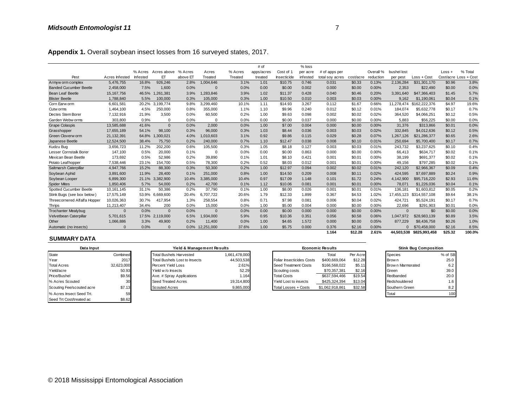|                               |                |          |             |          |            |         | # of       |             | % loss   |                 |           |           |             |                          |          |                       |
|-------------------------------|----------------|----------|-------------|----------|------------|---------|------------|-------------|----------|-----------------|-----------|-----------|-------------|--------------------------|----------|-----------------------|
|                               |                | % Acres  | Acres above | % Acres  | Acres      | % Acres | apps/acres | Cost of 1   | per acre | # of apps per   |           | Overall % | bushel lost |                          | $Loss +$ | % Total               |
| Pest                          | Acres Infested | Infested | EТ          | above ET | Treated    | Treated | treated    | Insecticide | infested | total soy acres | cost/acre | reduction | per pest    | Loss + Cost              |          | Cost/acre Loss + Cost |
| Armyw orm complex             | 5,476,755      | 16.8%    | 926,246     | 2.8%     | 1,004,646  | 3.1%    | 1.01       | \$10.75     | 0.746    | 0.031           | \$0.33    | 0.13%     | 2,136,284   | \$31,301,170             | \$0.96   | 3.8%                  |
| <b>Banded Cucumber Beetle</b> | 2,458,000      | 7.5%     | 1,600       | 0.0%     | $\Omega$   | 0.0%    | 0.00       | \$0.00      | 0.002    | 0.000           | \$0.00    | 0.00%     | 2,353       | \$22,490                 | \$0.00   | 0.0%                  |
| Bean Leaf Beetle              | 15, 167, 756   | 46.5%    | 1,261,381   | 3.9%     | ,283,846   | 3.9%    | 1.02       | \$11.37     | 0.428    | 0.040           | \$0.46    | 0.20%     | 3.391.640   | \$47,366,403             | \$1.45   | 5.7%                  |
| <b>Blister Beetle</b>         | 1,788,840      | 5.5%     | 100,000     | 0.3%     | 105,000    | 0.3%    | 1.00       | \$10.50     | 0.010    | 0.003           | \$0.03    | 0.00%     | 9,162       | \$1,190,061              | \$0.04   | 0.1%                  |
| Corn Earw orm                 | 6.601.581      | 20.2%    | 3.199.774   | 9.8%     | 3,299,460  | 10.1%   | 1.11       | \$14.93     | 3.267    | 0.112           | \$1.67    | 0.66%     | 11.278.474  | \$162,222,376            | \$4.97   | 19.6%                 |
| Cutw orms                     | 1.464.100      | 4.5%     | 250,000     | 0.8%     | 355,000    | 1.1%    | 1.10       | \$9.96      | 0.240    | 0.012           | \$0.12    | 0.01%     | 184,074     | \$5.632.778              | \$0.17   | 0.7%                  |
| Dectes Stem Borer             | 7,132,916      | 21.9%    | 3,500       | 0.0%     | 60,500     | 0.2%    | 1.00       | \$9.63      | 0.098    | 0.002           | \$0.02    | 0.02%     | 364,520     | \$4,066,251              | \$0.12   | 0.5%                  |
| Garden Webw orms              | 303,800        | 0.9%     | $\Omega$    | 0.0%     | $\Omega$   | 0.0%    | 0.00       | \$0.00      | 0.037    | 0.000           | \$0.00    | 0.00%     | 5,883       | \$56,225                 | \$0.00   | 0.0%                  |
| <b>Grape Colaspis</b>         | 13,585,688     | 41.6%    | $\Omega$    | 0.0%     | 2,000      | 0.0%    | 1.00       | \$7.00      | 0.004    | 0.000           | \$0.00    | 0.00%     | 31,376      | \$313,866                | \$0.01   | 0.0%                  |
| Grasshopper                   | 17,655,189     | 54.1%    | 98,100      | 0.3%     | 96,000     | 0.3%    | 1.03       | \$8.44      | 0.036    | 0.003           | \$0.03    | 0.02%     | 332,845     | \$4,012,636              | \$0.12   | 0.5%                  |
| Green Cloverw orm             | 21,132,391     | 64.8%    | 1,300,021   | 4.0%     | 010,603    | 3.1%    | 0.92       | \$9.86      | 0.115    | 0.029           | \$0.28    | 0.07%     | 1,267,126   | \$21,286,377             | \$0.65   | 2.6%                  |
| Japanese Beetle               | 12,524,500     | 38.4%    | 75,750      | 0.2%     | 240,000    | 0.7%    | 1.10       | \$12.47     | 0.038    | 0.008           | \$0.10    | 0.01%     | 250,694     | \$5,700,400              | \$0.17   | 0.7%                  |
| Kudzu Bug                     | 3,656,723      | 11.2%    | 202,200     | 0.6%     | 105,500    | 0.3%    | 1.05       | \$8.18      | 0.127    | 0.003           | \$0.03    | 0.01%     | 243,732     | \$3,237,625              | \$0.10   | 0.4%                  |
| Lesser Cornstalk Borer        | 147.100        | 0.5%     | 20,000      | 0.1%     | $\Omega$   | 0.0%    | 0.00       | \$0.00      | 0.863    | 0.000           | \$0.00    | 0.00%     | 66.413      | \$634.717                | \$0.02   | 0.1%                  |
| Mexican Bean Beetle           | 173,692        | 0.5%     | 52,986      | 0.2%     | 39,890     | 0.1%    | 1.01       | \$8.10      | 0.421    | 0.001           | \$0.01    | 0.00%     | 38,199      | \$691,377                | \$0.02   | 0.1%                  |
| Potato Leafhopper             | 7,538,446      | 23.1%    | 154,700     | 0.5%     | 78,300     | 0.2%    | 0.52       | \$8.03      | 0.012    | 0.001           | \$0.01    | 0.00%     | 49,156      | \$797,285                | \$0.02   | 0.1%                  |
| Saltmarsh Caterpillar         | 4,947,766      | 15.2%    | 88,300      | 0.3%     | 50,300     | 0.2%    | 1.00       | \$12.97     | 0.094    | 0.002           | \$0.02    | 0.01%     | 242,120     | \$2,966,367              | \$0.09   | 0.4%                  |
| Soybean Aphid                 | 3,891,600      | 11.9%    | 28.400      | 0.1%     | 251,000    | 0.8%    | 1.00       | \$14.50     | 0.209    | 0.008           | \$0.11    | 0.02%     | 424,595     | \$7,697,889              | \$0.24   | 0.9%                  |
| Soybean Looper                | 6,899,300      | 21.1%    | 3,382,900   | 10.4%    | 3,385,000  | 10.4%   | 0.97       | \$17.09     | 1.148    | 0.101           | \$1.72    | 0.24%     | 4,142,900   | \$95,716,220             | \$2.93   | 11.6%                 |
| <b>Spider Mites</b>           | 1,850,406      | 5.7%     | 54,000      | 0.2%     | 42,700     | 0.1%    | 1.12       | \$10.06     | 0.081    | 0.001           | \$0.01    | 0.00%     | 78,071      | \$1,226,036              | \$0.04   | 0.1%                  |
| Spotted Cucumber Beetle       | 10,161,145     | 31.1%    | 50,386      | 0.2%     | 37,790     | 0.1%    | 1.00       | \$8.00      | 0.026    | 0.001           | \$0.01    | 0.01%     | 136,181     | \$1,603,812              | \$0.05   | 0.2%                  |
| Stink Bugs (see box below)    | 17,575,149     | 53.9%    | 6,669,600   | 20.4%    | 6,707,722  | 20.6%   | 1.79       | \$12.33     | 1.899    | 0.367           | \$4.53    | 1.02%     | 17.455.123  | \$314,557,108            | \$9.64   | 38.1%                 |
| Threecornered Alfalfa Hopper  | 10,026,363     | 30.7%    | 417,954     | 1.3%     | 258,554    | 0.8%    | 0.71       | \$7.98      | 0.081    | 0.006           | \$0.04    | 0.02%     | 424.721     | \$5,524,191              | \$0.17   | 0.7%                  |
| Thrips                        | 11,213,407     | 34.4%    | 200         | 0.0%     | 15,000     | 0.0%    | 1.00       | \$5.00      | 0.004    | 0.000           | \$0.00    | 0.00%     | 22,696      | \$291,903                | \$0.01   | 0.0%                  |
| <b>Trochanter Mealybug</b>    | $\Omega$       | 0.0%     | $\Omega$    | 0.0%     | $\Omega$   | 0.0%    | 0.00       | \$0.00      | 0.000    | 0.000           | \$0.00    | 0.00%     | $\Omega$    | \$0                      | \$0.00   | 0.0%                  |
| Velvetbean Caterpillar        | 5,701,615      | 17.5%    | 2,119,000   | 6.5%     | ,934,000   | 5.9%    | 0.95       | \$10.36     | 0.351    | 0.056           | \$0.58    | 0.06%     | 1.047.972   | \$28,983,139             | \$0.89   | 3.5%                  |
| Other                         | 1,066,886      | 3.3%     | 49,900      | 0.2%     | 11,400     | 0.0%    | 1.00       | \$4.65      | 1.572    | 0.000           | \$0.00    | 0.05%     | 877.229     | \$8,436,758              | \$0.26   | 1.0%                  |
| Automatic (no insects)        | $\Omega$       | 0.0%     | $\Omega$    | 0.0%     | 12,251,000 | 37.6%   | 1.00       | \$5.75      | 0.000    | 0.376           | \$2.16    | 0.00%     |             | \$70,458,000             | \$2.16   | 8.5%                  |
|                               |                |          |             |          |            |         |            |             |          | 1.164           | \$12.28   | 2.61%     |             | 44.503.538 \$825.993.458 | \$25.32  | 100.0%                |

| Utiler                    | 1,000,000  | 3.3% | 49,900                         | $0.2\%$ | 11.400                     | U.U'          | <b>1.UU</b> | - CO. PC                         | 1.57Z | <b>U.UUU</b>            | <b>JU.UU</b> | U.U <sub>2</sub> % | 011.ZZY           | \$8,430,738                  | JU.ZO   |
|---------------------------|------------|------|--------------------------------|---------|----------------------------|---------------|-------------|----------------------------------|-------|-------------------------|--------------|--------------------|-------------------|------------------------------|---------|
| Automatic (no insects)    |            | 0.0% | $\mathbf{0}$                   | $0.0\%$ | 12.251.000                 | 37.6%         | 1.00        | \$5.75                           | 0.000 | 0.376                   | \$2.16       | 0.00%              |                   | \$70,458,000                 | \$2.16  |
|                           |            |      |                                |         |                            |               |             |                                  |       | 1.164                   | \$12.28      | 2.61%              | 44.503.538        | \$825.993.458                | \$25.32 |
| <b>SUMMARY DATA</b>       |            |      |                                |         |                            |               |             |                                  |       |                         |              |                    |                   |                              |         |
| Data Input                |            |      |                                |         | Yield & Management Results |               |             |                                  |       | <b>Economic Results</b> |              |                    |                   | <b>Stink Bug Composition</b> |         |
| State                     | Combined   |      | <b>Total Bushels Harvested</b> |         |                            | 1.661.478.000 |             |                                  |       | Total                   | Per Acre     |                    | Species           |                              | % of SB |
| Year                      | 2017       |      | Total Bushels Lost to Insects  |         |                            | 44,503,538    |             | <b>Foliar Insecticides Costs</b> |       | \$400,669,064           | \$12.28      |                    | Brow n            |                              | 25.0    |
| <b>Total Acres</b>        | 32,623,000 |      | Percent Yield Loss             |         |                            | 2.61%         |             | Seed Treatment Costs             |       | \$166,568,022           | \$5.11       |                    | Brow n Marmorated |                              | 6.2     |
| Yield/acre                | 50.93      |      | Yield w/o Insects              |         |                            | 52.29         |             | Scouting costs                   |       | \$70,357,381            | \$2.16       |                    | Green             |                              | 39.0    |
| Price/Bushel              | \$9.56     |      | Ave. # Spray Applications      |         |                            | 1.164         |             | <b>Total Costs</b>               |       | \$637.594.466           | \$19.54      |                    | Redbanded         |                              | 20.0    |
| % Acres Scouted           | 30         |      | Seed Treated Acres             |         |                            | 19.314.800    |             | Yield Lost to insects            |       | \$425,324,394           | \$13.04      |                    | Redshouldered     |                              | 1.6     |
| Scouting Fee/scouted acre | \$7.13     |      | <b>Scouted Acres</b>           |         |                            | 9,865,000     |             | Total Losses + Costs             |       | \$1,062,918,861         | \$32.58      |                    | Southern Green    |                              | 8.2     |
| % Acres Insect Seed Trt.  | 59         |      |                                |         |                            |               |             |                                  |       |                         |              |                    | Total             |                              | 100     |
| Seed Trt Cost/treated ac  | \$8.62     |      |                                |         |                            |               |             |                                  |       |                         |              |                    |                   |                              |         |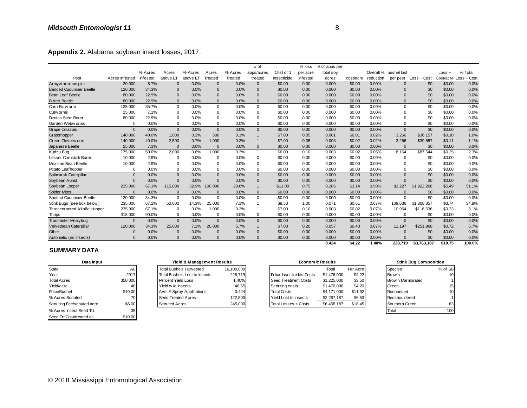| Appendix 2. Alabama soybean insect losses, 2017. |                |          |              |                                |              |            |                |                           |          |                  |           |           |                       |                              |          |                       |
|--------------------------------------------------|----------------|----------|--------------|--------------------------------|--------------|------------|----------------|---------------------------|----------|------------------|-----------|-----------|-----------------------|------------------------------|----------|-----------------------|
|                                                  |                |          |              |                                |              |            | # of           |                           | $%$ loss | # of apps per    |           |           |                       |                              |          |                       |
|                                                  |                | % Acres  | Acres        | % Acres                        | Acres        | % Acres    | apps/acres     | Cost of 1                 | per acre | total soy        |           |           | Overall % bushel lost |                              | $Loss +$ | % Total               |
| Pest                                             | Acres Infested | Infested | above ET     | above ET                       | Treated      | Treated    | treated        | Insecticide               | infested | acres            | cost/acre | reduction | per pest              | Loss + Cost                  |          | Cost/acre Loss + Cost |
| Armyw orm complex                                | 20,000         | 5.7%     | $\mathbf{0}$ | 0.0%                           | $\Omega$     | 0.0%       | $\mathbf 0$    | \$0.00                    | 0.00     | 0.000            | \$0.00    | 0.00%     | $\Omega$              | \$0                          | \$0.00   | 0.0%                  |
| <b>Banded Cucumber Beetle</b>                    | 120,000        | 34.3%    | $\mathbf 0$  | 0.0%                           | $\mathbf{0}$ | 0.0%       | $\mathbf{0}$   | \$0.00                    | 0.00     | 0.000            | \$0.00    | 0.00%     | $\Omega$              | \$0                          | \$0.00   | 0.0%                  |
| Bean Leaf Beetle                                 | 80,000         | 22.9%    | $\mathbf{0}$ | 0.0%                           | $\Omega$     | 0.0%       | $\mathbf{0}$   | \$0.00                    | 0.00     | 0.000            | \$0.00    | 0.00%     | $\Omega$              | \$0                          | \$0.00   | 0.0%                  |
| <b>Blister Beetle</b>                            | 80,000         | 22.9%    | $\mathbf{0}$ | 0.0%                           | $\Omega$     | 0.0%       | $\mathbf{0}$   | \$0.00                    | 0.00     | 0.000            | \$0.00    | 0.00%     | $\Omega$              | \$0                          | \$0.00   | 0.0%                  |
| Corn Earw orm                                    | 125,000        | 35.7%    | $\Omega$     | 0.0%                           | $\Omega$     | 0.0%       | $\mathbf 0$    | \$0.00                    | 0.00     | 0.000            | \$0.00    | 0.00%     | $\Omega$              | \$0                          | \$0.00   | 0.0%                  |
| Cutw orms                                        | 25,000         | 7.1%     | 0            | 0.0%                           | $\Omega$     | 0.0%       | $\mathbf 0$    | \$0.00                    | 0.00     | 0.000            | \$0.00    | 0.00%     | $\Omega$              | \$0                          | \$0.00   | 0.0%                  |
| Dectes Stem Borer                                | 80,000         | 22.9%    | 0            | 0.0%                           | 0            | 0.0%       | 0              | \$0.00                    | 0.00     | 0.000            | \$0.00    | 0.00%     | $\Omega$              | \$0                          | \$0.00   | 0.0%                  |
| Garden Webw orms                                 | $\Omega$       | 0.0%     | 0            | 0.0%                           | 0            | 0.0%       | $\mathbf 0$    | \$0.00                    | 0.00     | 0.000            | \$0.00    | 0.00%     | $\Omega$              | \$0                          | \$0.00   | 0.0%                  |
| <b>Grape Colaspis</b>                            | $\Omega$       | 0.0%     | $\mathbf{0}$ | 0.0%                           | $\Omega$     | 0.0%       | $\mathbf{0}$   | \$0.00                    | 0.00     | 0.000            | \$0.00    | 0.00%     | $\Omega$              | \$0                          | \$0.00   | 0.0%                  |
| Grasshopper                                      | 140,000        | 40.0%    | 1.000        | 0.3%                           | 500          | 0.1%       | $\mathbf{1}$   | \$7.00                    | 0.05     | 0.001            | \$0.01    | 0.02%     | 3.266                 | \$36,157                     | \$0.10   | 1.0%                  |
| Green Cloverw orm                                | 140,000        | 40.0%    | 2,500        | 0.7%                           | 1.000        | 0.3%       | $\mathbf{1}$   | \$7.00                    | 0.05     | 0.003            | \$0.02    | 0.02%     | 3.266                 | \$39,657                     | \$0.11   | 1.1%                  |
| Japanese Beetle                                  | 25,000         | 7.1%     | $\Omega$     | 0.0%                           | $\Omega$     | 0.0%       | $\mathbf{0}$   | \$0.00                    | 0.00     | 0.000            | \$0.00    | $0.00\%$  | $\Omega$              | \$0                          | \$0.00   | 0.0%                  |
| Kudzu Bug                                        | 175,000        | 50.0%    | 2,000        | 0.6%                           | 1,000        | 0.3%       | $\mathbf{1}$   | \$6.00                    | 0.10     | 0.003            | \$0.02    | 0.05%     | 8,164                 | \$87,644                     | \$0.25   | 2.3%                  |
| Lesser Cornstalk Borer                           | 10,000         | 2.9%     | 0            | 0.0%                           | $\Omega$     | 0.0%       | $\mathbf 0$    | \$0.00                    | 0.00     | 0.000            | \$0.00    | 0.00%     | $\Omega$              | \$0                          | \$0.00   | 0.0%                  |
| Mexican Bean Beetle                              | 10,000         | 2.9%     | 0            | 0.0%                           | 0            | 0.0%       | $\mathbf 0$    | \$0.00                    | 0.00     | 0.000            | \$0.00    | 0.00%     | $\Omega$              | \$0                          | \$0.00   | 0.0%                  |
| Potato Leaf hopper                               | $\Omega$       | 0.0%     | $\Omega$     | 0.0%                           | $\Omega$     | 0.0%       | $\mathbf 0$    | \$0.00                    | 0.00     | 0.000            | \$0.00    | 0.00%     | $\Omega$              | \$0                          | \$0.00   | 0.0%                  |
| Saltmarsh Caterpillar                            | $\mathbf{0}$   | 0.0%     | $\mathbf{0}$ | 0.0%                           | $\mathbf{0}$ | 0.0%       | $\mathbf{0}$   | \$0.00                    | 0.00     | 0.000            | \$0.00    | 0.00%     | $\Omega$              | \$0                          | \$0.00   | 0.0%                  |
| Soybean Aphid                                    | $\Omega$       | 0.0%     | $\mathbf{0}$ | 0.0%                           | $\mathbf{0}$ | 0.0%       | $\mathbf{0}$   | \$0.00                    | 0.00     | 0.000            | \$0.00    | 0.00%     | $\Omega$              | \$0                          | \$0.00   | 0.0%                  |
| Soybean Looper                                   | 235,000        | 67.1%    | 115,000      | 32.9%                          | 100,000      | 28.6%      | $\mathbf{1}$   | \$11.00                   | 0.75     | 0.286            | \$3.14    | 0.50%     | 82,227                | \$1,922,268                  | \$5.49   | 51.1%                 |
| <b>Spider Mites</b>                              | $\Omega$       | 0.0%     | $\mathbf{0}$ | 0.0%                           | $\Omega$     | 0.0%       | $\mathbf{0}$   | \$0.00                    | 0.00     | 0.000            | \$0.00    | 0.00%     | $\Omega$              | \$0                          | \$0.00   | 0.0%                  |
| Spotted Cucumber Beetle                          | 120,000        | 34.3%    | $\mathbf 0$  | 0.0%                           | $\Omega$     | 0.0%       | $\Omega$       | \$0.00                    | 0.00     | 0.000            | \$0.00    | 0.00%     | $\Omega$              | \$0                          | \$0.00   | 0.0%                  |
| Stink Bugs (see box below)                       | 235,000        | 67.1%    | 50,000       | 14.3%                          | 25,000       | 7.1%       | $\overline{1}$ | \$8.50                    | 1.00     | 0.071            | \$0.61    | 0.67%     | 109,636               | \$1,308,857                  | \$3.74   | 34.8%                 |
| Threecornered Alfalfa Hopper                     | 235,000        | 67.1%    | 0            | 0.0%                           | 1,000        | 0.3%       | $\overline{1}$ | \$7.00                    | 0.10     | 0.003            | \$0.02    | 0.07%     | 10,964                | \$116,636                    | \$0.33   | 3.1%                  |
| <b>Thrips</b>                                    | 315,000        | 90.0%    | 0            | 0.0%                           | $\Omega$     | 0.0%       | $\mathbf 0$    | \$0.00                    | 0.00     | 0.000            | \$0.00    | 0.00%     | $\Omega$              | \$0                          | \$0.00   | 0.0%                  |
| <b>Trochanter Mealybug</b>                       | $\Omega$       | 0.0%     | $\mathbf{0}$ | 0.0%                           | $\mathbf{0}$ | 0.0%       | $\mathbf{0}$   | \$0.00                    | 0.00     | 0.000            | \$0.00    | 0.00%     | $\mathbf{0}$          | \$0                          | \$0.00   | 0.0%                  |
| Velvetbean Caterpillar                           | 120,000        | 34.3%    | 25,000       | 7.1%                           | 20.000       | 5.7%       | $\mathbf{1}$   | \$7.00                    | 0.20     | 0.057            | \$0.40    | 0.07%     | 11.197                | \$251.968                    | \$0.72   | 6.7%                  |
| Other                                            | $\Omega$       | 0.0%     | $\mathbf 0$  | 0.0%                           | $\Omega$     | 0.0%       | $\mathbf 0$    | \$0.00                    | 0.00     | 0.000            | \$0.00    | 0.00%     | $\Omega$              | \$0                          | \$0.00   | 0.0%                  |
| Automatic (no insects)                           | $\Omega$       | 0.0%     | $\mathbf{0}$ | 0.0%                           | $\Omega$     | 0.0%       | $\mathbf{0}$   | \$0.00                    | 0.00     | 0.000            | \$0.00    | 0.00%     | $\Omega$              | \$0                          | \$0.00   | 0.0%                  |
| <b>SUMMARY DATA</b>                              |                |          |              |                                |              |            |                |                           |          | 0.424            | \$4.22    | 1.40%     | 228.719               | \$3,763,187                  | \$10.75  | 100.0%                |
| Data Input                                       |                |          |              | Yield & Management Results     |              |            |                |                           |          | Economic Results |           |           |                       | <b>Stink Bug Composition</b> |          |                       |
| State                                            | AL             |          |              | <b>Total Bushels Harvested</b> |              | 16,100,000 |                |                           |          | Total            | Per Acre  |           | <b>Species</b>        |                              | % of SB  |                       |
| Year                                             | 2017           |          |              | Total Bushels Lost to Insects  |              | 228,719    |                | Foliar Insecticides Costs |          | \$1,476,000      | \$4.22    |           | Brow n                |                              | 10       |                       |
|                                                  |                |          |              |                                |              |            |                |                           |          |                  |           |           |                       |                              |          |                       |

#### **SUMMARY DATA**

| Data Input                |         | Yield & Management Results     |            | <b>Economic Results</b>   |             |          | <b>Stink Bug Composition</b> |         |  |
|---------------------------|---------|--------------------------------|------------|---------------------------|-------------|----------|------------------------------|---------|--|
| State                     | ΑL      | <b>Total Bushels Harvested</b> | 16,100,000 |                           | Total       | Per Acre | <b>Species</b>               | % of SB |  |
| Year                      | 2017    | Total Bushels Lost to Insects  | 228,719    | Foliar Insecticides Costs | \$1,476,000 | \$4.22   | Brow n                       | 10      |  |
| <b>Total Acres</b>        | 350,000 | Percent Yield Loss             | 1.40%      | Seed Treatment Costs      | \$1,225,000 | \$3.50   | Brow n Marmorated            |         |  |
| Yield/acre                | 461     | Yield w/o Insects              | 46.65      | Scouting costs            | \$1,470,000 | \$4.20   | Green                        | 15      |  |
| <b>Price/Bushel</b>       | \$10.00 | Ave. # Spray Applications      | 0.424      | <b>Total Costs</b>        | \$4,171,000 | \$11.92  | Redbanded                    | 10      |  |
| % Acres Scouted           |         | <b>Seed Treated Acres</b>      | 122,500    | Yield Lost to insects     | \$2,287,187 | \$6.53   | Redshouldered                |         |  |
| Scouting Fee/scouted acre | \$6.00  | <b>Scouted Acres</b>           | 245,000    | Total Losses + Costs      | \$6,458,187 | \$18.45  | Southern Green               | 63      |  |
| % Acres Insect Seed Trt.  | 35      |                                |            |                           |             |          | Total                        | 100     |  |
| Seed Trt Cost/treated ac  | \$10.00 |                                |            |                           |             |          |                              |         |  |

### Total Bushels Lost to Insects 228,719 Scouted Acres + Costs 245,000 Seed Treated Acres 122,500 Total Bushels Harvested 16,100,000 **Yield & Management Results**

| Automatic (no insects)    |         | $0.0\%$ | $0.0\%$                        | $0.0\%$    | \$0.00<br>0.00                   | 0.000                   | \$0.00   | $0.00\%$ |                   | \$0                          | \$0.00  |
|---------------------------|---------|---------|--------------------------------|------------|----------------------------------|-------------------------|----------|----------|-------------------|------------------------------|---------|
|                           |         |         |                                |            |                                  | 0.424                   | \$4.22   | 1.40%    | 228.719           | \$3,763,187                  | \$10.75 |
| <b>SUMMARY DATA</b>       |         |         |                                |            |                                  |                         |          |          |                   |                              |         |
| Data Input                |         |         | Yield & Management Results     |            |                                  | <b>Economic Results</b> |          |          |                   | <b>Stink Bug Composition</b> |         |
| State                     | AL      |         | <b>Total Bushels Harvested</b> | 16,100,000 |                                  | Total                   | Per Acre |          | Species           |                              | % of SB |
| Year                      | 2017    |         | Total Bushels Lost to Insects  | 228.719    | <b>Foliar Insecticides Costs</b> | \$1,476,000             | \$4.22   |          | Brow n            |                              | 10      |
| <b>Total Acres</b>        | 350,000 |         | Percent Yield Loss             | 1.40%      | Seed Treatment Costs             | \$1,225,000             | \$3.50   |          | Brow n Marmorated |                              |         |
| Yield/acre                | 46      |         | Yield w/o Insects              | 46.65      | Scouting costs                   | \$1,470,000             | \$4.20   |          | .Green            |                              | 15      |
| Price/Bushel              | \$10.00 |         | Ave. # Spray Applications      | 0.424      | <b>Total Costs</b>               | \$4.171.000             | \$11.92  |          | Redbanded         |                              | 10      |
| % Acres Scouted           | 70      |         | Seed Treated Acres             | 122,500    | Yield Lost to insects            | \$2,287,187             | \$6.53   |          | Redshouldered     |                              |         |
| Scouting Fee/scouted acre | \$6.00  |         | <b>Scouted Acres</b>           | 245,000    | Total Losses + Costs             | \$6,458,187             | \$18.45  |          | Southern Green    |                              | 63      |
|                           |         |         |                                |            |                                  |                         |          |          |                   |                              |         |

| <b>Stink Bug Composition</b> |         |
|------------------------------|---------|
| Species                      | % of SB |
| Brow n                       | 10      |
| Brow n Marmorated            |         |
| Green                        | 15      |
| Redbanded                    | 10      |
| Redshouldered                |         |
| Southern Green               | 63      |
| otal                         |         |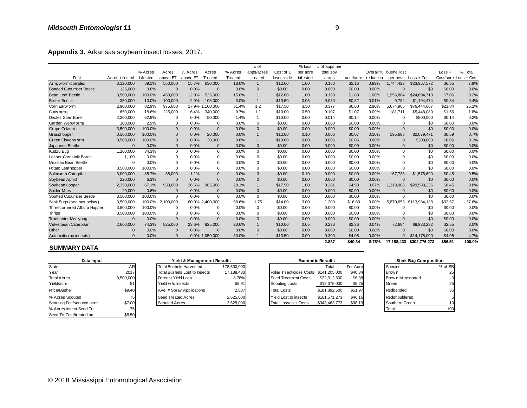| Appendix 3. Arkansas soybean insect losses, 2017. |                |          |              |                                      |                 |             |              |             |                      |                                         |           |           |                       |                              |          |                       |
|---------------------------------------------------|----------------|----------|--------------|--------------------------------------|-----------------|-------------|--------------|-------------|----------------------|-----------------------------------------|-----------|-----------|-----------------------|------------------------------|----------|-----------------------|
|                                                   |                |          |              |                                      |                 |             | # of         |             | $%$ loss             | # of apps per                           |           |           |                       |                              |          |                       |
|                                                   |                | % Acres  | Acres        | % Acres                              | Acres           | % Acres     | apps/acres   | Cost of 1   | per acre             | total soy                               |           |           | Overall % bushel lost |                              | $Loss +$ | % Total               |
| Pest                                              | Acres Infested | Infested | above ET     | above ET                             | Treated         | Treated     | treated      | Insecticide | infested             | acres                                   | cost/acre | reduction | per pest              | Loss + Cost                  |          | Cost/acre Loss + Cost |
| Armyw orm complex                                 | 3,120,000      | 89.1%    | 550,000      | 15.7%                                | 630,000         | 18.0%       | $\mathbf{1}$ | \$12.00     | 1.00                 | 0.180                                   | \$2.16    | 0.89%     | 1,744,423             | \$23,957,572                 | \$6.85   | 7.9%                  |
| <b>Banded Cucumber Beetle</b>                     | 125,000        | 3.6%     | $\mathbf{0}$ | 0.0%                                 | $\mathbf{0}$    | 0.0%        | $\mathbf{0}$ | \$0.00      | 0.00                 | 0.000                                   | \$0.00    | 0.00%     | $\Omega$              | \$0                          | \$0.00   | 0.0%                  |
| <b>Bean Leaf Beetle</b>                           | 3,500,000      | 100.0%   | 450,000      | 12.9%                                | 525,000         | 15.0%       | $\mathbf{1}$ | \$12.00     | 1.00                 | 0.150                                   | \$1.80    | 1.00%     | 1,956,884             | \$24,694,713                 | \$7.06   | 8.2%                  |
| <b>Blister Beetle</b>                             | 350,000        | 10.0%    | 100,000      | 2.9%                                 | 105,000         | 3.0%        | $\mathbf{1}$ | \$10.50     | 0.05                 | 0.030                                   | \$0.32    | 0.01%     | 9.784                 | \$1,194,474                  | \$0.34   | 0.4%                  |
| Corn Earw orm                                     | 2,900,000      | 82.9%    | 975,000      | 27.9%                                | 1,100,000       | 31.4%       | 1.2          | \$17.50     | 3.50                 | 0.377                                   | \$6.60    | 2.90%     | 5,674,965             | \$76,444,667                 | \$21.84  | 25.2%                 |
| Cutw orms                                         | 650,000        | 18.6%    | 225,000      | 6.4%                                 | 340,000         | 9.7%        | 1.1          | \$10.00     | 0.50                 | 0.107                                   | \$1.07    | 0.09%     | 181.711               | \$5,448,080                  | \$1.56   | 1.8%                  |
| Dectes Stem Borer                                 | 2,200,000      | 62.9%    | $\mathbf 0$  | 0.0%                                 | 50,000          | 1.4%        | $\mathbf{1}$ | \$10.00     | 0.00                 | 0.014                                   | \$0.14    | 0.00%     | $\Omega$              | \$500,000                    | \$0.14   | 0.2%                  |
| Garden Webw orms                                  | 100,000        | 2.9%     | 0            | 0.0%                                 | $\Omega$        | 0.0%        | $\mathbf 0$  | \$0.00      | 0.00                 | 0.000                                   | \$0.00    | 0.00%     | $\Omega$              | \$0                          | \$0.00   | 0.0%                  |
| <b>Grape Colaspis</b>                             | 3,500,000      | 100.0%   | $\mathbf{0}$ | 0.0%                                 | $\mathbf{0}$    | 0.0%        | $\mathbf{0}$ | \$0.00      | 0.00                 | 0.000                                   | \$0.00    | 0.00%     | $\mathbf{0}$          | \$0                          | \$0.00   | 0.0%                  |
| Grasshopper                                       | 3,500,000      | 100.0%   | $\Omega$     | 0.0%                                 | 20,000          | 0.6%        | $\mathbf{1}$ | \$12.00     | 0.10                 | 0.006                                   | \$0.07    | 0.10%     | 195,688               | \$2,079,471                  | \$0.59   | 0.7%                  |
| Green Cloverw orm                                 | 3,500,000      | 100.0%   | $\Omega$     | 0.0%                                 | 20,000          | 0.6%        | $\mathbf{1}$ | \$10.00     | 0.00                 | 0.006                                   | \$0.06    | 0.00%     | $\Omega$              | \$200,000                    | \$0.06   | 0.1%                  |
| Japanese Beetle                                   | $\Omega$       | 0.0%     | $\Omega$     | 0.0%                                 | $\Omega$        | 0.0%        | $\Omega$     | \$0.00      | 0.00                 | 0.000                                   | \$0.00    | 0.00%     | $\Omega$              | \$0                          | \$0.00   | 0.0%                  |
| Kudzu Bug                                         | 1.200.000      | 34.3%    | $\mathbf 0$  | 0.0%                                 | $\mathbf 0$     | 0.0%        | $\mathbf 0$  | \$0.00      | 0.00                 | 0.000                                   | \$0.00    | 0.00%     | $\mathbf 0$           | \$0                          | \$0.00   | 0.0%                  |
| Lesser Cornstalk Borer                            | 1,100          | 0.0%     | 0            | 0.0%                                 | $\Omega$        | 0.0%        | $\mathbf 0$  | \$0.00      | 0.00                 | 0.000                                   | \$0.00    | 0.00%     | $\Omega$              | \$0                          | \$0.00   | 0.0%                  |
| Mexican Bean Beetle                               | $\Omega$       | 0.0%     | $\Omega$     | 0.0%                                 | $\Omega$        | 0.0%        | $\mathbf 0$  | \$0.00      | 0.00                 | 0.000                                   | \$0.00    | 0.00%     | $\Omega$              | \$0                          | \$0.00   | 0.0%                  |
| Potato Leafhopper                                 | 3,500,000      | 100.0%   | $\Omega$     | 0.0%                                 | $\Omega$        | 0.0%        | $\mathbf 0$  | \$0.00      | 0.00                 | 0.000                                   | \$0.00    | 0.00%     | $\Omega$              | \$0                          | \$0.00   | 0.0%                  |
| Saltmarsh Caterpillar                             | 3.000.000      | 85.7%    | 38,000       | 1.1%                                 | $\mathbf{0}$    | 0.0%        | $\mathbf{0}$ | \$0.00      | 0.10                 | 0.000                                   | \$0.00    | 0.09%     | 167.733               | \$1,576,690                  | \$0.45   | 0.5%                  |
| Soybean Aphid                                     | 220,000        | 6.3%     | $\mathbf{0}$ | 0.0%                                 | $\Omega$        | 0.0%        | $\mathbf{0}$ | \$0.00      | 0.00                 | 0.000                                   | \$0.00    | 0.00%     | $\Omega$              | \$0                          | \$0.00   | 0.0%                  |
| Soybean Looper                                    | 2,350,000      | 67.1%    | 930,000      | 26.6%                                | 985,000         | 28.1%       | $\mathbf{1}$ | \$17.50     | 1.00                 | 0.281                                   | \$4.93    | 0.67%     | 1,313,908             | \$29,588,236                 | \$8.45   | 9.8%                  |
| <b>Spider Mites</b>                               | 20,000         | 0.6%     | $\Omega$     | 0.0%                                 | $\Omega$        | 0.0%        | $\mathbf{0}$ | \$0.00      | 0.00                 | 0.000                                   | \$0.00    | 0.00%     | $\Omega$              | \$0                          | \$0.00   | 0.0%                  |
| Spotted Cucumber Beetle                           | 3,500,000      | 100.0%   | $\mathbf 0$  | 0.0%                                 | $\mathbf 0$     | 0.0%        | $\mathbf 0$  | \$0.00      | 0.00                 | 0.000                                   | \$0.00    | 0.00%     | $\Omega$              | \$0                          | \$0.00   | 0.0%                  |
| Stink Bugs (see box below)                        | 3,500,000      | 100.0%   | 2,100,000    |                                      | 60.0% 2,400,000 | 68.6%       | 1.75         | \$14.00     | 3.00                 | 1.200                                   | \$16.80   | 3.00%     | 5,870,653             | \$113,984,138                | \$32.57  | 37.6%                 |
| Threecornered Alfalfa Hopper                      | 3,500,000      | 100.0%   | $\mathbf 0$  | 0.0%                                 | 0               | 0.0%        | $\mathbf 0$  | \$0.00      | 0.00                 | 0.000                                   | \$0.00    | 0.00%     | $\Omega$              | \$0                          | \$0.00   | 0.0%                  |
| Thrips                                            | 3,500,000      | 100.0%   | $\mathbf 0$  | 0.0%                                 | 0               | 0.0%        | $\mathbf 0$  | \$0.00      | 0.00                 | 0.000                                   | \$0.00    | 0.00%     | $\Omega$              | \$0                          | \$0.00   | 0.0%                  |
| <b>Trochanter Mealybug</b>                        | $\mathbf{0}$   | 0.0%     | $\mathbf{0}$ | 0.0%                                 | $\mathbf{0}$    | 0.0%        | $\mathbf{0}$ | \$0.00      | 0.00                 | 0.000                                   | \$0.00    | 0.00%     | $\mathbf{0}$          | \$0                          | \$0.00   | 0.0%                  |
| Velvetbean Caterpillar                            | 2,600,000      | 74.3%    | 825,000      | 23.6%                                | 825,000         | 23.6%       | $\mathbf{1}$ | \$10.00     | 0.05                 | 0.236                                   | \$2.36    | 0.04%     | 72,684                | \$8,933,232                  | \$2.55   | 3.0%                  |
| Other                                             | $\Omega$       | 0.0%     | $\Omega$     | 0.0%                                 | $\mathbf{0}$    | 0.0%        | $\mathbf{0}$ | \$0.00      | 0.00                 | 0.000                                   | \$0.00    | 0.00%     | $\Omega$              | \$0                          | \$0.00   | 0.0%                  |
| Automatic (no insects)                            | $\Omega$       | 0.0%     | $\Omega$     |                                      | 0.0% 1,050,000  | 30.0%       | $\mathbf{1}$ | \$13.50     | 0.00                 | 0.300                                   | \$4.05    | 0.00%     |                       | \$14,175,000                 | \$4.05   | 4.7%                  |
| <b>SUMMARY DATA</b>                               |                |          |              |                                      |                 |             |              |             |                      | 2.887                                   | \$40.34   | 8.78%     | 17,188,433            | \$302,776,273                | \$86.51  | 100.0%                |
| Data Input                                        |                |          |              | Yield & Management Results           |                 |             |              |             |                      | <b>Economic Results</b>                 |           |           |                       | <b>Stink Bug Composition</b> |          |                       |
| State                                             | AR             |          |              | <b>Total Bushels Harvested</b>       |                 | 178,500,000 |              |             |                      | Total                                   | Per Acre  |           | Species               |                              | % of SB  |                       |
| Year                                              | 2017           |          |              | <b>Total Bushels Lost to Insects</b> |                 | 17,188,433  |              |             |                      | Foliar Insecticides Costs \$141,205,000 | \$40.34   |           | Brow n                |                              | 25       |                       |
|                                                   |                |          |              | $\mathbf{v}$ and $\mathbf{v}$        |                 |             |              |             | $\sim$ $\sim$ $\sim$ | 000010000                               | $\sim$    |           |                       |                              |          |                       |

#### **SUMMARY DATA**

| Data Input                |           | Yield & Management Results           |             | <b>Economic Results</b>                 |               | <b>Stink Bug Composition</b> |                         |         |
|---------------------------|-----------|--------------------------------------|-------------|-----------------------------------------|---------------|------------------------------|-------------------------|---------|
| State                     | AR        | <b>Total Bushels Harvested</b>       | 178.500.000 |                                         | Total         | Per Acre                     | Species                 | % of SB |
| Year                      | 2017      | <b>Total Bushels Lost to Insects</b> | 17,188,433  | Foliar Insecticides Costs \$141,205,000 |               | \$40.34                      | <b>Brown</b>            | 25      |
| <b>Total Acres</b>        | 3,500,000 | Percent Yield Loss                   | 8.78%       | Seed Treatment Costs                    | \$22,312,500  | \$6.38                       | <b>Brown Marmorated</b> |         |
| Yield/acre                |           | Yield w/o Insects                    | 55.91       | Scouting costs                          | \$18,375,000  | \$5.25                       | Green                   | 25      |
| Price/Bushel              | \$9.40    | Ave. # Spray Applications            | 2.887       | <b>Total Costs</b>                      | \$181.892.500 | \$51.97                      | Redbanded               | 35      |
| % Acres Scouted           | 75.       | Seed Treated Acres                   | 2,625,000   | Yield Lost to insects                   | \$161.571.273 | \$46.16                      | Redshouldered           |         |
| Scouting Fee/scouted acre | \$7.00    | <b>Scouted Acres</b>                 | 2,625,000   | Total Losses + Costs                    | \$343,463,773 | \$98.13                      | Southern Green          | 10      |
| % Acres Insect Seed Trt.  |           |                                      |             |                                         |               |                              | Total                   | 100     |
| Seed Trt Cost/treated ac  | \$8.50    |                                      |             |                                         |               |                              |                         |         |

### Total Bushels Lost to Insects 17,188,433<br>Percent Yield Loss 8.78% Scouted Acres + Costs 2,625,000 **Yield & Management Results** Seed Treated Acres 2,625,000 Total Bushels Harvested 178,500,000

| Automatic (no insects)    |           | 0.0%                                 | 0.0% 1.050.000             | 30.0%       | \$13.50<br>0.00                         | 0.300                   | \$4.05   | 0.00% | $\Omega$          | \$14,175,000                 | \$4.05  |
|---------------------------|-----------|--------------------------------------|----------------------------|-------------|-----------------------------------------|-------------------------|----------|-------|-------------------|------------------------------|---------|
| <b>SUMMARY DATA</b>       |           |                                      |                            |             |                                         | 2.887                   | \$40.34  | 8.78% |                   | 17,188,433 \$302,776,273     | \$86.51 |
| Data Input                |           |                                      | Yield & Management Results |             |                                         | <b>Economic Results</b> |          |       |                   | <b>Stink Bug Composition</b> |         |
| State                     | AR        | <b>Total Bushels Harvested</b>       |                            | 178,500,000 |                                         | Total                   | Per Acre |       | <b>Species</b>    |                              | % of SB |
| Year                      | 2017      | <b>Total Bushels Lost to Insects</b> |                            | 17.188.433  | Foliar Insecticides Costs \$141,205,000 |                         | \$40.34  |       | <b>Brown</b>      |                              | 25      |
| <b>Total Acres</b>        | 3,500,000 | Percent Yield Loss                   |                            | 8.78%       | Seed Treatment Costs                    | \$22,312,500            | \$6.38   |       | Brow n Marmorated |                              |         |
| Yield/acre                |           | Yield w/o Insects                    |                            | 55.91       | Scouting costs                          | \$18,375,000            | \$5.25   |       | Green             |                              | 25      |
| Price/Bushel              | \$9.40    | Ave. # Spray Applications            |                            | 2.887       | <b>Total Costs</b>                      | \$181,892,500           | \$51.97  |       | Redbanded         |                              | 35      |
| % Acres Scouted           | 75        | Seed Treated Acres                   |                            | 2,625,000   | Yield Lost to insects                   | \$161,571,273           | \$46.16  |       | Redshouldered     |                              |         |
| Scouting Fee/scouted acre | \$7.00    | <b>Scouted Acres</b>                 |                            | 2,625,000   | Total Losses + Costs                    | \$343,463,773           | \$98.13  |       | Southern Green    |                              | 10      |
| .                         |           |                                      |                            |             |                                         |                         |          |       |                   |                              |         |

| <b>Stink Bug Composition</b> |         |
|------------------------------|---------|
| Species                      | % of SB |
| Brow n                       | 25      |
| Brown Marmorated             |         |
| Green                        | 25      |
| Redbanded                    | 35      |
| Redshouldered                | 5       |
| Southern Green               | 10      |
| otal                         |         |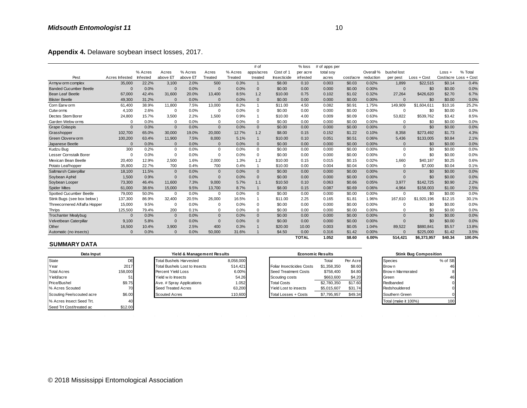| Appendix 4. Delaware soybean insect losses, 2017. |                |                 |             |          |              |         |                |             |              |               |           |           |              |             |          |                       |
|---------------------------------------------------|----------------|-----------------|-------------|----------|--------------|---------|----------------|-------------|--------------|---------------|-----------|-----------|--------------|-------------|----------|-----------------------|
|                                                   |                |                 |             |          |              |         | # of           |             | $%$ loss     | # of apps per |           |           |              |             |          |                       |
|                                                   |                | % Acres         | Acres       | % Acres  | Acres        | % Acres | apps/acres     | Cost of 1   | per acre     | total soy     |           | Overall % | bushel lost  |             | $Loss +$ | % Total               |
| Pest                                              | Acres Infested | <b>Infested</b> | above ET    | above ET | Treated      | Treated | treated        | Insecticide | infested     | acres         | cost/acre | reduction | per pest     | Loss + Cost |          | Cost/acre Loss + Cost |
| Armyw orm complex                                 | 35,000         | 22.2%           | 3,100       | 2.0%     | 500          | 0.3%    | $\mathbf{1}$   | \$8.00      | 0.10         | 0.003         | \$0.03    | 0.02%     | 1,899        | \$22,515    | \$0.14   | 0.4%                  |
| <b>Banded Cucumber Beetle</b>                     | $\mathbf 0$    | 0.0%            | $\Omega$    | 0.0%     | $\mathbf{0}$ | 0.0%    | $\mathbf{0}$   | \$0.00      | 0.00         | 0.000         | \$0.00    | 0.00%     | $\mathbf{0}$ | \$0         | \$0.00   | 0.0%                  |
| <b>Bean Leaf Beetle</b>                           | 67,000         | 42.4%           | 31,600      | 20.0%    | 13.400       | 8.5%    | 1.2            | \$10.00     | 0.75         | 0.102         | \$1.02    | 0.32%     | 27.264       | \$426,620   | \$2.70   | 6.7%                  |
| <b>Blister Beetle</b>                             | 49,300         | 31.2%           | $\Omega$    | 0.0%     | $\Omega$     | 0.0%    | $\mathbf{0}$   | \$0.00      | 0.00         | 0.000         | \$0.00    | 0.00%     | $\Omega$     | \$0         | \$0.00   | 0.0%                  |
| Corn Earw orm                                     | 61,400         | 38.9%           | 11,800      | 7.5%     | 13,000       | 8.2%    | $\mathbf{1}$   | \$11.00     | 4.50         | 0.082         | \$0.91    | 1.75%     | 149,909      | \$1,604,611 | \$10.16  | 25.2%                 |
| Cutw orms                                         | 4.100          | 2.6%            | $\Omega$    | 0.0%     | $\mathbf 0$  | 0.0%    | $\mathbf 0$    | \$0.00      | 0.00         | 0.000         | \$0.00    | 0.00%     | 0            | \$0         | \$0.00   | 0.0%                  |
| Dectes Stem Borer                                 | 24.800         | 15.7%           | 3.500       | 2.2%     | 1.500        | 0.9%    | $\overline{1}$ | \$10.00     | 4.00         | 0.009         | \$0.09    | 0.63%     | 53.822       | \$539.762   | \$3.42   | 8.5%                  |
| Garden Webw orms                                  | $\Omega$       | 0.0%            | $\Omega$    | 0.0%     | $\mathbf 0$  | 0.0%    | $\mathbf 0$    | \$0.00      | 0.00         | 0.000         | \$0.00    | 0.00%     | $\mathbf 0$  | \$0         | \$0.00   | 0.0%                  |
| <b>Grape Colaspis</b>                             | $\Omega$       | 0.0%            | $\Omega$    | 0.0%     | $\Omega$     | 0.0%    | $\mathbf{0}$   | \$0.00      | 0.00         | 0.000         | \$0.00    | 0.00%     | $\Omega$     | \$0         | \$0.00   | 0.0%                  |
| Grasshopper                                       | 102,700        | 65.0%           | 30,000      | 19.0%    | 20,000       | 12.7%   | 1.2            | \$8.00      | 0.15         | 0.152         | \$1.22    | 0.10%     | 8,358        | \$273,492   | \$1.73   | 4.3%                  |
| Green Cloverw orm                                 | 100,200        | 63.4%           | 11.900      | 7.5%     | 8.000        | 5.1%    | $\overline{1}$ | \$10.00     | 0.10         | 0.051         | \$0.51    | 0.06%     | 5.436        | \$133,005   | \$0.84   | 2.1%                  |
| Japanese Beetle                                   | $\Omega$       | 0.0%            | $\Omega$    | 0.0%     | $\Omega$     | 0.0%    | $\mathbf{0}$   | \$0.00      | 0.00         | 0.000         | \$0.00    | 0.00%     | $\mathbf{0}$ | \$0         | \$0.00   | 0.0%                  |
| Kudzu Bug                                         | 300            | 0.2%            | $\mathbf 0$ | 0.0%     | $\mathbf 0$  | 0.0%    | $\mathbf 0$    | \$0.00      | 0.00         | 0.000         | \$0.00    | 0.00%     | $\mathbf 0$  | \$0         | \$0.00   | 0.0%                  |
| Lesser Cornstalk Borer                            | $\Omega$       | 0.0%            | $\Omega$    | 0.0%     | $\Omega$     | 0.0%    | $\mathbf 0$    | \$0.00      | 0.00         | 0.000         | \$0.00    | 0.00%     | $\Omega$     | \$0         | \$0.00   | 0.0%                  |
| Mexican Bean Beetle                               | 20,400         | 12.9%           | 2,500       | 1.6%     | 2.000        | 1.3%    | 1.2            | \$10.00     | 0.15         | 0.015         | \$0.15    | 0.02%     | 1.660        | \$40,187    | \$0.25   | 0.6%                  |
| Potato Leafhopper                                 | 35,800         | 22.7%           | 700         | 0.4%     | 700          | 0.4%    | $\mathbf{1}$   | \$10.00     | 0.00         | 0.004         | \$0.04    | 0.00%     | $\mathbf 0$  | \$7,000     | \$0.04   | 0.1%                  |
| Saltmarsh Caterpillar                             | 18,100         | 11.5%           | $\Omega$    | 0.0%     | $\mathbf{0}$ | 0.0%    | $\mathbf{0}$   | \$0.00      | 0.00         | 0.000         | \$0.00    | 0.00%     | $\mathbf{0}$ | \$0         | \$0.00   | 0.0%                  |
| Soybean Aphid                                     | 1,500          | 0.9%            | $\Omega$    | 0.0%     | $\mathbf{0}$ | 0.0%    | $\mathbf{0}$   | \$0.00      | 0.00         | 0.000         | \$0.00    | 0.00%     | $\mathbf{0}$ | \$0         | \$0.00   | 0.0%                  |
| Soybean Looper                                    | 73,300         | 46.4%           | 11,600      | 7.3%     | 9,000        | 5.7%    | 1.1            | \$10.50     | 0.10         | 0.063         | \$0.66    | 0.05%     | 3,977        | \$142,725   | \$0.90   | 2.2%                  |
| <b>Spider Mites</b>                               | 61,000         | 38.6%           | 15,000      | 9.5%     | 13,700       | 8.7%    | $\overline{1}$ | \$8.00      | 0.15         | 0.087         | \$0.69    | 0.06%     | 4,964        | \$158,003   | \$1.00   | 2.5%                  |
| Spotted Cucumber Beetle                           | 79,000         | 50.0%           | $\mathbf 0$ | 0.0%     | $\mathbf 0$  | 0.0%    | $\mathbf 0$    | \$0.00      | 0.00         | 0.000         | \$0.00    | 0.00%     | $\mathbf 0$  | \$0         | \$0.00   | 0.0%                  |
| Stink Bugs (see box below)                        | 137,300        | 86.9%           | 32,400      | 20.5%    | 26,000       | 16.5%   | $\overline{1}$ | \$11.00     | 2.25         | 0.165         | \$1.81    | 1.96%     | 167.610      | \$1,920,196 | \$12.15  | 30.1%                 |
| Threecornered Alfalfa Hopper                      | 15,000         | 9.5%            | $\Omega$    | 0.0%     | $\Omega$     | 0.0%    | $\Omega$       | \$0.00      | 0.00         | 0.000         | \$0.00    | 0.00%     | $\Omega$     | \$0         | \$0.00   | 0.0%                  |
| Thrips                                            | 125,500        | 79.4%           | 200         | 0.1%     | $\Omega$     | 0.0%    | $\Omega$       | \$0.00      | 0.00         | 0.000         | \$0.00    | 0.00%     | $\Omega$     | \$0         | \$0.00   | 0.0%                  |
| <b>Trochanter Mealybug</b>                        | $\overline{0}$ | 0.0%            | $\Omega$    | 0.0%     | $\mathbf{0}$ | 0.0%    | $\mathbf{0}$   | \$0.00      | 0.00         | 0.000         | \$0.00    | 0.00%     | $\Omega$     | \$0         | \$0.00   | 0.0%                  |
| Velvetbean Caterpillar                            | 9,100          | 5.8%            | $\Omega$    | 0.0%     | $\mathbf{0}$ | 0.0%    | $\mathbf{0}$   | \$0.00      | 0.00         | 0.000         | \$0.00    | 0.00%     | $\Omega$     | \$0         | \$0.00   | 0.0%                  |
| Other                                             | 16,500         | 10.4%           | 3,900       | 2.5%     | 400          | 0.3%    |                | \$20.00     | 10.00        | 0.003         | \$0.05    | 1.04%     | 89,522       | \$880,841   | \$5.57   | 13.8%                 |
| Automatic (no insects)                            |                | 0.0%            | $\Omega$    | 0.0%     | 50.000       | 31.6%   |                | \$4.50      | 0.00         | 0.316         | \$1.42    | 0.00%     | $\sqrt{ }$   | \$225,000   | \$1.42   | 3.5%                  |
|                                                   |                |                 |             |          |              |         |                |             | <b>TOTAL</b> | 1.052         | \$8.60    | 6.00%     | 514.421      | \$6,373,957 | \$40.34  | 100.0%                |

#### **SUMMARY DATA**

| ----                      | .0000    | .    | ----                                 | ---- | .                          | ---       | ,                         | .                       | -----       | -----    | .        | ------               | <b></b>                      | <b></b> |
|---------------------------|----------|------|--------------------------------------|------|----------------------------|-----------|---------------------------|-------------------------|-------------|----------|----------|----------------------|------------------------------|---------|
| Automatic (no insects)    | $\Omega$ | 0.0% | $\Omega$                             | 0.0% | 50,000                     | 31.6%     | \$4.50                    | 0.00                    | 0.316       | \$1.42   | 0.00%    |                      | \$225,000                    | \$1.42  |
|                           |          |      |                                      |      |                            |           |                           | <b>TOTAL</b>            | 1.052       | \$8.60   | $6.00\%$ | 514.421              | \$6,373,957                  | \$40.34 |
| <b>SUMMARY DATA</b>       |          |      |                                      |      |                            |           |                           |                         |             |          |          |                      |                              |         |
| Data Input                |          |      |                                      |      | Yield & Management Results |           |                           | <b>Economic Results</b> |             |          |          |                      | <b>Stink Bug Composition</b> |         |
| State                     | DE       |      | <b>Total Bushels Harvested</b>       |      |                            | 8,058,000 |                           |                         | Total       | Per Acre |          | <b>Species</b>       |                              | % of SB |
| Year                      | 2017     |      | <b>Total Bushels Lost to Insects</b> |      |                            | 514,421   | Foliar Insecticides Costs |                         | \$1,358,350 | \$8.60   |          | Brow n               |                              | 46      |
| <b>Total Acres</b>        | 158,000  |      | Percent Yield Loss                   |      |                            | 6.00%     | Seed Treatment Costs      |                         | \$758,400   | \$4.80   |          | Brow n Marmorated    |                              |         |
| Yield/acre                |          |      | Yield w/o Insects                    |      |                            | 54.26     | Scouting costs            |                         | \$663,600   | \$4.20   |          | Green                |                              | 46      |
| Price/Bushel              | \$9.75   |      | Ave. # Spray Applications            |      |                            | 1.052     | <b>Total Costs</b>        |                         | \$2,780,350 | \$17.60  |          | Redbanded            |                              |         |
| % Acres Scouted           | 70       |      | Seed Treated Acres                   |      |                            | 63,200    | Yield Lost to insects     |                         | \$5,015,607 | \$31.74  |          | Redshouldered        |                              |         |
| Scouting Fee/scouted acre | \$6.00   |      | <b>Scouted Acres</b>                 |      |                            | 110,600   | Total Losses + Costs      |                         | \$7,795,957 | \$49.34  |          | Southern Green       |                              |         |
| % Acres Insect Seed Trt.  | 40       |      |                                      |      |                            |           |                           |                         |             |          |          | Total (make it 100%) |                              | 100     |
| Seed Trt Cost/treated ac  | \$12.00  |      |                                      |      |                            |           |                           |                         |             |          |          |                      |                              |         |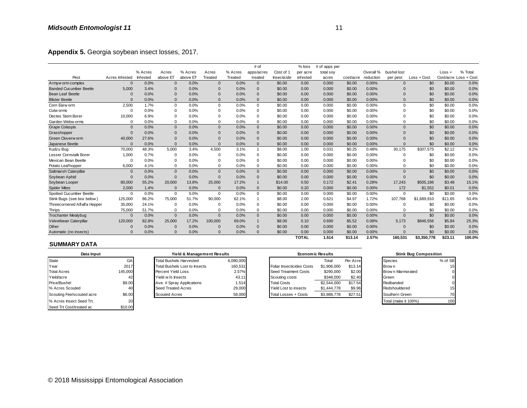| Appendix 5. Georgia soybean insect losses, 2017. |                |          |                |          |                |         |                |             |              |               |           |           |              |               |         |                       |
|--------------------------------------------------|----------------|----------|----------------|----------|----------------|---------|----------------|-------------|--------------|---------------|-----------|-----------|--------------|---------------|---------|-----------------------|
|                                                  |                |          |                |          |                |         | # of           |             | $%$ loss     | # of apps per |           |           |              |               |         |                       |
|                                                  |                | % Acres  | Acres          | % Acres  | Acres          | % Acres | apps/acres     | Cost of 1   | per acre     | total soy     |           | Overall % | bushel lost  |               | Loss +  | % Total               |
| Pest                                             | Acres Infested | Infested | above ET       | above ET | Treated        | Treated | treated        | Insecticide | infested     | acres         | cost/acre | reduction | per pest     | $Loss + Cost$ |         | Cost/acre Loss + Cost |
| Armyw orm complex                                | $\mathbf{0}$   | 0.0%     | $\mathbf{0}$   | 0.0%     | $\overline{0}$ | 0.0%    | $\mathbf{0}$   | \$0.00      | 0.00         | 0.000         | \$0.00    | 0.00%     | $\Omega$     | \$0           | \$0.00  | 0.0%                  |
| <b>Banded Cucumber Beetle</b>                    | 5.000          | 3.4%     | $\overline{0}$ | 0.0%     | $\mathbf 0$    | 0.0%    | $\mathbf{0}$   | \$0.00      | 0.00         | 0.000         | \$0.00    | 0.00%     | $\Omega$     | \$0           | \$0.00  | 0.0%                  |
| <b>Bean Leaf Beetle</b>                          | $\Omega$       | 0.0%     | $\Omega$       | 0.0%     | $\Omega$       | 0.0%    | $\mathbf{0}$   | \$0.00      | 0.00         | 0.000         | \$0.00    | 0.00%     | $\Omega$     | \$0           | \$0.00  | 0.0%                  |
| <b>Blister Beetle</b>                            | $\Omega$       | 0.0%     | $\Omega$       | 0.0%     | $\Omega$       | 0.0%    | $\Omega$       | \$0.00      | 0.00         | 0.000         | \$0.00    | 0.00%     | $\Omega$     | \$0           | \$0.00  | 0.0%                  |
| Corn Earw orm                                    | 2,500          | 1.7%     | $\Omega$       | 0.0%     | $\mathbf 0$    | 0.0%    | $\Omega$       | \$0.00      | 0.00         | 0.000         | \$0.00    | 0.00%     | $\Omega$     | \$0           | \$0.00  | 0.0%                  |
| Cutw orms                                        | $\Omega$       | 0.0%     | $\mathbf 0$    | 0.0%     | $\Omega$       | 0.0%    | $\mathbf 0$    | \$0.00      | 0.00         | 0.000         | \$0.00    | 0.00%     | $\Omega$     | \$0           | \$0.00  | 0.0%                  |
| Dectes Stem Borer                                | 10,000         | 6.9%     | $\mathbf 0$    | 0.0%     | $\Omega$       | 0.0%    | $\Omega$       | \$0.00      | 0.00         | 0.000         | \$0.00    | 0.00%     | $\Omega$     | \$0           | \$0.00  | 0.0%                  |
| Garden Webw orms                                 | $\Omega$       | 0.0%     | $\mathbf 0$    | 0.0%     | $\Omega$       | 0.0%    | $\mathbf 0$    | \$0.00      | 0.00         | 0.000         | \$0.00    | 0.00%     | $\Omega$     | \$0           | \$0.00  | 0.0%                  |
| <b>Grape Colaspis</b>                            | $\Omega$       | 0.0%     | $\mathbf{0}$   | 0.0%     | $\Omega$       | 0.0%    | $\mathbf{0}$   | \$0.00      | 0.00         | 0.000         | \$0.00    | 0.00%     | $\Omega$     | \$0           | \$0.00  | 0.0%                  |
| Grasshopper                                      | $\Omega$       | 0.0%     | $\mathbf{0}$   | 0.0%     | $\Omega$       | 0.0%    | $\mathbf 0$    | \$0.00      | 0.00         | 0.000         | \$0.00    | 0.00%     | $\Omega$     | \$0           | \$0.00  | 0.0%                  |
| Green Cloverw orm                                | 40,000         | 27.6%    | $\Omega$       | 0.0%     | $\Omega$       | 0.0%    | $\mathbf{0}$   | \$0.00      | 0.00         | 0.000         | \$0.00    | 0.00%     | $\Omega$     | \$0           | \$0.00  | 0.0%                  |
| Japanese Beetle                                  | $\Omega$       | 0.0%     | $\Omega$       | 0.0%     | $\Omega$       | 0.0%    | $\Omega$       | \$0.00      | 0.00         | 0.000         | \$0.00    | 0.00%     | $\Omega$     | \$0           | \$0.00  | 0.0%                  |
| Kudzu Bug                                        | 70,000         | 48.3%    | 5,000          | 3.4%     | 4,500          | 3.1%    | $\overline{1}$ | \$8.00      | 1.00         | 0.031         | \$0.25    | 0.48%     | 30,175       | \$307,575     | \$2.12  | 9.2%                  |
| Lesser Cornstalk Borer                           | 1,000          | 0.7%     | $\Omega$       | 0.0%     | $\mathbf 0$    | 0.0%    | $\mathbf 0$    | \$0.00      | 0.00         | 0.000         | \$0.00    | 0.00%     | $\Omega$     | \$0           | \$0.00  | 0.0%                  |
| Mexican Bean Beetle                              | $\Omega$       | 0.0%     | $\Omega$       | 0.0%     | $\Omega$       | 0.0%    | $\Omega$       | \$0.00      | 0.00         | 0.000         | \$0.00    | 0.00%     | $\Omega$     | \$0           | \$0.00  | 0.0%                  |
| Potato Leafhopper                                | 6,000          | 4.1%     | $\mathbf 0$    | 0.0%     | 0              | 0.0%    | $\mathbf 0$    | \$0.00      | 0.00         | 0.000         | \$0.00    | 0.00%     | $\mathbf 0$  | \$0           | \$0.00  | 0.0%                  |
| Saltmarsh Caterpillar                            | $\Omega$       | 0.0%     | $\mathbf{0}$   | 0.0%     | $\mathbf{0}$   | 0.0%    | $\mathbf{0}$   | \$0.00      | 0.00         | 0.000         | \$0.00    | 0.00%     | $\Omega$     | \$0           | \$0.00  | 0.0%                  |
| Soybean Aphid                                    | $\Omega$       | 0.0%     | $\Omega$       | 0.0%     | $\Omega$       | 0.0%    | $\mathbf{0}$   | \$0.00      | 0.00         | 0.000         | \$0.00    | 0.00%     | $\mathbf{0}$ | \$0           | \$0.00  | 0.0%                  |
| Soybean Looper                                   | 80,000         | 55.2%    | 20,000         | 13.8%    | 25,000         | 17.2%   | $\mathbf{1}$   | \$14.00     | 0.50         | 0.172         | \$2.41    | 0.28%     | 17,243       | \$505,186     | \$3.48  | 15.1%                 |
| <b>Spider Mites</b>                              | 2,000          | 1.4%     | $\Omega$       | 0.0%     | $\Omega$       | 0.0%    | $\Omega$       | \$0.00      | 0.20         | 0.000         | \$0.00    | 0.00%     | 172          | \$1,552       | \$0.01  | 0.0%                  |
| Spotted Cucumber Beetle                          | $\Omega$       | 0.0%     | $\Omega$       | 0.0%     | $\mathbf 0$    | 0.0%    | $\Omega$       | \$0.00      | 0.00         | 0.000         | \$0.00    | 0.00%     | $\Omega$     | \$0           | \$0.00  | 0.0%                  |
| Stink Bugs (see box below)                       | 125,000        | 86.2%    | 75,000         | 51.7%    | 90.000         | 62.1%   |                | \$8.00      | 2.00         | 0.621         | \$4.97    | 1.72%     | 107.768      | \$1,689,910   | \$11.65 | 50.4%                 |
| Threecornered Alfalfa Hopper                     | 35,000         | 24.1%    | $\Omega$       | 0.0%     | $\Omega$       | 0.0%    | $\mathbf 0$    | \$0.00      | 0.00         | 0.000         | \$0.00    | 0.00%     | $\Omega$     | \$0           | \$0.00  | 0.0%                  |
| <b>Thrips</b>                                    | 75,000         | 51.7%    | $\mathbf 0$    | 0.0%     | 0              | 0.0%    | $\mathbf 0$    | \$0.00      | 0.00         | 0.000         | \$0.00    | 0.00%     | $\Omega$     | \$0           | \$0.00  | 0.0%                  |
| <b>Trochanter Mealybug</b>                       | $\Omega$       | 0.0%     | $\Omega$       | 0.0%     | $\Omega$       | 0.0%    | $\mathbf{0}$   | \$0.00      | 0.00         | 0.000         | \$0.00    | 0.00%     | $\Omega$     | \$0           | \$0.00  | 0.0%                  |
| Velvetbean Caterpillar                           | 120,000        | 82.8%    | 25,000         | 17.2%    | 100,000        | 69.0%   | $\mathbf{1}$   | \$8.00      | 0.10         | 0.690         | \$5.52    | 0.08%     | 5,173        | \$846,556     | \$5.84  | 25.3%                 |
| Other                                            | 0              | 0.0%     | $\Omega$       | 0.0%     | 0              | 0.0%    | $\mathbf{0}$   | \$0.00      | 0.00         | 0.000         | \$0.00    | 0.00%     | $\Omega$     | \$0           | \$0.00  | 0.0%                  |
| Automatic (no insects)                           | O              | 0.0%     | $\Omega$       | 0.0%     | $\Omega$       | 0.0%    | $\Omega$       | \$0.00      | 0.00         | 0.000         | \$0.00    | 0.00%     | $\Omega$     | \$0           | \$0.00  | 0.0%                  |
|                                                  |                |          |                |          |                |         |                |             | <b>TOTAL</b> | 1.514         | \$13.14   | 2.57%     | 160.531      | \$3,350,778   | \$23.11 | 100.0%                |

|                           |          | $\cdots$ | <u></u>                              |          |           |   |                           | -.--                    |             |          |       |                      | ັ                            | <b></b> |
|---------------------------|----------|----------|--------------------------------------|----------|-----------|---|---------------------------|-------------------------|-------------|----------|-------|----------------------|------------------------------|---------|
| Automatic (no insects)    | $\Omega$ | 0.0%     | 0.0%<br>$\Omega$                     | $\Omega$ | 0.0%      | 0 | \$0.00                    | 0.00                    | 0.000       | \$0.00   | 0.00% |                      | \$0                          | \$0.00  |
|                           |          |          |                                      |          |           |   | <b>TOTAL</b>              |                         | 1.514       | \$13.14  | 2.57% | 160,531              | \$3,350,778                  | \$23.11 |
| <b>SUMMARY DATA</b>       |          |          |                                      |          |           |   |                           |                         |             |          |       |                      |                              |         |
| Data Input                |          |          | Yield & Management Results           |          |           |   |                           | <b>Economic Results</b> |             |          |       |                      | <b>Stink Bug Composition</b> |         |
| State                     | GA       |          | <b>Total Bushels Harvested</b>       |          | 6,090,000 |   |                           |                         | Total       | Per Acre |       | Species              |                              | % of SB |
| Year                      | 2017     |          | <b>Total Bushels Lost to Insects</b> |          | 160,531   |   | Foliar Insecticides Costs |                         | \$1,906,000 | \$13.14  |       | Brow n               |                              | 15      |
| <b>Total Acres</b>        | 145,000  |          | Percent Yield Loss                   |          | 2.57%     |   | Seed Treatment Costs      |                         | \$290,000   | \$2.00   |       | Brow n Marmorated    |                              | 0       |
| Yield/acre                | 42       |          | Yield w/o Insects                    |          | 43.11     |   | Scouting costs            |                         | \$348,000   | \$2.40   |       | Green                |                              |         |
| Price/Bushel              | \$9.00   |          | Ave. # Spray Applications            |          | 1.514     |   | <b>Total Costs</b>        |                         | \$2,544,000 | \$17.54  |       | Redbanded            |                              | 0       |
| % Acres Scouted           | 40       |          | Seed Treated Acres                   |          | 29,000    |   | Yield Lost to insects     |                         | \$1,444,778 | \$9.96   |       | Redshouldered        |                              | 15      |
| Scouting Fee/scouted acre | \$6.00   |          | <b>Scouted Acres</b>                 |          | 58,000    |   | Total Losses + Costs      |                         | \$3,988,778 | \$27.51  |       | Southern Green       |                              | 70      |
| % Acres Insect Seed Trt.  | 20       |          |                                      |          |           |   |                           |                         |             |          |       | Total (make it 100%) |                              | 100     |
| Seed Trt Cost/treated ac  | \$10.00  |          |                                      |          |           |   |                           |                         |             |          |       |                      |                              |         |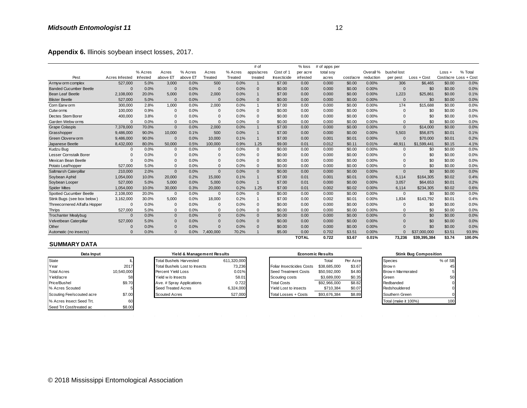| Appendix 6. Illinois soybean insect losses, 2017. |                |          |              |          |                |         |                |             |              |               |           |           |              |              |        |                       |
|---------------------------------------------------|----------------|----------|--------------|----------|----------------|---------|----------------|-------------|--------------|---------------|-----------|-----------|--------------|--------------|--------|-----------------------|
|                                                   |                |          |              |          |                |         | # of           |             | $%$ loss     | # of apps per |           |           |              |              |        |                       |
|                                                   |                | % Acres  | Acres        | % Acres  | Acres          | % Acres | apps/acres     | Cost of 1   | per acre     | total soy     |           | Overall % | bushel lost  |              | Loss + | % Total               |
| Pest                                              | Acres Infested | Infested | above ET     | above ET | Treated        | Treated | treated        | Insecticide | infested     | acres         | cost/acre | reduction | per pest     | Loss + Cost  |        | Cost/acre Loss + Cost |
| Armyw orm complex                                 | 527,000        | 5.0%     | 3,000        | 0.0%     | 500            | 0.0%    | $\mathbf{1}$   | \$7.00      | 0.00         | 0.000         | \$0.00    | 0.00%     | 306          | \$6,465      | \$0.00 | 0.0%                  |
| <b>Banded Cucumber Beetle</b>                     | $\Omega$       | 0.0%     | $\Omega$     | 0.0%     | $\mathbf{0}$   | 0.0%    | $\overline{0}$ | \$0.00      | 0.00         | 0.000         | \$0.00    | 0.00%     | $\mathbf{0}$ | \$0          | \$0.00 | 0.0%                  |
| <b>Bean Leaf Beetle</b>                           | 2,108,000      | 20.0%    | 5,000        | 0.0%     | 2,000          | 0.0%    | $\overline{1}$ | \$7.00      | 0.00         | 0.000         | \$0.00    | 0.00%     | 1,223        | \$25,861     | \$0.00 | 0.1%                  |
| <b>Blister Beetle</b>                             | 527,000        | 5.0%     | $\Omega$     | 0.0%     | $\Omega$       | 0.0%    | $\Omega$       | \$0.00      | 0.00         | 0.000         | \$0.00    | 0.00%     | $\Omega$     | \$0          | \$0.00 | 0.0%                  |
| Corn Earw orm                                     | 300,000        | 2.8%     | 1,000        | 0.0%     | 2,000          | 0.0%    | $\overline{1}$ | \$7.00      | 0.00         | 0.000         | \$0.00    | 0.00%     | 174          | \$15,688     | \$0.00 | 0.0%                  |
| Cutw orms                                         | 100,000        | 0.9%     | $\Omega$     | 0.0%     | $\mathbf 0$    | 0.0%    | $\mathbf{0}$   | \$0.00      | 0.00         | 0.000         | \$0.00    | 0.00%     | $\mathbf{0}$ | \$0          | \$0.00 | 0.0%                  |
| Dectes Stem Borer                                 | 400,000        | 3.8%     | $\Omega$     | 0.0%     | $\Omega$       | 0.0%    | $\mathbf 0$    | \$0.00      | 0.00         | 0.000         | \$0.00    | 0.00%     | $\Omega$     | \$0          | \$0.00 | 0.0%                  |
| Garden Webw orms                                  | $\Omega$       | 0.0%     | $\mathbf{0}$ | 0.0%     | $\Omega$       | 0.0%    | $\Omega$       | \$0.00      | 0.00         | 0.000         | \$0.00    | 0.00%     | $\mathbf{0}$ | \$0          | \$0.00 | 0.0%                  |
| <b>Grape Colaspis</b>                             | 7,378,000      | 70.0%    | $\mathbf{0}$ | 0.0%     | 2,000          | 0.0%    | $\mathbf{1}$   | \$7.00      | 0.00         | 0.000         | \$0.00    | 0.00%     | $\Omega$     | \$14,000     | \$0.00 | 0.0%                  |
| Grasshopper                                       | 9,486,000      | 90.0%    | 10,000       | 0.1%     | 500            | 0.0%    | $\mathbf{1}$   | \$7.00      | 0.00         | 0.000         | \$0.00    | 0.00%     | 5,503        | \$56,875     | \$0.01 | 0.1%                  |
| Green Cloverw orm                                 | 9,486,000      | 90.0%    | $\Omega$     | 0.0%     | 10,000         | 0.1%    | $\mathbf{1}$   | \$7.00      | 0.00         | 0.001         | \$0.01    | 0.00%     | $\Omega$     | \$70,000     | \$0.01 | 0.2%                  |
| Japanese Beetle                                   | 8,432,000      | 80.0%    | 50,000       | 0.5%     | 100,000        | 0.9%    | 1.25           | \$9.00      | 0.01         | 0.012         | \$0.11    | 0.01%     | 48,911       | \$1,599,441  | \$0.15 | 4.1%                  |
| Kudzu Bug                                         | $\mathbf{0}$   | 0.0%     | $\mathbf{0}$ | 0.0%     | $\Omega$       | 0.0%    | $\mathbf{0}$   | \$0.00      | 0.00         | 0.000         | \$0.00    | 0.00%     | $\Omega$     | \$0          | \$0.00 | 0.0%                  |
| Lesser Cornstalk Borer                            | $\Omega$       | 0.0%     | $\Omega$     | 0.0%     | $\Omega$       | 0.0%    | 0              | \$0.00      | 0.00         | 0.000         | \$0.00    | 0.00%     | $\Omega$     | \$0          | \$0.00 | 0.0%                  |
| Mexican Bean Beetle                               | $\Omega$       | 0.0%     | $\Omega$     | 0.0%     | $\Omega$       | 0.0%    | $\Omega$       | \$0.00      | 0.00         | 0.000         | \$0.00    | 0.00%     | $\Omega$     | \$0          | \$0.00 | 0.0%                  |
| Potato Leafhopper                                 | 527,000        | 5.0%     | $\mathbf 0$  | 0.0%     | $\Omega$       | 0.0%    | $\mathbf{0}$   | \$0.00      | 0.00         | 0.000         | \$0.00    | 0.00%     | $\mathbf{0}$ | \$0          | \$0.00 | 0.0%                  |
| Saltmarsh Caterpillar                             | 210,000        | 2.0%     | $\mathbf{0}$ | 0.0%     | $\mathbf{0}$   | 0.0%    | $\mathbf{0}$   | \$0.00      | 0.00         | 0.000         | \$0.00    | 0.00%     | $\Omega$     | \$0          | \$0.00 | 0.0%                  |
| Soybean Aphid                                     | 1,054,000      | 10.0%    | 20,000       | 0.2%     | 15.000         | 0.1%    | $\mathbf{1}$   | \$7.00      | 0.01         | 0.001         | \$0.01    | 0.00%     | 6,114        | \$164,305    | \$0.02 | 0.4%                  |
| Soybean Looper                                    | 527,000        | 5.0%     | 5,000        | 0.0%     | 5,000          | 0.0%    | $\overline{1}$ | \$7.00      | 0.01         | 0.000         | \$0.00    | 0.00%     | 3,057        | \$64,653     | \$0.01 | 0.2%                  |
| <b>Spider Mites</b>                               | 1,054,000      | 10.0%    | 30,000       | 0.3%     | 20,000         | 0.2%    | 1.25           | \$7.00      | 0.01         | 0.002         | \$0.02    | 0.00%     | 6,114        | \$234,305    | \$0.02 | 0.6%                  |
| Spotted Cucumber Beetle                           | 2,108,000      | 20.0%    | $\mathbf{0}$ | 0.0%     | $\mathbf{0}$   | 0.0%    | $\Omega$       | \$0.00      | 0.00         | 0.000         | \$0.00    | 0.00%     | $\Omega$     | \$0          | \$0.00 | 0.0%                  |
| Stink Bugs (see box below)                        | 3,162,000      | 30.0%    | 5,000        | 0.0%     | 18,000         | 0.2%    | $\mathbf{1}$   | \$7.00      | 0.00         | 0.002         | \$0.01    | 0.00%     | 1.834        | \$143,792    | \$0.01 | 0.4%                  |
| Threecornered Alfalfa Hopper                      | $\Omega$       | 0.0%     | $\Omega$     | 0.0%     | $\Omega$       | 0.0%    | $\mathbf 0$    | \$0.00      | 0.00         | 0.000         | \$0.00    | 0.00%     | $\mathbf{0}$ | \$0          | \$0.00 | 0.0%                  |
| <b>Thrips</b>                                     | 527,000        | 5.0%     | $\mathbf{0}$ | 0.0%     | $\mathbf 0$    | 0.0%    | $\mathbf{0}$   | \$0.00      | 0.00         | 0.000         | \$0.00    | 0.00%     | $\Omega$     | \$0          | \$0.00 | 0.0%                  |
| <b>Trochanter Mealybug</b>                        | $\Omega$       | 0.0%     | $\mathbf{0}$ | 0.0%     | $\mathbf{0}$   | 0.0%    | $\mathbf{0}$   | \$0.00      | 0.00         | 0.000         | \$0.00    | 0.00%     | $\Omega$     | \$0          | \$0.00 | 0.0%                  |
| Velvetbean Caterpillar                            | 527,000        | 5.0%     | $\mathbf{0}$ | 0.0%     | $\overline{0}$ | 0.0%    | $\mathbf 0$    | \$0.00      | 0.00         | 0.000         | \$0.00    | 0.00%     | $\Omega$     | \$0          | \$0.00 | 0.0%                  |
| Other                                             | 0              | 0.0%     | $\mathbf 0$  | 0.0%     | $\Omega$       | 0.0%    | $\mathbf 0$    | \$0.00      | 0.00         | 0.000         | \$0.00    | 0.00%     | $\Omega$     | \$0          | \$0.00 | 0.0%                  |
| Automatic (no insects)                            | O              | 0.0%     | $\Omega$     | 0.0%     | 7.400.000      | 70.2%   |                | \$5.00      | 0.00         | 0.702         | \$3.51    | 0.00%     |              | \$37,000,000 | \$3.51 | 93.9%                 |
|                                                   |                |          |              |          |                |         |                |             | <b>TOTAL</b> | 0.722         | \$3.67    | 0.01%     | 73.236       | \$39.395.384 | \$3.74 | 100.0%                |

|                           |            | <i>.</i> . |                                      |      |                            | <u>, .</u>  |                           |              | -----                   |          | ----- |                      |                              | $\bullet\!\!\sim\!\!\bullet\!\!\sim\!\!\bullet$ |
|---------------------------|------------|------------|--------------------------------------|------|----------------------------|-------------|---------------------------|--------------|-------------------------|----------|-------|----------------------|------------------------------|-------------------------------------------------|
| Automatic (no insects)    | $\Omega$   | 0.0%       | $\mathbf{0}$                         | 0.0% | 7,400,000                  | 70.2%       | \$5.00                    | 0.00         | 0.702                   | \$3.51   | 0.00% | $\Omega$             | \$37,000,000                 | \$3.51                                          |
|                           |            |            |                                      |      |                            |             |                           | <b>TOTAL</b> | 0.722                   | \$3.67   | 0.01% | 73,236               | \$39,395,384                 | \$3.74                                          |
| <b>SUMMARY DATA</b>       |            |            |                                      |      |                            |             |                           |              |                         |          |       |                      |                              |                                                 |
| Data Input                |            |            |                                      |      | Yield & Management Results |             |                           |              | <b>Economic Results</b> |          |       |                      | <b>Stink Bug Composition</b> |                                                 |
| State                     |            |            | <b>Total Bushels Harvested</b>       |      |                            | 611,320,000 |                           |              | Total                   | Per Acre |       | Species              |                              | % of SB                                         |
| Year                      | 2017       |            | <b>Total Bushels Lost to Insects</b> |      |                            | 73,236      | Foliar Insecticides Costs |              | \$38,685,000            | \$3.67   |       | Brow n               |                              | 45                                              |
| <b>Total Acres</b>        | 10,540,000 |            | Percent Yield Loss                   |      |                            | 0.01%       | Seed Treatment Costs      |              | \$50,592,000            | \$4.80   |       | Brow n Marmorated    |                              |                                                 |
| Yield/acre                | 58         |            | Yield w/o Insects                    |      |                            | 58.01       | Scouting costs            |              | \$3,689,000             | \$0.35   |       | Green                |                              | 50                                              |
| Price/Bushel              | \$9.70     |            | Ave. # Spray Applications            |      |                            | 0.722       | <b>Total Costs</b>        |              | \$92,966,000            | \$8.82   |       | Redbanded            |                              | 0                                               |
| % Acres Scouted           |            |            | Seed Treated Acres                   |      |                            | 6,324,000   | Yield Lost to insects     |              | \$710,384               | \$0.07   |       | Redshouldered        |                              | $\mathbf 0$                                     |
| Scouting Fee/scouted acre | \$7.00     |            | <b>Scouted Acres</b>                 |      |                            | 527,000     | Total Losses + Costs      |              | \$93,676,384            | \$8.89   |       | Southern Green       |                              | $\Omega$                                        |
| % Acres Insect Seed Trt.  | 60         |            |                                      |      |                            |             |                           |              |                         |          |       | Total (make it 100%) |                              | 100                                             |
| Seed Trt Cost/treated ac  | \$8.00     |            |                                      |      |                            |             |                           |              |                         |          |       |                      |                              |                                                 |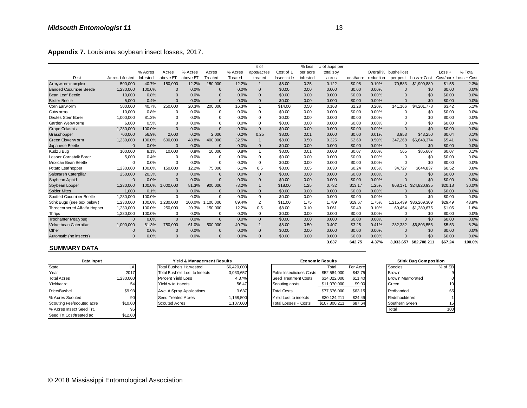|                               |                |          |              |          |              |         | # of                    |             | % loss          | # of apps per |           |           |                       |              |         |                       |
|-------------------------------|----------------|----------|--------------|----------|--------------|---------|-------------------------|-------------|-----------------|---------------|-----------|-----------|-----------------------|--------------|---------|-----------------------|
|                               |                | % Acres  | Acres        | % Acres  | Acres        | % Acres | apps/acres              | Cost of 1   | per acre        | total soy     |           |           | Overall % bushel lost |              | Loss +  | % Total               |
| Pest                          | Acres Infested | Infested | above ET     | above El | Treated      | Treated | treated                 | Insecticide | <i>infested</i> | acres         | cost/acre | reduction | per pest              | Loss + Cost  |         | Cost/acre Loss + Cost |
| Armyw orm complex             | 500,000        | 40.7%    | 150,000      | 12.2%    | 150,000      | 12.2%   | $\mathbf 1$             | \$8.00      | 0.25            | 0.122         | \$0.98    | 0.10%     | 70,583                | \$1,900,889  | \$1.55  | 2.3%                  |
| <b>Banded Cucumber Beetle</b> | 1,230,000      | 100.0%   | $\Omega$     | 0.0%     | $\Omega$     | 0.0%    | $\Omega$                | \$0.00      | 0.00            | 0.000         | \$0.00    | 0.00%     | $\Omega$              | \$0          | \$0.00  | 0.0%                  |
| <b>Bean Leaf Beetle</b>       | 10,000         | 0.8%     | $\Omega$     | 0.0%     | $\Omega$     | 0.0%    | $\Omega$                | \$0.00      | 0.00            | 0.000         | \$0.00    | 0.00%     | $\Omega$              | \$0          | \$0.00  | 0.0%                  |
| <b>Blister Beetle</b>         | 5,000          | 0.4%     | $\Omega$     | 0.0%     | $\Omega$     | 0.0%    | $\Omega$                | \$0.00      | 0.00            | 0.000         | \$0.00    | 0.00%     | $\Omega$              | \$0          | \$0.00  | 0.0%                  |
| Corn Earw orm                 | 500,000        | 40.7%    | 250,000      | 20.3%    | 200,000      | 16.3%   | $\overline{\mathbf{1}}$ | \$14.00     | 0.50            | 0.163         | \$2.28    | 0.20%     | 141,166               | \$4,201,778  | \$3.42  | 5.1%                  |
| Cutw orms                     | 10,000         | 0.8%     | $\mathbf 0$  | 0.0%     | <sup>0</sup> | 0.0%    | $\mathbf 0$             | \$0.00      | 0.00            | 0.000         | \$0.00    | 0.00%     | $\Omega$              | \$0          | \$0.00  | 0.0%                  |
| Dectes Stem Borer             | 1,000,000      | 81.3%    | $\mathbf 0$  | 0.0%     | $\Omega$     | 0.0%    | $\mathbf 0$             | \$0.00      | 0.00            | 0.000         | \$0.00    | 0.00%     | $\Omega$              | \$0          | \$0.00  | 0.0%                  |
| Garden Webw orms              | 6,000          | 0.5%     | $\Omega$     | 0.0%     | $\Omega$     | 0.0%    | $\Omega$                | \$0.00      | 0.00            | 0.000         | \$0.00    | 0.00%     | $\Omega$              | \$0          | \$0.00  | 0.0%                  |
| <b>Grape Colaspis</b>         | 1,230,000      | 100.0%   | $\mathbf{0}$ | 0.0%     | $\Omega$     | 0.0%    | $\mathbf{0}$            | \$0.00      | 0.00            | 0.000         | \$0.00    | 0.00%     | $\mathbf{0}$          | \$0          | \$0.00  | 0.0%                  |
| Grasshopper                   | 700.000        | 56.9%    | 2,000        | 0.2%     | 2,000        | 0.2%    | 0.25                    | \$8.00      | 0.01            | 0.000         | \$0.00    | 0.01%     | 3,953                 | \$43,250     | \$0.04  | 0.1%                  |
| Green Cloverw orm             | 1,230,000      | 100.0%   | 600,000      | 48.8%    | 400,000      | 32.5%   | $\overline{1}$          | \$8.00      | 0.50            | 0.325         | \$2.60    | 0.50%     | 347,268               | \$6,648,374  | \$5.41  | 8.0%                  |
| Japanese Beetle               |                | 0.0%     | $\Omega$     | 0.0%     | $\Omega$     | 0.0%    | $\mathbf{0}$            | \$0.00      | 0.00            | 0.000         | \$0.00    | 0.00%     | $\Omega$              | \$0          | \$0.00  | 0.0%                  |
| Kudzu Bug                     | 100,000        | 8.1%     | 10,000       | 0.8%     | 10,000       | 0.8%    | $\overline{\mathbf{1}}$ | \$8.00      | 0.01            | 0.008         | \$0.07    | 0.00%     | 565                   | \$85,607     | \$0.07  | 0.1%                  |
| <b>Lesser Cornstalk Borer</b> | 5,000          | 0.4%     | $\Omega$     | 0.0%     |              | 0.0%    | $\mathbf 0$             | \$0.00      | 0.00            | 0.000         | \$0.00    | 0.00%     | $\Omega$              | \$0          | \$0.00  | 0.0%                  |
| Mexican Bean Beetle           |                | 0.0%     | $\Omega$     | 0.0%     | <sup>0</sup> | 0.0%    | 0                       | \$0.00      | 0.00            | 0.000         | \$0.00    | 0.00%     | $\Omega$              | \$0          | \$0.00  | 0.0%                  |
| Potato Leafhopper             | 1,230,000      | 100.0%   | 150,000      | 12.2%    | 75,000       | 6.1%    | 0.5                     | \$8.00      | 0.05            | 0.030         | \$0.24    | 0.05%     | 34,727                | \$644,837    | \$0.52  | 0.8%                  |
| Saltmarsh Caterpillar         | 250,000        | 20.3%    | $\mathbf{0}$ | 0.0%     | $\Omega$     | 0.0%    | $\Omega$                | \$0.00      | 0.00            | 0.000         | \$0.00    | 0.00%     | $\mathbf{0}$          | \$0          | \$0.00  | 0.0%                  |
| Soybean Aphid                 |                | 0.0%     | $\Omega$     | 0.0%     | $\Omega$     | 0.0%    | $\Omega$                | \$0.00      | 0.00            | 0.000         | \$0.00    | 0.00%     | $\Omega$              | \$0          | \$0.00  | 0.0%                  |
| Soybean Looper                | 1,230,000      | 100.0%   | 1,000,000    | 81.3%    | 900,000      | 73.2%   |                         | \$18.00     | 1.25            | 0.732         | \$13.17   | 1.25%     | 868.171               | \$24,820,935 | \$20.18 | 30.0%                 |
| <b>Spider Mites</b>           | 1,000          | 0.1%     | $\Omega$     | 0.0%     | $\Omega$     | 0.0%    | $\Omega$                | \$0.00      | 0.00            | 0.000         | \$0.00    | 0.00%     | $\Omega$              | \$0          | \$0.00  | 0.0%                  |
| Spotted Cucumber Beetle       | 1,230,000      | 100.0%   | $\Omega$     | 0.0%     | $\Omega$     | 0.0%    | $\mathbf 0$             | \$0.00      | 0.00            | 0.000         | \$0.00    | 0.00%     | $\Omega$              | \$0          | \$0.00  | 0.0%                  |
| Stink Bugs (see box below)    | 1,230,000      | 100.0%   | ,230,000     | 100.0%   | 1,100,000    | 89.4%   | $\overline{2}$          | \$11.00     | 1.75            | 1.789         | \$19.67   | 1.75%     | 1.215.439             | \$36,269,309 | \$29.49 | 43.9%                 |
| Threecornered Alfalfa Hopper  | 1,230,000      | 100.0%   | 250,000      | 20.3%    | 150,000      | 12.2%   | 0.5                     | \$8.00      | 0.10            | 0.061         | \$0.49    | 0.10%     | 69.454                | \$1,289,675  | \$1.05  | 1.6%                  |
| Thrips                        | 1,230,000      | 100.0%   | $\Omega$     | 0.0%     | $\Omega$     | 0.0%    | $\mathbf 0$             | \$0.00      | 0.00            | 0.000         | \$0.00    | 0.00%     | 0                     | \$0          | \$0.00  | 0.0%                  |
| <b>Trochanter Mealybug</b>    | $\Omega$       | 0.0%     | $\mathbf{0}$ | 0.0%     | $\Omega$     | 0.0%    | $\Omega$                | \$0.00      | 0.00            | 0.000         | \$0.00    | 0.00%     | $\mathbf{0}$          | \$0          | \$0.00  | 0.0%                  |
| Velvetbean Caterpillar        | 1,000,000      | 81.3%    | 750,000      | 61.0%    | 500.000      | 40.7%   |                         | \$8.00      | 0.50            | 0.407         | \$3.25    | 0.41%     | 282.332               | \$6,803,556  | \$5.53  | 8.2%                  |
| Other                         |                | 0.0%     | $\Omega$     | 0.0%     |              | 0.0%    | $\Omega$                | \$0.00      | 0.00            | 0.000         | \$0.00    | 0.00%     | $\Omega$              | \$0          | \$0.00  | 0.0%                  |
| Automatic (no insects)        | $\Omega$       | 0.0%     | $\Omega$     | 0.0%     | $\Omega$     | 0.0%    | $\Omega$                | \$0.00      | 0.00            | 0.000         | \$0.00    | 0.00%     | $\Omega$              | \$0          | \$0.00  | 0.0%                  |
|                               |                |          |              |          |              |         |                         |             |                 | 3.637         | \$42.75   | 4.37%     | 3.033.657             | \$82,708,211 | \$67.24 | 100.0%                |

#### **SUMMARY DATA**

| Data Input                |           | Yield & Management Results     |            |                             | <b>Economic Results</b> |          | <b>Stink Bug Composition</b> |         |
|---------------------------|-----------|--------------------------------|------------|-----------------------------|-------------------------|----------|------------------------------|---------|
| State                     |           | <b>Total Bushels Harvested</b> | 66.420.000 |                             | Total                   | Per Acre | <b>Species</b>               | % of SB |
| Year                      | 2017      | Total Bushels Lost to Insects  | 3,033,657  | Foliar Insecticides Costs   | \$52,584,000            | \$42.75  | <b>Brown</b>                 |         |
| <b>Total Acres</b>        | 1,230,000 | Percent Yield Loss             | 4.37%      | Seed Treatment Costs        | \$14.022.000            | \$11.40  | <b>Brown Marmorated</b>      |         |
| Yield/acre                | 54        | Yield w/o Insects              | 56.47      | Scouting costs              | \$11,070,000            | \$9.00   | Green                        | 10      |
| Price/Bushel              | \$9.93    | Ave. # Spray Applications      | 3.637      | <b>Total Costs</b>          | \$77,676,000            | \$63.15  | Redbanded                    | 65      |
| % Acres Scouted           | 90        | Seed Treated Acres             | ,168,500   | Yield Lost to insects       | \$30.124.211            | \$24.49  | Redshouldered                |         |
| Scouting Fee/scouted acre | \$10.00   | <b>Scouted Acres</b>           | ,107,000   | <b>Total Losses + Costs</b> | \$107,800,211           | \$87.64  | Southern Green               | 15      |
| % Acres Insect Seed Trt.  | 95        |                                |            |                             |                         |          | Total                        | 100     |
| Seed Trt Cost/treated ac  | \$12.00   |                                |            |                             |                         |          |                              |         |

# Total Bushels Lost to Insects 3,033,657<br>Percent Yield Loss 4.37% Scouted Acres + Costs 3,107,000 **Yield & Management Results** Seed Treated Acres 1,168,500

| Automatic (no insects)    |          | 0.0% | 0.0%                                 |                            | 0.0%       | 0.00<br>\$0.00               | 0.000                   | \$0.00   | 0.00% |                   | \$0                          | \$0.00               |
|---------------------------|----------|------|--------------------------------------|----------------------------|------------|------------------------------|-------------------------|----------|-------|-------------------|------------------------------|----------------------|
| <b>SUMMARY DATA</b>       |          |      |                                      |                            |            |                              | 3.637                   | \$42.75  | 4.37% | 3.033.657         | \$82.708.211                 | \$67.24              |
| Data Input                |          |      |                                      | Yield & Management Results |            |                              | <b>Economic Results</b> |          |       |                   | <b>Stink Bug Composition</b> |                      |
|                           |          |      |                                      |                            |            |                              |                         |          |       |                   |                              |                      |
| State                     | LA       |      | <b>Total Bushels Harvested</b>       |                            | 66,420,000 |                              | Total                   | Per Acre |       | <b>Species</b>    |                              | % of SB              |
| Year                      | 2017     |      | <b>Total Bushels Lost to Insects</b> |                            | 3,033,657  | Foliar Insecticides Costs    | \$52,584,000            | \$42.75  |       | Brow n            |                              |                      |
| <b>Total Acres</b>        | ,230,000 |      | Percent Yield Loss                   |                            | 4.37%      | Seed Treatment Costs         | \$14.022.000            | \$11.40  |       | Brow n Marmorated |                              |                      |
| Yield/acre                |          |      | Yield w/o Insects                    |                            | 56.47      | Scouting costs               | \$11,070,000            | \$9.00   |       | Green             |                              | 10                   |
| Price/Bushel              | \$9.93   |      | Ave. # Spray Applications            |                            | 3.637      | <b>Total Costs</b>           | \$77.676.000            | \$63.15  |       | Redbanded         |                              | 65                   |
| % Acres Scouted           | 90       |      | Seed Treated Acres                   |                            | 1,168,500  | <b>Yield Lost to insects</b> | \$30,124,211            | \$24.49  |       | Redshouldered     |                              |                      |
| Scouting Fee/scouted acre | \$10.00  |      | <b>Scouted Acres</b>                 |                            | 1,107,000  | Total Losses + Costs         | \$107,800,211           | \$87.64  |       | Southern Green    |                              | 15                   |
| .                         |          |      |                                      |                            |            |                              |                         |          |       | - - -             |                              | $\sim$ $\sim$ $\sim$ |

| <b>Stink Bug Composition</b> |         |
|------------------------------|---------|
| Species                      | % of SB |
| Brow n                       |         |
| Brown Marmorated             |         |
| Green                        | 10      |
| Redbanded                    | 65      |
| Redshouldered                |         |
| Southern Green               | 15      |
| otal                         |         |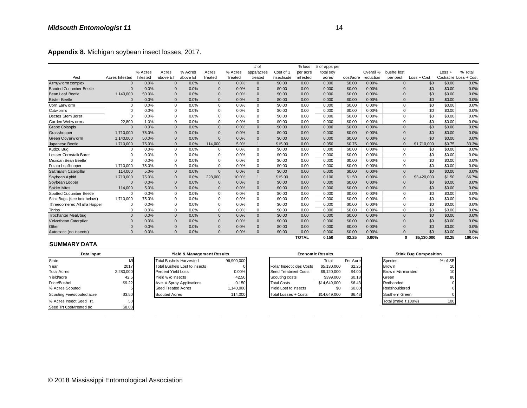| Appendix 8. Michigan soybean insect losses, 2017. |                |          |              |          |                |         |              |             |              |               |           |           |              |             |          |                       |
|---------------------------------------------------|----------------|----------|--------------|----------|----------------|---------|--------------|-------------|--------------|---------------|-----------|-----------|--------------|-------------|----------|-----------------------|
|                                                   |                |          |              |          |                |         | # of         |             | $%$ loss     | # of apps per |           |           |              |             |          |                       |
|                                                   |                | % Acres  | Acres        | % Acres  | Acres          | % Acres | apps/acres   | Cost of 1   | per acre     | total soy     |           | Overall % | bushel lost  |             | $Loss +$ | % Total               |
| Pest                                              | Acres Infested | Infested | above ET     | above ET | Treated        | Treated | treated      | Insecticide | infested     | acres         | cost/acre | reduction | per pest     | Loss + Cost |          | Cost/acre Loss + Cost |
| Armyw orm complex                                 | $\Omega$       | 0.0%     | $\mathbf{0}$ | 0.0%     | $\overline{0}$ | 0.0%    | $\mathbf{0}$ | \$0.00      | 0.00         | 0.000         | \$0.00    | 0.00%     | $\Omega$     | \$0         | \$0.00   | 0.0%                  |
| <b>Banded Cucumber Beetle</b>                     | 0              | 0.0%     | $\mathbf{0}$ | 0.0%     | $\overline{0}$ | 0.0%    | $\Omega$     | \$0.00      | 0.00         | 0.000         | \$0.00    | 0.00%     |              | \$0         | \$0.00   | 0.0%                  |
| <b>Bean Leaf Beetle</b>                           | 1,140,000      | 50.0%    | $\Omega$     | 0.0%     | $\Omega$       | 0.0%    | $\Omega$     | \$0.00      | 0.00         | 0.000         | \$0.00    | 0.00%     | $\mathsf{C}$ | \$0         | \$0.00   | 0.0%                  |
| <b>Blister Beetle</b>                             | $\Omega$       | 0.0%     | $\Omega$     | 0.0%     | $\Omega$       | 0.0%    | $\Omega$     | \$0.00      | 0.00         | 0.000         | \$0.00    | 0.00%     | $\sqrt{ }$   | \$0         | \$0.00   | 0.0%                  |
| Corn Earw orm                                     | $\Omega$       | 0.0%     | $\mathbf 0$  | 0.0%     | $\Omega$       | 0.0%    | $\mathbf 0$  | \$0.00      | 0.00         | 0.000         | \$0.00    | 0.00%     | $\mathbf 0$  | \$0         | \$0.00   | 0.0%                  |
| Cutw orms                                         | $\mathbf 0$    | 0.0%     | 0            | 0.0%     | $\Omega$       | 0.0%    | $\mathbf 0$  | \$0.00      | 0.00         | 0.000         | \$0.00    | 0.00%     | $\Omega$     | \$0         | \$0.00   | 0.0%                  |
| Dectes Stem Borer                                 | $\Omega$       | 0.0%     | $\mathbf 0$  | 0.0%     | $\Omega$       | 0.0%    | $\mathbf 0$  | \$0.00      | 0.00         | 0.000         | \$0.00    | 0.00%     | $\Omega$     | \$0         | \$0.00   | 0.0%                  |
| Garden Webw orms                                  | 22.800         | 1.0%     | $\mathbf 0$  | 0.0%     | $\Omega$       | 0.0%    | $\mathbf 0$  | \$0.00      | 0.00         | 0.000         | \$0.00    | 0.00%     | $\Omega$     | \$0         | \$0.00   | 0.0%                  |
| <b>Grape Colaspis</b>                             | $\Omega$       | 0.0%     | $\mathbf{0}$ | 0.0%     | $\Omega$       | 0.0%    | $\mathbf{0}$ | \$0.00      | 0.00         | 0.000         | \$0.00    | 0.00%     | $\Omega$     | \$0         | \$0.00   | 0.0%                  |
| Grasshopper                                       | 1,710,000      | 75.0%    | $\Omega$     | 0.0%     | $\Omega$       | 0.0%    | $\mathbf{0}$ | \$0.00      | 0.00         | 0.000         | \$0.00    | 0.00%     | $\sqrt{ }$   | \$0         | \$0.00   | 0.0%                  |
| Green Cloverw orm                                 | 1,140,000      | 50.0%    | $\Omega$     | 0.0%     | $\Omega$       | 0.0%    | $\Omega$     | \$0.00      | 0.00         | 0.000         | \$0.00    | 0.00%     | $\sqrt{ }$   | \$0         | \$0.00   | 0.0%                  |
| Japanese Beetle                                   | 1,710,000      | 75.0%    | $\mathbf{0}$ | 0.0%     | 114,000        | 5.0%    |              | \$15.00     | 0.00         | 0.050         | \$0.75    | 0.00%     | $\sqrt{ }$   | \$1,710,000 | \$0.75   | 33.3%                 |
| Kudzu Bug                                         | $\Omega$       | 0.0%     | 0            | 0.0%     | $\Omega$       | 0.0%    | $\mathbf 0$  | \$0.00      | 0.00         | 0.000         | \$0.00    | 0.00%     | $\mathbf 0$  | \$0         | \$0.00   | 0.0%                  |
| Lesser Cornstalk Borer                            | $\Omega$       | 0.0%     | $\Omega$     | 0.0%     | $\Omega$       | 0.0%    | $\mathbf 0$  | \$0.00      | 0.00         | 0.000         | \$0.00    | 0.00%     | $\Omega$     | \$0         | \$0.00   | 0.0%                  |
| Mexican Bean Beetle                               | $\Omega$       | 0.0%     | $\Omega$     | 0.0%     | $\Omega$       | 0.0%    | $\mathbf 0$  | \$0.00      | 0.00         | 0.000         | \$0.00    | 0.00%     | $\Omega$     | \$0         | \$0.00   | 0.0%                  |
| Potato Leafhopper                                 | 1,710,000      | 75.0%    | 0            | 0.0%     | $\mathbf 0$    | 0.0%    | $\mathbf 0$  | \$0.00      | 0.00         | 0.000         | \$0.00    | 0.00%     | $\Omega$     | \$0         | \$0.00   | 0.0%                  |
| Saltmarsh Caterpillar                             | 114,000        | 5.0%     | $\mathbf{0}$ | 0.0%     | $\Omega$       | 0.0%    | $\mathbf{0}$ | \$0.00      | 0.00         | 0.000         | \$0.00    | 0.00%     | $\Omega$     | \$0         | \$0.00   | 0.0%                  |
| Soybean Aphid                                     | 1,710,000      | 75.0%    | $\mathbf{0}$ | 0.0%     | 228,000        | 10.0%   | $\mathbf{1}$ | \$15.00     | 0.00         | 0.100         | \$1.50    | 0.00%     | $\sqrt{ }$   | \$3,420,000 | \$1.50   | 66.7%                 |
| Soybean Looper                                    | $\mathbf 0$    | 0.0%     | $\mathbf{0}$ | 0.0%     | $\Omega$       | 0.0%    | $\mathbf{0}$ | \$0.00      | 0.00         | 0.000         | \$0.00    | 0.00%     | $\Omega$     | \$0         | \$0.00   | 0.0%                  |
| <b>Spider Mites</b>                               | 114,000        | 5.0%     | $\Omega$     | 0.0%     | $\Omega$       | 0.0%    | $\Omega$     | \$0.00      | 0.00         | 0.000         | \$0.00    | 0.00%     | $\Omega$     | \$0         | \$0.00   | 0.0%                  |
| Spotted Cucumber Beetle                           | $\Omega$       | 0.0%     | 0            | 0.0%     | $\Omega$       | 0.0%    | $\mathbf 0$  | \$0.00      | 0.00         | 0.000         | \$0.00    | 0.00%     | $\mathbf 0$  | \$0         | \$0.00   | 0.0%                  |
| Stink Bugs (see box below)                        | 1,710,000      | 75.0%    | 0            | 0.0%     | $\Omega$       | 0.0%    | $\mathbf 0$  | \$0.00      | 0.00         | 0.000         | \$0.00    | 0.00%     | $\Omega$     | \$0         | \$0.00   | 0.0%                  |
| Threecornered Alfalfa Hopper                      | $\Omega$       | 0.0%     | $\mathbf 0$  | 0.0%     | $\Omega$       | 0.0%    | $\Omega$     | \$0.00      | 0.00         | 0.000         | \$0.00    | 0.00%     | $\Omega$     | \$0         | \$0.00   | 0.0%                  |
| <b>Thrips</b>                                     | $\mathbf 0$    | 0.0%     | 0            | 0.0%     | $\Omega$       | 0.0%    | $\mathbf 0$  | \$0.00      | 0.00         | 0.000         | \$0.00    | 0.00%     | $\Omega$     | \$0         | \$0.00   | 0.0%                  |
| <b>Trochanter Mealybug</b>                        | $\mathbf{0}$   | 0.0%     | $\mathbf{0}$ | 0.0%     | $\Omega$       | 0.0%    | $\mathbf{0}$ | \$0.00      | 0.00         | 0.000         | \$0.00    | 0.00%     | $\Omega$     | \$0         | \$0.00   | 0.0%                  |
| Velvetbean Caterpillar                            | $\mathbf 0$    | 0.0%     | $\mathbf{0}$ | 0.0%     | $\overline{0}$ | 0.0%    | $\mathbf{0}$ | \$0.00      | 0.00         | 0.000         | \$0.00    | 0.00%     | $\sqrt{ }$   | \$0         | \$0.00   | 0.0%                  |
| Other                                             | 0              | 0.0%     | $\mathbf{0}$ | 0.0%     | $\Omega$       | 0.0%    | $\mathbf 0$  | \$0.00      | 0.00         | 0.000         | \$0.00    | 0.00%     | $\Omega$     | \$0         | \$0.00   | 0.0%                  |
| Automatic (no insects)                            | $\Omega$       | 0.0%     | $\Omega$     | 0.0%     | $\Omega$       | 0.0%    | $\Omega$     | \$0.00      | 0.00         | 0.000         | \$0.00    | 0.00%     |              | \$0         | \$0.00   | 0.0%                  |
|                                                   |                |          |              |          |                |         |              |             | <b>TOTAL</b> | 0.150         | \$2.25    | 0.00%     | n            | \$5.130.000 | \$2.25   | 100.0%                |

| ----                      |           | <u>, .</u> | <u></u>                        |                            | $\cdots$   |              | <b></b>                   | ----         | -----                   |          | -----    |                      | $\mathbf{v}$                 | $\bullet\!\!\sim\!\!\bullet\!\!\sim\!\!\bullet$ |
|---------------------------|-----------|------------|--------------------------------|----------------------------|------------|--------------|---------------------------|--------------|-------------------------|----------|----------|----------------------|------------------------------|-------------------------------------------------|
| Automatic (no insects)    | $\Omega$  | 0.0%       | 0.0%<br>0                      |                            | 0.0%       | $\mathbf{0}$ | \$0.00                    | 0.00         | 0.000                   | \$0.00   | $0.00\%$ | 0                    | \$0                          | \$0.00                                          |
|                           |           |            |                                |                            |            |              |                           | <b>TOTAL</b> | 0.150                   | \$2.25   | $0.00\%$ | 0                    | \$5,130,000                  | \$2.25                                          |
| <b>SUMMARY DATA</b>       |           |            |                                |                            |            |              |                           |              |                         |          |          |                      |                              |                                                 |
| Data Input                |           |            |                                | Yield & Management Results |            |              |                           |              | <b>Economic Results</b> |          |          |                      | <b>Stink Bug Composition</b> |                                                 |
| <b>State</b>              |           |            | <b>Total Bushels Harvested</b> |                            | 96,900,000 |              |                           |              | Total                   | Per Acre |          | <b>Species</b>       |                              | % of SB                                         |
| Year                      | 2017      |            | Total Bushels Lost to Insects  |                            |            |              | Foliar Insecticides Costs |              | \$5,130,000             | \$2.25   |          | Brow n               |                              | 10                                              |
| <b>Total Acres</b>        | 2,280,000 |            | Percent Yield Loss             |                            | 0.00%      |              | Seed Treatment Costs      |              | \$9,120,000             | \$4.00   |          | Brow n Marmorated    |                              | 10                                              |
| Yield/acre                | 42.5      |            | Yield w/o Insects              |                            | 42.50      |              | Scouting costs            |              | \$399,000               | \$0.18   |          | Green                |                              | 80                                              |
| Price/Bushel              | \$9.22    |            | Ave. # Spray Applications      |                            | 0.150      |              | <b>Total Costs</b>        |              | \$14,649,000            | \$6.43   |          | Redbanded            |                              | 0                                               |
| % Acres Scouted           |           |            | Seed Treated Acres             |                            | 1,140,000  |              | Yield Lost to insects     |              | \$0                     | \$0.00   |          | Redshouldered        |                              |                                                 |
| Scouting Fee/scouted acre | \$3.50    |            | <b>Scouted Acres</b>           |                            | 114,000    |              | Total Losses + Costs      |              | \$14,649,000            | \$6.43   |          | Southern Green       |                              |                                                 |
| % Acres Insect Seed Trt.  | 50        |            |                                |                            |            |              |                           |              |                         |          |          | Total (make it 100%) |                              | 100                                             |
| Seed Trt Cost/treated ac  | \$8.00    |            |                                |                            |            |              |                           |              |                         |          |          |                      |                              |                                                 |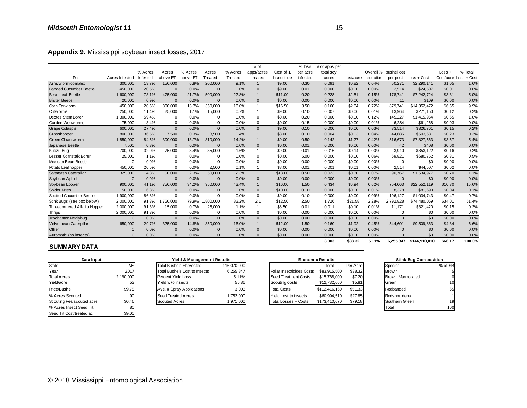| Appendix 9. Mississippi soybean insect losses, 2017. |                |          |              |          |              |         |                |             |          |               |           |           |                       |               |                       |         |
|------------------------------------------------------|----------------|----------|--------------|----------|--------------|---------|----------------|-------------|----------|---------------|-----------|-----------|-----------------------|---------------|-----------------------|---------|
|                                                      |                |          |              |          |              |         | # of           |             | $%$ loss | # of apps per |           |           |                       |               |                       |         |
|                                                      |                | % Acres  | Acres        | % Acres  | Acres        | % Acres | apps/acres     | Cost of 1   | per acre | total soy     |           |           | Overall % bushel lost |               | $Loss +$              | % Total |
| Pest                                                 | Acres Infested | Infested | above El     | above ET | Treated      | Treated | treated        | Insecticide | infested | acres         | cost/acre | reduction | per pest              | Loss + Cost   | Cost/acre Loss + Cost |         |
| Armyw orm complex                                    | 300,000        | 13.7%    | 150,000      | 6.8%     | 200,000      | 9.1%    | $\overline{1}$ | \$9.00      | 0.30     | 0.091         | \$0.82    | 0.04%     | 50,271                | \$2,290,141   | \$1.05                | 1.6%    |
| <b>Banded Cucumber Beetle</b>                        | 450,000        | 20.5%    | $\Omega$     | 0.0%     | $\Omega$     | 0.0%    | $\Omega$       | \$9.00      | 0.01     | 0.000         | \$0.00    | 0.00%     | 2,514                 | \$24,507      | \$0.01                | 0.0%    |
| Bean Leaf Beetle                                     | 1,600,000      | 73.1%    | 475,000      | 21.7%    | 500.000      | 22.8%   | $\mathbf{1}$   | \$11.00     | 0.20     | 0.228         | \$2.51    | 0.15%     | 178,741               | \$7,242,724   | \$3.31                | 5.0%    |
| <b>Blister Beetle</b>                                | 20,000         | 0.9%     | $\Omega$     | 0.0%     | $\Omega$     | 0.0%    | $\Omega$       | \$0.00      | 0.00     | 0.000         | \$0.00    | 0.00%     | 11                    | \$109         | \$0.00                | 0.0%    |
| Corn Earw orm                                        | 450,000        | 20.5%    | 300,000      | 13.7%    | 350,000      | 16.0%   | $\overline{1}$ | \$16.50     | 3.50     | 0.160         | \$2.64    | 0.72%     | 879.741               | \$14,352,472  | \$6.55                | 9.9%    |
| Cutw orms                                            | 250,000        | 11.4%    | 25,000       | 1.1%     | 15,000       | 0.7%    | $\overline{1}$ | \$9.00      | 0.10     | 0.007         | \$0.06    | 0.01%     | 13,964                | \$271,150     | \$0.12                | 0.2%    |
| Dectes Stem Borer                                    | 1,300,000      | 59.4%    | $\mathbf 0$  | 0.0%     | $\Omega$     | 0.0%    | $\mathbf 0$    | \$0.00      | 0.20     | 0.000         | \$0.00    | 0.12%     | 145,227               | \$1,415,964   | \$0.65                | 1.0%    |
| Garden Webw orms                                     | 75,000         | 3.4%     | $\mathbf 0$  | 0.0%     | $\Omega$     | 0.0%    | $\mathbf 0$    | \$0.00      | 0.15     | 0.000         | \$0.00    | 0.01%     | 6.284                 | \$61,268      | \$0.03                | 0.0%    |
| <b>Grape Colaspis</b>                                | 600,000        | 27.4%    | $\mathbf{0}$ | 0.0%     | $\Omega$     | 0.0%    | $\mathbf{0}$   | \$9.00      | 0.10     | 0.000         | \$0.00    | 0.03%     | 33,514                | \$326,761     | \$0.15                | 0.2%    |
| Grasshopper                                          | 800,000        | 36.5%    | 7,500        | 0.3%     | 8,500        | 0.4%    | $\mathbf{1}$   | \$8.00      | 0.10     | 0.004         | \$0.03    | 0.04%     | 44.685                | \$503.681     | \$0.23                | 0.3%    |
| Green Cloverw orm                                    | 1,850,000      | 84.5%    | 300,000      | 13.7%    | 310,000      | 14.2%   |                | \$9.00      | 0.50     | 0.142         | \$1.27    | 0.42%     | 516,673               | \$7,827,563   | \$3.57                | 5.4%    |
| Japanese Beetle                                      | 7,500          | 0.3%     | $\Omega$     | 0.0%     | $\Omega$     | 0.0%    | $\Omega$       | \$0.00      | 0.01     | 0.000         | \$0.00    | 0.00%     | 42                    | \$408         | \$0.00                | 0.0%    |
| Kudzu Bug                                            | 700,000        | 32.0%    | 75,000       | 3.4%     | 35,000       | 1.6%    | $\overline{1}$ | \$9.00      | 0.01     | 0.016         | \$0.14    | 0.00%     | 3,910                 | \$353.122     | \$0.16                | 0.2%    |
| Lesser Cornstalk Borer                               | 25,000         | 1.1%     | 0            | 0.0%     | $\Omega$     | 0.0%    | $\Omega$       | \$0.00      | 5.00     | 0.000         | \$0.00    | 0.06%     | 69,821                | \$680,752     | \$0.31                | 0.5%    |
| Mexican Bean Beetle                                  | $\Omega$       | 0.0%     | $\mathbf 0$  | 0.0%     | $\Omega$     | 0.0%    | $\Omega$       | \$0.00      | 0.00     | 0.000         | \$0.00    | 0.00%     | 0                     | \$0           | \$0.00                | 0.0%    |
| Potato Leafhopper                                    | 450.000        | 20.5%    | $\mathbf 0$  | 0.0%     | 2,500        | 0.1%    |                | \$8.00      | 0.01     | 0.001         | \$0.01    | 0.00%     | 2,514                 | \$44,507      | \$0.02                | 0.0%    |
| Saltmarsh Caterpillar                                | 325,000        | 14.8%    | 50,000       | 2.3%     | 50,000       | 2.3%    | $\mathbf{1}$   | \$13.00     | 0.50     | 0.023         | \$0.30    | 0.07%     | 90,767                | \$1,534,977   | \$0.70                | 1.1%    |
| Soybean Aphid                                        | $\sqrt{ }$     | 0.0%     | $\Omega$     | 0.0%     | $\Omega$     | 0.0%    | $\mathbf 0$    | \$0.00      | 0.00     | 0.000         | \$0.00    | 0.00%     | $\mathbf{0}$          | \$0           | \$0.00                | 0.0%    |
| Soybean Looper                                       | 900,000        | 41.1%    | 750,000      | 34.2%    | 950,000      | 43.4%   | $\overline{1}$ | \$16.00     | 1.50     | 0.434         | \$6.94    | 0.62%     | 754,063               | \$22,552,119  | \$10.30               | 15.6%   |
| <b>Spider Mites</b>                                  | 150,000        | 6.8%     | $\Omega$     | 0.0%     | $\Omega$     | 0.0%    | $\mathbf{0}$   | \$10.00     | 0.10     | 0.000         | \$0.00    | 0.01%     | 8,378                 | \$81,690      | \$0.04                | 0.1%    |
| Spotted Cucumber Beetle                              | 1,900,000      | 86.8%    | $\Omega$     | 0.0%     | $\Omega$     | 0.0%    | $\mathbf 0$    | \$9.00      | 0.10     | 0.000         | \$0.00    | 0.09%     | 106,127               | \$1,034,743   | \$0.47                | 0.7%    |
| Stink Bugs (see box below)                           | 2,000,000      | 91.3%    | 1,750,000    | 79.9%    | ,800,000     | 82.2%   | 2.1            | \$12.50     | 2.50     | 1.726         | \$21.58   | 2.28%     | 2,792,828             | \$74,480,069  | \$34.01               | 51.4%   |
| Threecornered Alfalfa Hopper                         | 2,000,000      | 91.3%    | 15,000       | 0.7%     | 25,000       | 1.1%    | $\overline{1}$ | \$8.50      | 0.01     | 0.011         | \$0.10    | 0.01%     | 11,171                | \$321,420     | \$0.15                | 0.2%    |
| Thrips                                               | 2,000,000      | 91.3%    | $\mathbf 0$  | 0.0%     | $\Omega$     | 0.0%    | $\Omega$       | \$0.00      | 0.00     | 0.000         | \$0.00    | 0.00%     | 0                     | \$0           | \$0.00                | 0.0%    |
| <b>Trochanter Mealybug</b>                           | $\Omega$       | 0.0%     | $\mathbf{0}$ | 0.0%     | $\mathbf{0}$ | 0.0%    | $\mathbf{0}$   | \$0.00      | 0.00     | 0.000         | \$0.00    | 0.00%     | $\mathbf{0}$          | \$0           | \$0.00                | 0.0%    |
| Velvetbean Caterpillar                               | 650,000        | 29.7%    | 325.000      | 14.8%    | 350,000      | 16.0%   | $\mathbf{1}$   | \$12.00     | 1.50     | 0.160         | \$1.92    | 0.45%     | 544.601               | \$9.509.863   | \$4.34                | 6.6%    |
| Other                                                | C              | 0.0%     | $\mathbf 0$  | 0.0%     | $\Omega$     | 0.0%    | $\mathbf 0$    | \$0.00      | 0.00     | 0.000         | \$0.00    | 0.00%     | $\mathbf{0}$          | \$0           | \$0.00                | 0.0%    |
| Automatic (no insects)                               | $\Omega$       | 0.0%     | $\Omega$     | 0.0%     | $\Omega$     | 0.0%    | $\Omega$       | \$0.00      | 0.00     | 0.000         | \$0.00    | 0.00%     | $\Omega$              | \$0           | \$0.00                | 0.0%    |
|                                                      |                |          |              |          |              |         |                |             |          | 3.003         | \$38.32   | 5.11%     | 6.255.847             | \$144,910,010 | \$66.17               | 100.0%  |

| Data Input                |           | Yield & Management Results     |             |                                  | <b>Economic Results</b> |          | <b>Stink Bug Composition</b> |         |  |
|---------------------------|-----------|--------------------------------|-------------|----------------------------------|-------------------------|----------|------------------------------|---------|--|
| State                     | ΜS        | <b>Total Bushels Harvested</b> | 116,070,000 |                                  | Total                   | Per Acre | <b>Species</b>               | % of SB |  |
| Year                      | 2017      | Total Bushels Lost to Insects  | 6,255,847   | <b>Foliar Insecticides Costs</b> | \$83,915,500            | \$38.32  | Brow n                       |         |  |
| <b>Total Acres</b>        | 2,190,000 | Percent Yield Loss             | 5.11%       | Seed Treatment Costs             | \$15,768,000            | \$7.20   | Brow n Marmorated            |         |  |
| Yield/acre                | 53        | Yield w/o Insects              | 55.86       | Scouting costs                   | \$12,732,660            | \$5.81   | Green                        | 10      |  |
| Price/Bushel              | \$9.75    | Ave. # Spray Applications      | 3.003       | <b>Total Costs</b>               | \$112.416.160           | \$51.33  | Redbanded                    | 65      |  |
| % Acres Scouted           | 90        | Seed Treated Acres             | 1,752,000   | Yield Lost to insects            | \$60,994,510            | \$27.85  | Redshouldered                |         |  |
| Scouting Fee/scouted acre | \$6.46    | <b>Scouted Acres</b>           | 1,971,000   | <b>Total Losses + Costs</b>      | \$173,410,670           | \$79.18  | Southern Green               | 19      |  |
| % Acres Insect Seed Trt.  | 80        |                                |             |                                  |                         |          | Total                        | 100     |  |
| Seed Trt Cost/treated ac  | \$9.00    |                                |             |                                  |                         |          |                              |         |  |

| Yield & Management Results           |             | Econ                   |
|--------------------------------------|-------------|------------------------|
| <b>Total Bushels Harvested</b>       | 116,070,000 |                        |
| <b>Total Bushels Lost to Insects</b> | 6,255,847   | Foliar Insecticides Co |
| Percent Yield Loss                   | 5.11%       | Seed Treatment Cost    |
| Yield w/o Insects                    | 55.86       | Scouting costs         |
| Ave. # Spray Applications            | 3.003       | <b>Total Costs</b>     |
| Seed Treated Acres                   | 1,752,000   | Yield Lost to insects  |
| <b>Scouted Acres</b>                 | 1,971,000   | Total Losses + Costs   |

| Automatic (no insects)    | $\Omega$  | 0.0% | $\Omega$                             | 0.0%                       | 0.0%        | $\mathbf{0}$ | \$0.00<br>0.00            | 0.000                   | \$0.00   | 0.00% |                   | \$0                          | \$0.00               |
|---------------------------|-----------|------|--------------------------------------|----------------------------|-------------|--------------|---------------------------|-------------------------|----------|-------|-------------------|------------------------------|----------------------|
| <b>SUMMARY DATA</b>       |           |      |                                      |                            |             |              |                           | 3.003                   | \$38.32  | 5.11% | 6.255.847         | \$144.910.010                | \$66.17              |
|                           |           |      |                                      |                            |             |              |                           |                         |          |       |                   |                              |                      |
| Data Input                |           |      |                                      | Yield & Management Results |             |              |                           | <b>Economic Results</b> |          |       |                   | <b>Stink Bug Composition</b> |                      |
| State                     | <b>MS</b> |      | <b>Total Bushels Harvested</b>       |                            | 116,070,000 |              |                           | Total                   | Per Acre |       | Species           |                              | % of SB              |
| Year                      | 2017      |      | <b>Total Bushels Lost to Insects</b> |                            | 6,255,847   |              | Foliar Insecticides Costs | \$83.915.500            | \$38.32  |       | Brow n            |                              |                      |
| <b>Total Acres</b>        | 2.190.000 |      | Percent Yield Loss                   |                            | 5.11%       |              | Seed Treatment Costs      | \$15,768,000            | \$7.20   |       | Brow n Marmorated |                              | 0                    |
| Yield/acre                | 53        |      | Yield w/o Insects                    |                            | 55.86       |              | Scouting costs            | \$12,732,660            | \$5.81   |       | Green             |                              | 10                   |
| Price/Bushel              | \$9.75    |      | Ave. # Spray Applications            |                            | 3.003       |              | <b>Total Costs</b>        | \$112,416,160           | \$51.33  |       | Redbanded         |                              | 65                   |
| % Acres Scouted           | 90        |      | Seed Treated Acres                   |                            | 1.752.000   |              | Yield Lost to insects     | \$60,994,510            | \$27.85  |       | Redshouldered     |                              |                      |
| Scouting Fee/scouted acre | \$6.46    |      | <b>Scouted Acres</b>                 |                            | 1,971,000   |              | Total Losses + Costs      | \$173,410,670           | \$79.18  |       | Southern Green    |                              | 19                   |
| . <b>.</b>                | --        |      |                                      |                            |             |              |                           |                         |          |       | - -               |                              | $\sim$ $\sim$ $\sim$ |

| <b>Stink Bug Composition</b> |         |
|------------------------------|---------|
| Species                      | % of SB |
| Brow n                       | 5       |
| Brow n Marmorated            |         |
| Green                        | 10      |
| Redbanded                    | 65      |
| Redshouldered                |         |
| Southern Green               | 19      |
| Total                        |         |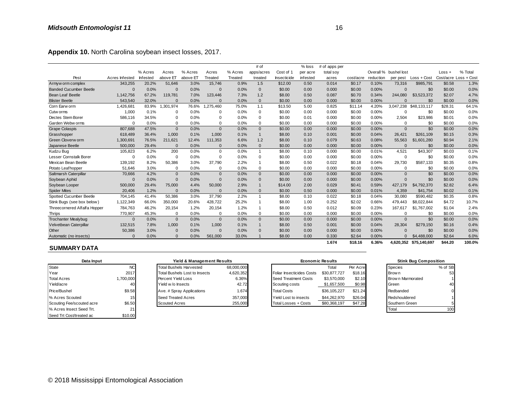|                               |                |          |              |          |           |         | # of                    |             | $%$ loss | # of apps per |           |           |                       |                        |          |                       |
|-------------------------------|----------------|----------|--------------|----------|-----------|---------|-------------------------|-------------|----------|---------------|-----------|-----------|-----------------------|------------------------|----------|-----------------------|
|                               |                | % Acres  | Acres        | % Acres  | Acres     | % Acres | apps/acres              | Cost of 1   | per acre | total soy     |           |           | Overall % bushel lost |                        | $Loss +$ | % Total               |
| Pest                          | Acres Infested | Infested | above ET     | above El | Treated   | Treated | treated                 | Insecticide | infested | acres         | cost/acre | reduction | per pest              | Loss + Cost            |          | Cost/acre Loss + Cost |
| Armyw orm complex             | 343,255        | 20.2%    | 51,646       | 3.0%     | 15,746    | 0.9%    | 1.5                     | \$12.00     | 0.50     | 0.014         | \$0.17    | 0.10%     | 73,316                | \$985,791              | \$0.58   | 1.3%                  |
| <b>Banded Cucumber Beetle</b> | $\Omega$       | 0.0%     | $\Omega$     | 0.0%     | $\Omega$  | 0.0%    | $\mathbf 0$             | \$0.00      | 0.00     | 0.000         | \$0.00    | 0.00%     | $\Omega$              | \$0                    | \$0.00   | 0.0%                  |
| <b>Bean Leaf Beetle</b>       | 1,142,756      | 67.2%    | 119.781      | 7.0%     | 123.446   | 7.3%    | 1.2                     | \$8.00      | 0.50     | 0.087         | \$0.70    | 0.34%     | 244.080               | \$3,523,372            | \$2.07   | 4.7%                  |
| <b>Blister Beetle</b>         | 543,540        | 32.0%    | $\mathbf{0}$ | 0.0%     | $\Omega$  | 0.0%    | $\overline{0}$          | \$0.00      | 0.00     | 0.000         | \$0.00    | 0.00%     | $\Omega$              | \$0                    | \$0.00   | 0.0%                  |
| Corn Earw orm                 | 1,426,681      | 83.9%    | ,301,974     | 76.6%    | 1,275,460 | 75.0%   | 1.1                     | \$13.50     | 5.00     | 0.825         | \$11.14   | 4.20%     | 3.047.238             | \$48,133,117           | \$28.31  | 64.1%                 |
| Cutw orms                     | 1,000          | 0.1%     | 0            | 0.0%     | $\Omega$  | 0.0%    | $\mathbf 0$             | \$0.00      | 0.00     | 0.000         | \$0.00    | 0.00%     | $\Omega$              | \$0                    | \$0.00   | 0.0%                  |
| Dectes Stem Borer             | 586,116        | 34.5%    | 0            | 0.0%     | $\Omega$  | 0.0%    | $\mathbf 0$             | \$0.00      | 0.01     | 0.000         | \$0.00    | 0.00%     | 2,504                 | \$23,986               | \$0.01   | 0.0%                  |
| Garden Webw orms              | $\Omega$       | 0.0%     | 0            | 0.0%     | $\Omega$  | 0.0%    | $\Omega$                | \$0.00      | 0.00     | 0.000         | \$0.00    | 0.00%     | $\Omega$              | \$0                    | \$0.00   | 0.0%                  |
| <b>Grape Colaspis</b>         | 807,688        | 47.5%    | $\mathbf{0}$ | 0.0%     | $\Omega$  | 0.0%    | $\mathbf{0}$            | \$0.00      | 0.00     | 0.000         | \$0.00    | 0.00%     | $\mathbf{0}$          | \$0                    | \$0.00   | 0.0%                  |
| Grasshopper                   | 618.489        | 36.4%    | 1,000        | 0.1%     | 1.000     | 0.1%    |                         | \$8.00      | 0.10     | 0.001         | \$0.00    | 0.04%     | 26.421                | \$261.109              | \$0.15   | 0.3%                  |
| Green Cloverw orm             | 1,300,691      | 76.5%    | 211,621      | 12.4%    | 111,353   | 6.6%    | 1.2                     | \$8.00      | 0.10     | 0.079         | \$0.63    | 0.08%     | 55,563                | \$1,601,280            | \$0.94   | 2.1%                  |
| Japanese Beetle               | 500,000        | 29.4%    | $\Omega$     | 0.0%     | $\Omega$  | 0.0%    | $\mathbf{0}$            | \$0.00      | 0.00     | 0.000         | \$0.00    | 0.00%     | $\Omega$              | \$0                    | \$0.00   | 0.0%                  |
| Kudzu Bug                     | 105,823        | 6.2%     | 200          | 0.0%     | $\Omega$  | 0.0%    | $\overline{\mathbf{1}}$ | \$8.00      | 0.10     | 0.000         | \$0.00    | 0.01%     | 4.521                 | \$43,307               | \$0.03   | 0.1%                  |
| <b>Lesser Cornstalk Borer</b> | $\Omega$       | 0.0%     | 0            | 0.0%     | $\Omega$  | 0.0%    | $^{\circ}$              | \$0.00      | 0.00     | 0.000         | \$0.00    | 0.00%     | 0                     | \$0                    | \$0.00   | 0.0%                  |
| Mexican Bean Beetle           | 139,192        | 8.2%     | 50,386       | 3.0%     | 37,790    | 2.2%    |                         | \$8.00      | 0.50     | 0.022         | \$0.18    | 0.04%     | 29,730                | \$587,133              | \$0.35   | 0.8%                  |
| Potato Leafhopper             | 51.646         | 3.0%     | 0            | 0.0%     | $\Omega$  | 0.0%    | $\mathbf 0$             | \$0.00      | 0.00     | 0.000         | \$0.00    | 0.00%     | $\Omega$              | \$0                    | \$0.00   | 0.0%                  |
| Saltmarsh Caterpillar         | 70,666         | 4.2%     | $\mathbf{0}$ | 0.0%     | $\Omega$  | 0.0%    | $\mathbf{0}$            | \$0.00      | 0.00     | 0.000         | \$0.00    | 0.00%     | $\mathbf{0}$          | \$0                    | \$0.00   | 0.0%                  |
| Soybean Aphid                 | $\Omega$       | 0.0%     | $\mathbf{0}$ | 0.0%     | $\Omega$  | 0.0%    | $\Omega$                | \$0.00      | 0.00     | 0.000         | \$0.00    | 0.00%     | $\Omega$              | \$0                    | \$0.00   | 0.0%                  |
| Soybean Looper                | 500,000        | 29.4%    | 75,000       | 4.4%     | 50,000    | 2.9%    |                         | \$14.00     | 2.00     | 0.029         | \$0.41    | 0.59%     | 427,179               | \$4,792,370            | \$2.82   | 6.4%                  |
| <b>Spider Mites</b>           | 20,406         | 1.2%     | $\mathbf{0}$ | 0.0%     | $\Omega$  | 0.0%    | $\Omega$                | \$0.00      | 0.50     | 0.000         | \$0.00    | 0.01%     | 4,359                 | \$41,754               | \$0.02   | 0.1%                  |
| Spotted Cucumber Beetle       | 704,145        | 41.4%    | 50,386       | 3.0%     | 37,790    | 2.2%    |                         | \$8.00      | 0.10     | 0.022         | \$0.18    | 0.04%     | 30,080                | \$590,482              | \$0.35   | 0.8%                  |
| Stink Bugs (see box below)    | 1,122,349      | 66.0%    | 350,000      | 20.6%    | 428,722   | 25.2%   |                         | \$8.00      | 1.00     | 0.252         | \$2.02    | 0.66%     | 479,443               | \$8,022,844            | \$4.72   | 10.7%                 |
| Threecornered Alfalfa Hopper  | 784,763        | 46.2%    | 20,154       | 1.2%     | 20,154    | 1.2%    |                         | \$8.00      | 0.50     | 0.012         | \$0.09    | 0.23%     | 167,617               | \$1,767,002            | \$1.04   | 2.4%                  |
| Thrips                        | 770,907        | 45.3%    | 0            | 0.0%     | $\Omega$  | 0.0%    | $\mathbf 0$             | \$0.00      | 0.00     | 0.000         | \$0.00    | 0.00%     | $\Omega$              | \$0                    | \$0.00   | 0.0%                  |
| <b>Trochanter Mealybug</b>    | $\Omega$       | 0.0%     | $\mathbf{0}$ | 0.0%     | $\Omega$  | 0.0%    | $\mathbf{0}$            | \$0.00      | 0.00     | 0.000         | \$0.00    | 0.00%     | $\Omega$              | \$0                    | \$0.00   | 0.0%                  |
| Velvetbean Caterpillar        | 132,515        | 7.8%     | 1,000        | 0.1%     | 1.000     | 0.1%    |                         | \$8.00      | 0.50     | 0.001         | \$0.00    | 0.04%     | 28.304                | \$279.150              | \$0.16   | 0.4%                  |
| Other                         | 50,386         | 3.0%     | $\Omega$     | 0.0%     | $\Omega$  | 0.0%    | $\mathbf 0$             | \$0.00      | 0.00     | 0.000         | \$0.00    | 0.00%     | $\Omega$              | \$0                    | \$0.00   | 0.0%                  |
| Automatic (no insects)        | $\Omega$       | 0.0%     | $\mathbf{0}$ | 0.0%     | 561,000   | 33.0%   |                         | \$8.00      | 0.00     | 0.330         | \$2.64    | 0.00%     |                       | \$4,488,000            | \$2.64   | 6.0%                  |
|                               |                |          |              |          |           |         |                         |             |          | 1.674         | \$18.16   | 6.36%     |                       | 4.620.352 \$75.140.697 | \$44.20  | 100.0%                |

#### **SUMMARY DATA**

| Data Input                |                | Yield & Management Results           |            |                           | <b>Economic Results</b> |          | <b>Stink Bug Composition</b> |         |
|---------------------------|----------------|--------------------------------------|------------|---------------------------|-------------------------|----------|------------------------------|---------|
| State                     | NC <sub></sub> | <b>Total Bushels Harvested</b>       | 68.000.000 |                           | Total                   | Per Acre | Species                      | % of SB |
| Year                      | 2017           | <b>Total Bushels Lost to Insects</b> | 4,620,352  | Foliar Insecticides Costs | \$30,877,727            | \$18.16  | <b>Brown</b>                 | 53      |
| <b>Total Acres</b>        | 1,700,000      | Percent Yield Loss                   | 6.36%      | Seed Treatment Costs      | \$3,570,000             | \$2.10   | Brow n Marmorated            |         |
| Yield/acre                | 40             | Yield w/o Insects                    | 42.72      | Scouting costs            | \$1,657,500             | \$0.98   | Green                        | 40      |
| <b>Price/Bushel</b>       | \$9.58         | Ave. # Spray Applications            | 1.674      | <b>Total Costs</b>        | \$36,105,227            | \$21.24  | Redbanded                    |         |
| % Acres Scouted           | 15             | Seed Treated Acres                   | 357,000    | Yield Lost to insects     | \$44,262,970            | \$26.04  | Redshouldered                |         |
| Scouting Fee/scouted acre | \$6.50         | <b>Scouted Acres</b>                 | 255,000    | Total Losses + Costs      | \$80,368,197            | \$47.28  | Southern Green               |         |
| % Acres Insect Seed Trt.  |                |                                      |            |                           |                         |          | Total                        | 100     |
| Seed Trt Cost/treated ac  | \$10.00        |                                      |            |                           |                         |          |                              |         |

# Total Bushels Lost to Insects 4,620,352 **Yield & Management Results** Seed Treated Acres 357,000<br>Scouted Acres 255,000

| Automatic (no insects)    |               | 0.0% | 0.0%                           | 561,000    | 33.0%   | \$8.00<br>0.00            | 0.330        | \$2.64   | $0.00\%$ |                   | $0$ \$4,488,000              | \$2.64     |
|---------------------------|---------------|------|--------------------------------|------------|---------|---------------------------|--------------|----------|----------|-------------------|------------------------------|------------|
|                           |               |      |                                |            |         |                           | 1.674        | \$18.16  | 6.36%    |                   | 4.620.352 \$75.140.697       | \$44.20    |
| <b>SUMMARY DATA</b>       |               |      |                                |            |         |                           |              |          |          |                   |                              |            |
| Data Input                |               |      | Yield & Management Results     |            |         | <b>Economic Results</b>   |              |          |          |                   | <b>Stink Bug Composition</b> |            |
| State                     | NC            |      | <b>Total Bushels Harvested</b> | 68,000,000 |         |                           | Total        | Per Acre |          | <b>Species</b>    |                              | % of SB    |
| Year                      | 2017          |      | Total Bushels Lost to Insects  | 4,620,352  |         | Foliar Insecticides Costs | \$30,877,727 | \$18.16  |          | Brow n            |                              | 53         |
| <b>Total Acres</b>        | ,700,000      |      | Percent Yield Loss             |            | 6.36%   | Seed Treatment Costs      | \$3,570,000  | \$2.10   |          | Brow n Marmorated |                              |            |
| Yield/acre                | 40            |      | Yield w/o Insects              |            | 42.72   | Scouting costs            | \$1,657,500  | \$0.98   |          | Green             |                              | 40         |
| Price/Bushel              | \$9.58        |      | Ave. # Spray Applications      |            | 1.674   | <b>Total Costs</b>        | \$36,105,227 | \$21.24  |          | Redbanded         |                              | 0          |
| % Acres Scouted           |               |      | Seed Treated Acres             |            | 357,000 | Yield Lost to insects     | \$44,262,970 | \$26.04  |          | Redshouldered     |                              |            |
| Scouting Fee/scouted acre | \$6.50        |      | <b>Scouted Acres</b>           |            | 255,000 | Total Losses + Costs      | \$80,368,197 | \$47.28  |          | Southern Green    |                              |            |
|                           | $\sim$ $\sim$ |      |                                |            |         |                           |              |          |          | $-1$              |                              | $\sqrt{2}$ |

| <b>Stink Bug Composition</b> |         |
|------------------------------|---------|
| Species                      | % of SB |
| Brow n                       | 53      |
| Brow n Marmorated            |         |
| Green                        | 40      |
| Redbanded                    |         |
| Redshouldered                |         |
| Southern Green               | 5       |
| ntal                         |         |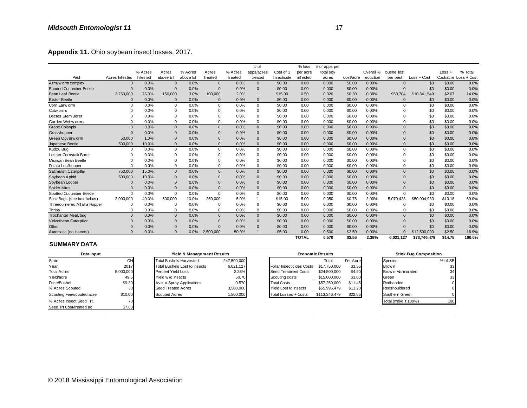| Appendix 11. Ohio soybean insect losses, 2017. |                |          |                |          |                |         |                |             |              |               |           |           |             |               |         |                       |
|------------------------------------------------|----------------|----------|----------------|----------|----------------|---------|----------------|-------------|--------------|---------------|-----------|-----------|-------------|---------------|---------|-----------------------|
|                                                |                |          |                |          |                |         | # of           |             | $%$ loss     | # of apps per |           |           |             |               |         |                       |
|                                                |                | % Acres  | Acres          | % Acres  | Acres          | % Acres | apps/acres     | Cost of 1   | per acre     | total soy     |           | Overall % | bushel lost |               | Loss +  | % Total               |
| Pest                                           | Acres Infested | Infested | above ET       | above ET | Treated        | Treated | treated        | Insecticide | infested     | acres         | cost/acre | reduction | per pest    | $Loss + Cost$ |         | Cost/acre Loss + Cost |
| Armyw orm complex                              | $\Omega$       | 0.0%     | $\mathbf{0}$   | 0.0%     | $\overline{0}$ | 0.0%    | $\mathbf{0}$   | \$0.00      | 0.00         | 0.000         | \$0.00    | 0.00%     | $\Omega$    | \$0           | \$0.00  | 0.0%                  |
| <b>Banded Cucumber Beetle</b>                  | $\Omega$       | 0.0%     | $\Omega$       | 0.0%     | $\Omega$       | 0.0%    | $\overline{0}$ | \$0.00      | 0.00         | 0.000         | \$0.00    | 0.00%     | $\Omega$    | \$0           | \$0.00  | 0.0%                  |
| <b>Bean Leaf Beetle</b>                        | 3,750,000      | 75.0%    | 150,000        | 3.0%     | 100,000        | 2.0%    | $\mathbf{1}$   | \$15.00     | 0.50         | 0.020         | \$0.30    | 0.38%     | 950,704     | \$10,341,549  | \$2.07  | 14.0%                 |
| <b>Blister Beetle</b>                          | $\Omega$       | 0.0%     | $\Omega$       | 0.0%     | $\Omega$       | 0.0%    | $\Omega$       | \$0.00      | 0.00         | 0.000         | \$0.00    | 0.00%     | n           | \$0           | \$0.00  | 0.0%                  |
| Corn Earw orm                                  | $\Omega$       | 0.0%     | $\Omega$       | 0.0%     | $\mathbf 0$    | 0.0%    | $\Omega$       | \$0.00      | 0.00         | 0.000         | \$0.00    | 0.00%     | $\Omega$    | \$0           | \$0.00  | 0.0%                  |
| Cutw orms                                      | 0              | 0.0%     | $\Omega$       | 0.0%     | $\Omega$       | 0.0%    | $\mathbf 0$    | \$0.00      | 0.00         | 0.000         | \$0.00    | 0.00%     | $\Omega$    | \$0           | \$0.00  | 0.0%                  |
| Dectes Stem Borer                              | O              | 0.0%     | $\Omega$       | 0.0%     | $\Omega$       | 0.0%    | $\Omega$       | \$0.00      | 0.00         | 0.000         | \$0.00    | 0.00%     | $\Omega$    | \$0           | \$0.00  | 0.0%                  |
| Garden Webw orms                               | $\Omega$       | 0.0%     | $\mathbf 0$    | 0.0%     | $\Omega$       | 0.0%    | $\mathbf 0$    | \$0.00      | 0.00         | 0.000         | \$0.00    | 0.00%     | $\Omega$    | \$0           | \$0.00  | 0.0%                  |
| <b>Grape Colaspis</b>                          | $\Omega$       | 0.0%     | $\mathbf{0}$   | 0.0%     | $\Omega$       | 0.0%    | $\mathbf{0}$   | \$0.00      | 0.00         | 0.000         | \$0.00    | 0.00%     | $\Omega$    | \$0           | \$0.00  | 0.0%                  |
| Grasshopper                                    | $\Omega$       | 0.0%     | $\overline{0}$ | 0.0%     | $\Omega$       | 0.0%    | $\mathbf 0$    | \$0.00      | 0.00         | 0.000         | \$0.00    | 0.00%     | $\Omega$    | \$0           | \$0.00  | 0.0%                  |
| Green Cloverw orm                              | 50,000         | 1.0%     | $\Omega$       | 0.0%     | $\Omega$       | 0.0%    | $\mathbf{0}$   | \$0.00      | 0.00         | 0.000         | \$0.00    | 0.00%     | $\Omega$    | \$0           | \$0.00  | 0.0%                  |
| Japanese Beetle                                | 500,000        | 10.0%    | $\mathbf{0}$   | 0.0%     | $\Omega$       | 0.0%    | $\Omega$       | \$0.00      | 0.00         | 0.000         | \$0.00    | 0.00%     | $\Omega$    | \$0           | \$0.00  | 0.0%                  |
| Kudzu Bug                                      | $\mathbf 0$    | 0.0%     | $\mathbf 0$    | 0.0%     | $\mathbf 0$    | 0.0%    | $\mathbf 0$    | \$0.00      | 0.00         | 0.000         | \$0.00    | 0.00%     | $\Omega$    | \$0           | \$0.00  | 0.0%                  |
| Lesser Cornstalk Borer                         | $\Omega$       | 0.0%     | $\Omega$       | 0.0%     | $\Omega$       | 0.0%    | $\mathbf 0$    | \$0.00      | 0.00         | 0.000         | \$0.00    | 0.00%     | $\Omega$    | \$0           | \$0.00  | 0.0%                  |
| Mexican Bean Beetle                            | 0              | 0.0%     | $\Omega$       | 0.0%     | $\Omega$       | 0.0%    | $\Omega$       | \$0.00      | 0.00         | 0.000         | \$0.00    | 0.00%     | $\Omega$    | \$0           | \$0.00  | 0.0%                  |
| Potato Leafhopper                              | O              | 0.0%     | $\mathbf 0$    | 0.0%     | $\Omega$       | 0.0%    | $\mathbf 0$    | \$0.00      | 0.00         | 0.000         | \$0.00    | 0.00%     | $\Omega$    | \$0           | \$0.00  | 0.0%                  |
| Saltmarsh Caterpillar                          | 750,000        | 15.0%    | $\mathbf{0}$   | 0.0%     | $\mathbf{0}$   | 0.0%    | $\mathbf{0}$   | \$0.00      | 0.00         | 0.000         | \$0.00    | 0.00%     | $\Omega$    | \$0           | \$0.00  | 0.0%                  |
| Soybean Aphid                                  | 500,000        | 10.0%    | $\mathbf{0}$   | 0.0%     | $\Omega$       | 0.0%    | $\mathbf{0}$   | \$0.00      | 0.00         | 0.000         | \$0.00    | 0.00%     | $\Omega$    | \$0           | \$0.00  | 0.0%                  |
| Soybean Looper                                 | 0              | 0.0%     | $\Omega$       | 0.0%     | $\Omega$       | 0.0%    | $\mathbf 0$    | \$0.00      | 0.00         | 0.000         | \$0.00    | 0.00%     | $\Omega$    | \$0           | \$0.00  | 0.0%                  |
| <b>Spider Mites</b>                            | $\Omega$       | 0.0%     | $\Omega$       | 0.0%     | $\Omega$       | 0.0%    | $\Omega$       | \$0.00      | 0.00         | 0.000         | \$0.00    | 0.00%     | $\Omega$    | \$0           | \$0.00  | 0.0%                  |
| Spotted Cucumber Beetle                        | $\Omega$       | 0.0%     | $\Omega$       | 0.0%     | $\Omega$       | 0.0%    | $\Omega$       | \$0.00      | 0.00         | 0.000         | \$0.00    | 0.00%     | $\Omega$    | \$0           | \$0.00  | 0.0%                  |
| Stink Bugs (see box below)                     | 2,000,000      | 40.0%    | 500,000        | 10.0%    | 250,000        | 5.0%    |                | \$15.00     | 5.00         | 0.050         | \$0.75    | 2.00%     | 5.070.423   | \$50,904,930  | \$10.18 | 69.0%                 |
| Threecornered Alfalfa Hopper                   | 0              | 0.0%     | $\Omega$       | 0.0%     | $\Omega$       | 0.0%    | $\mathbf 0$    | \$0.00      | 0.00         | 0.000         | \$0.00    | 0.00%     | $\Omega$    | \$0           | \$0.00  | 0.0%                  |
| <b>Thrips</b>                                  | 0              | 0.0%     | $\mathbf 0$    | 0.0%     | 0              | 0.0%    | $\mathbf 0$    | \$0.00      | 0.00         | 0.000         | \$0.00    | 0.00%     | $\Omega$    | \$0           | \$0.00  | 0.0%                  |
| <b>Trochanter Mealybug</b>                     | $\Omega$       | 0.0%     | $\mathbf{0}$   | 0.0%     | $\Omega$       | 0.0%    | $\mathbf{0}$   | \$0.00      | 0.00         | 0.000         | \$0.00    | 0.00%     | $\Omega$    | \$0           | \$0.00  | 0.0%                  |
| Velvetbean Caterpillar                         | $\mathbf 0$    | 0.0%     | $\mathbf{0}$   | 0.0%     | $\mathbf 0$    | 0.0%    | $\mathbf 0$    | \$0.00      | 0.00         | 0.000         | \$0.00    | 0.00%     | $\Omega$    | \$0           | \$0.00  | 0.0%                  |
| Other                                          | 0              | 0.0%     | $\mathbf 0$    | 0.0%     | $\Omega$       | 0.0%    | $\mathbf 0$    | \$0.00      | 0.00         | 0.000         | \$0.00    | 0.00%     | $\Omega$    | \$0           | \$0.00  | 0.0%                  |
| Automatic (no insects)                         | O              | 0.0%     | $\Omega$       | 0.0%     | 2,500,000      | 50.0%   |                | \$5.00      | 0.00         | 0.500         | \$2.50    | 0.00%     |             | \$12,500,000  | \$2.50  | 16.9%                 |
|                                                |                |          |                |          |                |         |                |             | <b>TOTAL</b> | 0.570         | \$3.55    | 2.38%     | 6.021.127   | \$73.746.479  | \$14.75 | 100.0%                |

|           | $\cdots$ |          |                                           |                                                                                    |                                                                   |                                           |                    | -.--         |                                                                                         |                                                      |       |           |              | <b></b>                                                                                                      |
|-----------|----------|----------|-------------------------------------------|------------------------------------------------------------------------------------|-------------------------------------------------------------------|-------------------------------------------|--------------------|--------------|-----------------------------------------------------------------------------------------|------------------------------------------------------|-------|-----------|--------------|--------------------------------------------------------------------------------------------------------------|
| $\Omega$  | 0.0%     | $\Omega$ |                                           | 2,500,000                                                                          | 50.0%                                                             |                                           | \$5.00             | 0.00         | 0.500                                                                                   | \$2.50                                               | 0.00% | $\Omega$  | \$12,500,000 | \$2.50                                                                                                       |
|           |          |          |                                           |                                                                                    |                                                                   |                                           |                    | <b>TOTAL</b> | 0.570                                                                                   | \$3.55                                               | 2.38% | 6,021,127 | \$73,746,479 | \$14.75                                                                                                      |
|           |          |          |                                           |                                                                                    |                                                                   |                                           |                    |              |                                                                                         |                                                      |       |           |              |                                                                                                              |
|           |          |          |                                           |                                                                                    |                                                                   |                                           |                    |              |                                                                                         |                                                      |       |           |              |                                                                                                              |
| OH        |          |          |                                           |                                                                                    |                                                                   |                                           |                    |              | Total                                                                                   | Per Acre                                             |       | Species   |              | % of SB                                                                                                      |
| 2017      |          |          |                                           |                                                                                    | 6.021.127                                                         |                                           |                    |              | \$17,750,000                                                                            | \$3.55                                               |       |           |              | 33                                                                                                           |
| 5,000,000 |          |          |                                           |                                                                                    | 2.38%                                                             |                                           |                    |              | \$24,500,000                                                                            | \$4.90                                               |       |           |              | 34                                                                                                           |
| 49.5      |          |          |                                           |                                                                                    | 50.70                                                             |                                           |                    |              | \$15,000,000                                                                            | \$3.00                                               |       | Green     |              | 33                                                                                                           |
| \$9.30    |          |          |                                           |                                                                                    | 0.570                                                             |                                           | <b>Total Costs</b> |              | \$57,250,000                                                                            | \$11.45                                              |       | Redbanded |              | 0                                                                                                            |
| 30        |          |          |                                           |                                                                                    | 3,500,000                                                         |                                           |                    |              | \$55,996,479                                                                            | \$11.20                                              |       |           |              | 0                                                                                                            |
| \$10.00   |          |          |                                           |                                                                                    | 1,500,000                                                         |                                           |                    |              | \$113,246,479                                                                           | \$22.65                                              |       |           |              | $\Omega$                                                                                                     |
| 70        |          |          |                                           |                                                                                    |                                                                   |                                           |                    |              |                                                                                         |                                                      |       |           |              | 100                                                                                                          |
| \$7.00    |          |          |                                           |                                                                                    |                                                                   |                                           |                    |              |                                                                                         |                                                      |       |           |              |                                                                                                              |
|           |          |          | Yield w/o Insects<br><b>Scouted Acres</b> | 0.0%<br><b>Total Bushels Harvested</b><br>Percent Yield Loss<br>Seed Treated Acres | <b>Total Bushels Lost to Insects</b><br>Ave. # Spray Applications | Yield & Management Results<br>247.500.000 |                    |              | Seed Treatment Costs<br>Scouting costs<br>Yield Lost to insects<br>Total Losses + Costs | <b>Economic Results</b><br>Foliar Insecticides Costs |       |           | Brow n       | <b>Stink Bug Composition</b><br>Brow n Marmorated<br>Redshouldered<br>Southern Green<br>Total (make it 100%) |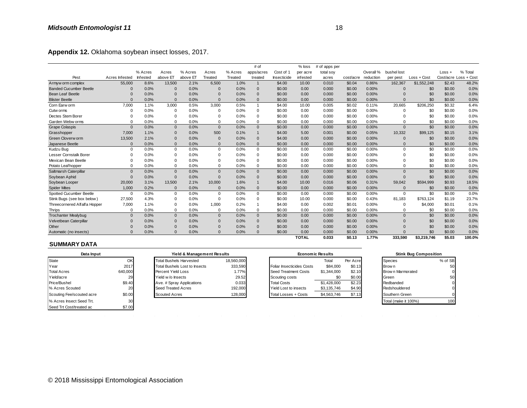| Appendix 12. Oklahoma soybean insect losses, 2017. |                |          |                |          |                |         |                |             |              |               |           |           |              |             |        |                       |
|----------------------------------------------------|----------------|----------|----------------|----------|----------------|---------|----------------|-------------|--------------|---------------|-----------|-----------|--------------|-------------|--------|-----------------------|
|                                                    |                |          |                |          |                |         | # of           |             | $%$ loss     | # of apps per |           |           |              |             |        |                       |
|                                                    |                | % Acres  | Acres          | % Acres  | Acres          | % Acres | apps/acres     | Cost of 1   | per acre     | total soy     |           | Overall % | bushel lost  |             | Loss + | % Total               |
| Pest                                               | Acres Infested | Infested | above ET       | above ET | Treated        | Treated | treated        | Insecticide | infested     | acres         | cost/acre | reduction | per pest     | Loss + Cost |        | Cost/acre Loss + Cost |
| Armyw orm complex                                  | 55,000         | 8.6%     | 13,500         | 2.1%     | 6,500          | 1.0%    | $\mathbf{1}$   | \$4.00      | 10.00        | 0.010         | \$0.04    | 0.86%     | 162,367      | \$1,552,248 | \$2.43 | 48.2%                 |
| <b>Banded Cucumber Beetle</b>                      | 0              | 0.0%     | $\overline{0}$ | 0.0%     | $\mathbf 0$    | 0.0%    | $\mathbf 0$    | \$0.00      | 0.00         | 0.000         | \$0.00    | 0.00%     | $\mathbf{0}$ | \$0         | \$0.00 | 0.0%                  |
| <b>Bean Leaf Beetle</b>                            | 0              | 0.0%     | $\Omega$       | 0.0%     | $\Omega$       | 0.0%    | $\mathbf{0}$   | \$0.00      | 0.00         | 0.000         | \$0.00    | 0.00%     | $\Omega$     | \$0         | \$0.00 | 0.0%                  |
| <b>Blister Beetle</b>                              | $\Omega$       | 0.0%     | $\Omega$       | 0.0%     | $\Omega$       | 0.0%    | $\Omega$       | \$0.00      | 0.00         | 0.000         | \$0.00    | 0.00%     | $\Omega$     | \$0         | \$0.00 | 0.0%                  |
| Corn Earw orm                                      | 7.000          | 1.1%     | 3,000          | 0.5%     | 3,000          | 0.5%    | $\overline{1}$ | \$4.00      | 10.00        | 0.005         | \$0.02    | 0.11%     | 20,665       | \$206,250   | \$0.32 | 6.4%                  |
| Cutw orms                                          | 0              | 0.0%     | $\Omega$       | 0.0%     | 0              | 0.0%    | $\mathbf 0$    | \$0.00      | 0.00         | 0.000         | \$0.00    | 0.00%     | 0            | \$0         | \$0.00 | 0.0%                  |
| Dectes Stem Borer                                  | $\Omega$       | 0.0%     | $\Omega$       | 0.0%     | $\mathbf 0$    | 0.0%    | $\mathbf 0$    | \$0.00      | 0.00         | 0.000         | \$0.00    | 0.00%     | $\Omega$     | \$0         | \$0.00 | 0.0%                  |
| Garden Webw orms                                   | $\Omega$       | 0.0%     | $\mathbf 0$    | 0.0%     | $\Omega$       | 0.0%    | $\mathbf 0$    | \$0.00      | 0.00         | 0.000         | \$0.00    | 0.00%     | $\Omega$     | \$0         | \$0.00 | 0.0%                  |
| <b>Grape Colaspis</b>                              | $\Omega$       | 0.0%     | $\mathbf{0}$   | 0.0%     | $\Omega$       | 0.0%    | $\Omega$       | \$0.00      | 0.00         | 0.000         | \$0.00    | 0.00%     | $\Omega$     | \$0         | \$0.00 | 0.0%                  |
| Grasshopper                                        | 7.000          | 1.1%     | $\mathbf{0}$   | 0.0%     | 500            | 0.1%    | $\mathbf{1}$   | \$4.00      | 5.00         | 0.001         | \$0.00    | 0.05%     | 10,332       | \$99,125    | \$0.15 | 3.1%                  |
| Green Cloverw orm                                  | 13,500         | 2.1%     | $\Omega$       | 0.0%     | $\overline{0}$ | 0.0%    | $\mathbf{0}$   | \$4.00      | 0.00         | 0.000         | \$0.00    | 0.00%     | $\Omega$     | \$0         | \$0.00 | 0.0%                  |
| Japanese Beetle                                    | $\Omega$       | 0.0%     | $\mathbf{0}$   | 0.0%     | $\Omega$       | 0.0%    | $\Omega$       | \$0.00      | 0.00         | 0.000         | \$0.00    | 0.00%     | $\Omega$     | \$0         | \$0.00 | 0.0%                  |
| Kudzu Bug                                          | $\mathbf 0$    | 0.0%     | $\mathbf 0$    | 0.0%     | $\mathbf 0$    | 0.0%    | $\mathbf 0$    | \$0.00      | 0.00         | 0.000         | \$0.00    | 0.00%     | $\Omega$     | \$0         | \$0.00 | 0.0%                  |
| Lesser Cornstalk Borer                             | $\Omega$       | 0.0%     | $\mathbf 0$    | 0.0%     | $\Omega$       | 0.0%    | $\mathbf 0$    | \$0.00      | 0.00         | 0.000         | \$0.00    | 0.00%     | $\Omega$     | \$0         | \$0.00 | 0.0%                  |
| Mexican Bean Beetle                                | $\Omega$       | 0.0%     | $\Omega$       | 0.0%     | $\Omega$       | 0.0%    | $\Omega$       | \$0.00      | 0.00         | 0.000         | \$0.00    | 0.00%     | $\Omega$     | \$0         | \$0.00 | 0.0%                  |
| Potato Leafhopper                                  | $\Omega$       | 0.0%     | $\mathbf 0$    | 0.0%     | $\mathbf 0$    | 0.0%    | $\mathbf 0$    | \$0.00      | 0.00         | 0.000         | \$0.00    | 0.00%     | $\Omega$     | \$0         | \$0.00 | 0.0%                  |
| Saltmarsh Caterpillar                              | $\Omega$       | 0.0%     | $\mathbf{0}$   | 0.0%     | $\mathbf{0}$   | 0.0%    | $\mathbf{0}$   | \$0.00      | 0.00         | 0.000         | \$0.00    | 0.00%     | $\Omega$     | \$0         | \$0.00 | 0.0%                  |
| Soybean Aphid                                      | $\Omega$       | 0.0%     | $\mathbf{0}$   | 0.0%     | $\Omega$       | 0.0%    | $\mathbf{0}$   | \$0.00      | 0.00         | 0.000         | \$0.00    | 0.00%     | $\Omega$     | \$0         | \$0.00 | 0.0%                  |
| Soybean Looper                                     | 20,000         | 3.1%     | 13,500         | 2.1%     | 10,000         | 1.6%    | $\mathbf{1}$   | \$4.00      | 10.00        | 0.016         | \$0.06    | 0.31%     | 59,042       | \$594,999   | \$0.93 | 18.5%                 |
| <b>Spider Mites</b>                                | 1,000          | 0.2%     | $\Omega$       | 0.0%     | $\Omega$       | 0.0%    | $\mathbf{0}$   | \$0.00      | 0.00         | 0.000         | \$0.00    | 0.00%     | $\Omega$     | \$0         | \$0.00 | 0.0%                  |
| Spotted Cucumber Beetle                            | $\mathbf 0$    | 0.0%     | $\mathbf 0$    | 0.0%     | $\mathbf 0$    | 0.0%    | $\mathbf 0$    | \$0.00      | 0.00         | 0.000         | \$0.00    | 0.00%     | $\Omega$     | \$0         | \$0.00 | 0.0%                  |
| Stink Bugs (see box below)                         | 27,500         | 4.3%     | $\mathbf 0$    | 0.0%     | $\mathbf 0$    | 0.0%    | $\Omega$       | \$0.00      | 10.00        | 0.000         | \$0.00    | 0.43%     | 81.183       | \$763.124   | \$1.19 | 23.7%                 |
| Threecornered Alfalfa Hopper                       | 7,000          | 1.1%     | $\Omega$       | 0.0%     | 1,000          | 0.2%    |                | \$4.00      | 0.00         | 0.002         | \$0.01    | 0.00%     | $\Omega$     | \$4,000     | \$0.01 | 0.1%                  |
| <b>Thrips</b>                                      | $\Omega$       | 0.0%     | $\Omega$       | 0.0%     | $\Omega$       | 0.0%    | $\mathbf 0$    | \$0.00      | 0.00         | 0.000         | \$0.00    | 0.00%     | $\Omega$     | \$0         | \$0.00 | 0.0%                  |
| <b>Trochanter Mealybug</b>                         | $\mathbf 0$    | 0.0%     | $\mathbf{0}$   | 0.0%     | $\mathbf{0}$   | 0.0%    | $\mathbf{0}$   | \$0.00      | 0.00         | 0.000         | \$0.00    | 0.00%     | $\Omega$     | \$0         | \$0.00 | 0.0%                  |
| Velvetbean Caterpillar                             | $\Omega$       | 0.0%     | $\mathbf{0}$   | 0.0%     | $\Omega$       | 0.0%    | $\mathbf 0$    | \$0.00      | 0.00         | 0.000         | \$0.00    | 0.00%     | $\Omega$     | \$0         | \$0.00 | 0.0%                  |
| Other                                              | 0              | 0.0%     | $\Omega$       | 0.0%     | $\mathbf 0$    | 0.0%    | $\mathbf{0}$   | \$0.00      | 0.00         | 0.000         | \$0.00    | 0.00%     | $\Omega$     | \$0         | \$0.00 | 0.0%                  |
| Automatic (no insects)                             | $\Omega$       | 0.0%     | $\Omega$       | 0.0%     | $\Omega$       | 0.0%    | $\Omega$       | \$0.00      | 0.00         | 0.000         | \$0.00    | 0.00%     | $\Omega$     | \$0         | \$0.00 | 0.0%                  |
|                                                    |                |          |                |          |                |         |                |             | <b>TOTAL</b> | 0.033         | \$0.13    | 1.77%     | 333.590      | \$3,219,746 | \$5.03 | 100.0%                |

| ----                      |          | <u>, .</u> | <u>, .</u>                     | $\cdots$   |              | <b></b><br>----                  | -----                   |          | ----- |                      | $\mathbf{v}$                 | $\bullet\!\!\sim\!\!\bullet\!\!\sim\!\!\bullet$ |
|---------------------------|----------|------------|--------------------------------|------------|--------------|----------------------------------|-------------------------|----------|-------|----------------------|------------------------------|-------------------------------------------------|
| Automatic (no insects)    | $\Omega$ | 0.0%       | 0.0%<br>0                      | 0.0%       | $\mathbf{0}$ | \$0.00<br>0.00                   | 0.000                   | \$0.00   | 0.00% |                      | \$0                          | \$0.00                                          |
|                           |          |            |                                |            |              | <b>TOTAL</b>                     | 0.033                   | \$0.13   | 1.77% | 333,590              | \$3,219,746                  | \$5.03                                          |
| <b>SUMMARY DATA</b>       |          |            |                                |            |              |                                  |                         |          |       |                      |                              |                                                 |
| Data Input                |          |            | Yield & Management Results     |            |              |                                  | <b>Economic Results</b> |          |       |                      | <b>Stink Bug Composition</b> |                                                 |
| State                     | OK       |            | <b>Total Bushels Harvested</b> | 18,560,000 |              |                                  | Total                   | Per Acre |       | Species              |                              | % of SB                                         |
| Year                      | 2017     |            | Total Bushels Lost to Insects  | 333,590    |              | <b>Foliar Insecticides Costs</b> | \$84,000                | \$0.13   |       | Brow n               |                              | 50                                              |
| <b>Total Acres</b>        | 640,000  |            | Percent Yield Loss             | 1.77%      |              | Seed Treatment Costs             | \$1,344,000             | \$2.10   |       | Brow n Marmorated    |                              | 0                                               |
| Yield/acre                | 29       |            | Yield w/o Insects              | 29.52      |              | Scouting costs                   | \$0                     | \$0.00   |       | Green                |                              | 50                                              |
| Price/Bushel              | \$9.40   |            | Ave. # Spray Applications      | 0.033      |              | <b>Total Costs</b>               | \$1,428,000             | \$2.23   |       | Redbanded            |                              | 0                                               |
| % Acres Scouted           | 20       |            | Seed Treated Acres             | 192,000    |              | Yield Lost to insects            | \$3,135,746             | \$4.90   |       | Redshouldered        |                              | 0                                               |
| Scouting Fee/scouted acre | \$0.00   |            | <b>Scouted Acres</b>           | 128,000    |              | Total Losses + Costs             | \$4,563,746             | \$7.13   |       | Southern Green       |                              |                                                 |
| % Acres Insect Seed Trt.  | 30       |            |                                |            |              |                                  |                         |          |       | Total (make it 100%) |                              | 100                                             |
| Seed Trt Cost/treated ac  | \$7.00   |            |                                |            |              |                                  |                         |          |       |                      |                              |                                                 |
|                           |          |            |                                |            |              |                                  |                         |          |       |                      |                              |                                                 |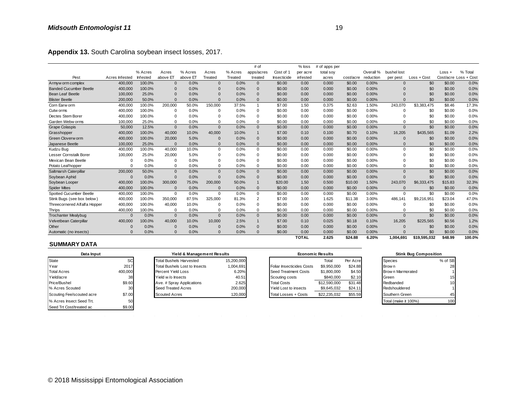| Appendix 13. South Carolina soybean insect losses, 2017. |                |          |              |          |                |         |              |             |              |               |           |           |             |               |         |                       |
|----------------------------------------------------------|----------------|----------|--------------|----------|----------------|---------|--------------|-------------|--------------|---------------|-----------|-----------|-------------|---------------|---------|-----------------------|
|                                                          |                |          |              |          |                |         | # of         |             | $%$ loss     | # of apps per |           |           |             |               |         |                       |
|                                                          |                | % Acres  | Acres        | % Acres  | Acres          | % Acres | apps/acres   | Cost of 1   | per acre     | total soy     |           | Overall % | bushel lost |               | Loss +  | % Total               |
| Pest                                                     | Acres Infested | Infested | above ET     | above ET | Treated        | Treated | treated      | Insecticide | infested     | acres         | cost/acre | reduction | per pest    | $Loss + Cost$ |         | Cost/acre Loss + Cost |
| Armyw orm complex                                        | 400,000        | 100.0%   | $\mathbf{0}$ | 0.0%     | $\overline{0}$ | 0.0%    | $\mathbf{0}$ | \$0.00      | 0.00         | 0.000         | \$0.00    | 0.00%     | $\Omega$    | \$0           | \$0.00  | 0.0%                  |
| <b>Banded Cucumber Beetle</b>                            | 400,000        | 100.0%   | $\Omega$     | 0.0%     | $\Omega$       | 0.0%    | $\mathbf{0}$ | \$0.00      | 0.00         | 0.000         | \$0.00    | 0.00%     | $\Omega$    | \$0           | \$0.00  | 0.0%                  |
| <b>Bean Leaf Beetle</b>                                  | 100,000        | 25.0%    | $\Omega$     | 0.0%     | $\Omega$       | 0.0%    | $\mathbf{0}$ | \$0.00      | 0.00         | 0.000         | \$0.00    | 0.00%     | $\Omega$    | \$0           | \$0.00  | 0.0%                  |
| <b>Blister Beetle</b>                                    | 200,000        | 50.0%    | $\Omega$     | 0.0%     | $\Omega$       | 0.0%    | $\Omega$     | \$0.00      | 0.00         | 0.000         | \$0.00    | 0.00%     | $\Omega$    | \$0           | \$0.00  | 0.0%                  |
| Corn Earw orm                                            | 400,000        | 100.0%   | 200,000      | 50.0%    | 150,000        | 37.5%   | $\mathbf{1}$ | \$7.00      | 1.50         | 0.375         | \$2.63    | 1.50%     | 243,070     | \$3,383,475   | \$8.46  | 17.3%                 |
| Cutw orms                                                | 400,000        | 100.0%   | $\Omega$     | 0.0%     | $\Omega$       | 0.0%    | $\mathbf 0$  | \$0.00      | 0.00         | 0.000         | \$0.00    | 0.00%     | $\Omega$    | \$0           | \$0.00  | 0.0%                  |
| Dectes Stem Borer                                        | 400,000        | 100.0%   | $\Omega$     | 0.0%     | $\Omega$       | 0.0%    | $\Omega$     | \$0.00      | 0.00         | 0.000         | \$0.00    | 0.00%     | $\Omega$    | \$0           | \$0.00  | 0.0%                  |
| Garden Webw orms                                         | 100,000        | 25.0%    | $\Omega$     | 0.0%     | $\Omega$       | 0.0%    | $\mathbf 0$  | \$0.00      | 0.00         | 0.000         | \$0.00    | 0.00%     | $\mathbf 0$ | \$0           | \$0.00  | 0.0%                  |
| <b>Grape Colaspis</b>                                    | 50,000         | 12.5%    | $\mathbf{0}$ | 0.0%     | $\Omega$       | 0.0%    | $\mathbf{0}$ | \$0.00      | 0.00         | 0.000         | \$0.00    | 0.00%     | $\Omega$    | \$0           | \$0.00  | 0.0%                  |
| Grasshopper                                              | 400,000        | 100.0%   | 40,000       | 10.0%    | 40,000         | 10.0%   | $\mathbf{1}$ | \$7.00      | 0.10         | 0.100         | \$0.70    | 0.10%     | 16,205      | \$435,565     | \$1.09  | 2.2%                  |
| Green Cloverw orm                                        | 400,000        | 100.0%   | 20,000       | 5.0%     | $\Omega$       | 0.0%    | $\mathbf{0}$ | \$0.00      | 0.00         | 0.000         | \$0.00    | 0.00%     | $\Omega$    | \$0           | \$0.00  | 0.0%                  |
| Japanese Beetle                                          | 100,000        | 25.0%    | $\Omega$     | 0.0%     | $\Omega$       | 0.0%    | $\Omega$     | \$0.00      | 0.00         | 0.000         | \$0.00    | 0.00%     | $\Omega$    | \$0           | \$0.00  | 0.0%                  |
| Kudzu Bug                                                | 400,000        | 100.0%   | 40,000       | 10.0%    | $\mathbf 0$    | 0.0%    | $\mathbf 0$  | \$0.00      | 0.00         | 0.000         | \$0.00    | 0.00%     | $\Omega$    | \$0           | \$0.00  | 0.0%                  |
| Lesser Cornstalk Borer                                   | 100,000        | 25.0%    | 20,000       | 5.0%     | $\Omega$       | 0.0%    | $\mathbf 0$  | \$0.00      | 0.00         | 0.000         | \$0.00    | 0.00%     | $\Omega$    | \$0           | \$0.00  | 0.0%                  |
| Mexican Bean Beetle                                      | $\Omega$       | 0.0%     | $\Omega$     | 0.0%     | $\Omega$       | 0.0%    | $\Omega$     | \$0.00      | 0.00         | 0.000         | \$0.00    | 0.00%     | $\Omega$    | \$0           | \$0.00  | 0.0%                  |
| Potato Leafhopper                                        | $\Omega$       | 0.0%     | $\mathbf 0$  | 0.0%     | $\Omega$       | 0.0%    | $\mathbf 0$  | \$0.00      | 0.00         | 0.000         | \$0.00    | 0.00%     | $\mathbf 0$ | \$0           | \$0.00  | 0.0%                  |
| Saltmarsh Caterpillar                                    | 200,000        | 50.0%    | $\mathbf{0}$ | 0.0%     | $\mathbf{0}$   | 0.0%    | $\mathbf{0}$ | \$0.00      | 0.00         | 0.000         | \$0.00    | 0.00%     | $\Omega$    | \$0           | \$0.00  | 0.0%                  |
| Soybean Aphid                                            | $\Omega$       | 0.0%     | $\Omega$     | 0.0%     | $\Omega$       | 0.0%    | $\mathbf{0}$ | \$0.00      | 0.00         | 0.000         | \$0.00    | 0.00%     | $\Omega$    | \$0           | \$0.00  | 0.0%                  |
| Soybean Looper                                           | 400,000        | 100.0%   | 300,000      | 75.0%    | 200,000        | 50.0%   | $\mathbf{1}$ | \$20.00     | 1.50         | 0.500         | \$10.00   | 1.50%     | 243,070     | \$6,333,475   | \$15.83 | 32.3%                 |
| <b>Spider Mites</b>                                      | 400,000        | 100.0%   | $\Omega$     | 0.0%     | $\Omega$       | 0.0%    | $\Omega$     | \$0.00      | 0.00         | 0.000         | \$0.00    | 0.00%     | $\Omega$    | \$0           | \$0.00  | 0.0%                  |
| Spotted Cucumber Beetle                                  | 400,000        | 100.0%   | $\Omega$     | 0.0%     | $\mathbf 0$    | 0.0%    | $\Omega$     | \$0.00      | 0.00         | 0.000         | \$0.00    | 0.00%     | $\Omega$    | \$0           | \$0.00  | 0.0%                  |
| Stink Bugs (see box below)                               | 400,000        | 100.0%   | 350,000      | 87.5%    | 325,000        | 81.3%   | 2            | \$7.00      | 3.00         | 1.625         | \$11.38   | 3.00%     | 486.141     | \$9,216,951   | \$23.04 | 47.0%                 |
| Threecornered Alfalfa Hopper                             | 400,000        | 100.0%   | 40,000       | 10.0%    | $\Omega$       | 0.0%    | $\mathbf 0$  | \$0.00      | 0.00         | 0.000         | \$0.00    | 0.00%     | $\Omega$    | \$0           | \$0.00  | 0.0%                  |
| Thrips                                                   | 400,000        | 100.0%   | $\Omega$     | 0.0%     | 0              | 0.0%    | $\mathbf 0$  | \$0.00      | 0.00         | 0.000         | \$0.00    | 0.00%     | $\Omega$    | \$0           | \$0.00  | 0.0%                  |
| <b>Trochanter Mealybug</b>                               | $\Omega$       | 0.0%     | $\mathbf{0}$ | 0.0%     | $\Omega$       | 0.0%    | $\mathbf{0}$ | \$0.00      | 0.00         | 0.000         | \$0.00    | 0.00%     | $\Omega$    | \$0           | \$0.00  | 0.0%                  |
| Velvetbean Caterpillar                                   | 400,000        | 100.0%   | 40.000       | 10.0%    | 10,000         | 2.5%    | $\mathbf{1}$ | \$7.00      | 0.10         | 0.025         | \$0.18    | 0.10%     | 16,205      | \$225,565     | \$0.56  | 1.2%                  |
| Other                                                    | 0              | 0.0%     | $\Omega$     | 0.0%     | 0              | 0.0%    | $\mathbf{0}$ | \$0.00      | 0.00         | 0.000         | \$0.00    | 0.00%     | $\Omega$    | \$0           | \$0.00  | 0.0%                  |
| Automatic (no insects)                                   | O              | 0.0%     | $\Omega$     | 0.0%     | $\Omega$       | 0.0%    | $\Omega$     | \$0.00      | 0.00         | 0.000         | \$0.00    | 0.00%     | $\Omega$    | \$0           | \$0.00  | 0.0%                  |
|                                                          |                |          |              |          |                |         |              |             | <b>TOTAL</b> | 2.625         | \$24.88   | 6.20%     | 1.004.691   | \$19.595.032  | \$48.99 | 100.0%                |

| ----                      |           | $\cdots$ |                                      | <u>, .</u>                 |          | $\cdots$   |                             |              |                         |          | ----- |                      |                              | $\bullet\!\!\sim\!\!\bullet\!\!\sim\!\!\bullet$ |
|---------------------------|-----------|----------|--------------------------------------|----------------------------|----------|------------|-----------------------------|--------------|-------------------------|----------|-------|----------------------|------------------------------|-------------------------------------------------|
| Automatic (no insects)    | $\Omega$  | 0.0%     |                                      | 0.0%                       | $\Omega$ | 0.0%       | \$0.00                      | 0.00         | 0.000                   | \$0.00   | 0.00% |                      | \$0                          | \$0.00                                          |
|                           |           |          |                                      |                            |          |            |                             | <b>TOTAL</b> | 2.625                   | \$24.88  | 6.20% | 1,004,691            | \$19,595,032                 | \$48.99                                         |
| <b>SUMMARY DATA</b>       |           |          |                                      |                            |          |            |                             |              |                         |          |       |                      |                              |                                                 |
| Data Input                |           |          |                                      | Yield & Management Results |          |            |                             |              | <b>Economic Results</b> |          |       |                      | <b>Stink Bug Composition</b> |                                                 |
| State                     | <b>SC</b> |          | <b>Total Bushels Harvested</b>       |                            |          | 15,200,000 |                             |              | Total                   | Per Acre |       | Species              |                              | % of SB                                         |
| Year                      | 2017      |          | <b>Total Bushels Lost to Insects</b> |                            |          | 1,004,691  | Foliar Insecticides Costs   |              | \$9,950,000             | \$24.88  |       | Brow n               |                              | 28                                              |
| <b>Total Acres</b>        | 400,000   |          | Percent Yield Loss                   |                            |          | 6.20%      | Seed Treatment Costs        |              | \$1,800,000             | \$4.50   |       | Brow n Marmorated    |                              |                                                 |
| Yield/acre                | 38        |          | Yield w/o Insects                    |                            |          | 40.51      | Scouting costs              |              | \$840,000               | \$2.10   |       | Green                |                              | 15                                              |
| Price/Bushel              | \$9.60    |          | Ave. # Spray Applications            |                            |          | 2.625      | <b>Total Costs</b>          |              | \$12,590,000            | \$31.48  |       | Redbanded            |                              | 10                                              |
| % Acres Scouted           |           |          | Seed Treated Acres                   |                            |          | 200,000    | Yield Lost to insects       |              | \$9,645,032             | \$24.1'  |       | Redshouldered        |                              |                                                 |
| Scouting Fee/scouted acre | \$7.00    |          | <b>Scouted Acres</b>                 |                            |          | 120,000    | <b>Total Losses + Costs</b> |              | \$22,235,032            | \$55.59  |       | Southern Green       |                              | 45                                              |
| % Acres Insect Seed Trt.  | 50        |          |                                      |                            |          |            |                             |              |                         |          |       | Total (make it 100%) |                              | 100                                             |
| Seed Trt Cost/treated ac  | \$9.00    |          |                                      |                            |          |            |                             |              |                         |          |       |                      |                              |                                                 |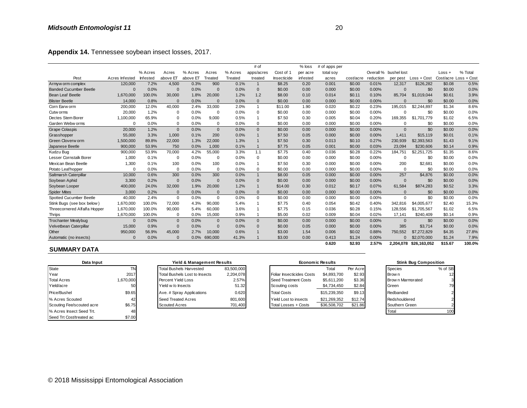|                               |                |          |              |          |          |         | # of           |             | % loss   | # of apps per |           |           |                       |              |          |                       |
|-------------------------------|----------------|----------|--------------|----------|----------|---------|----------------|-------------|----------|---------------|-----------|-----------|-----------------------|--------------|----------|-----------------------|
|                               |                | % Acres  | Acres        | % Acres  | Acres    | % Acres | apps/acres     | Cost of 1   | per acre | total soy     |           |           | Overall % bushel lost |              | $Loss +$ | % Total               |
| Pest                          | Acres Infested | Infested | above ET     | above ET | Treated  | Treated | treated        | Insecticide | infested | acres         | cost/acre | reduction | per pest              | Loss + Cost  |          | Cost/acre Loss + Cost |
| Armyw orm complex             | 120,000        | 7.2%     | 4,500        | 0.3%     | 900      | 0.1%    | $\mathbf{1}$   | \$8.25      | 0.20     | 0.001         | \$0.00    | 0.01%     | 12,317                | \$126,282    | \$0.08   | 0.5%                  |
| <b>Banded Cucumber Beetle</b> | $\Omega$       | 0.0%     | $\mathbf{0}$ | 0.0%     | $\Omega$ | 0.0%    | $\mathbf{0}$   | \$0.00      | 0.00     | 0.000         | \$0.00    | 0.00%     | $\Omega$              | \$0          | \$0.00   | 0.0%                  |
| <b>Bean Leaf Beetle</b>       | 1,670,000      | 100.0%   | 30,000       | 1.8%     | 20,000   | 1.2%    | 1.2            | \$8.00      | 0.10     | 0.014         | \$0.11    | 0.10%     | 85.704                | \$1,019,044  | \$0.61   | 3.9%                  |
| <b>Blister Beetle</b>         | 14,000         | 0.8%     | $\mathbf{0}$ | 0.0%     | $\Omega$ | 0.0%    | $\mathbf{0}$   | \$0.00      | 0.00     | 0.000         | \$0.00    | 0.00%     | $\Omega$              | \$0          | \$0.00   | 0.0%                  |
| Corn Earw orm                 | 200,000        | 12.0%    | 40,000       | 2.4%     | 33.000   | 2.0%    | $\mathbf{1}$   | \$11.00     | 1.90     | 0.020         | \$0.22    | 0.23%     | 195.015               | \$2,244.897  | \$1.34   | 8.6%                  |
| Cutw orms                     | 20,000         | 1.2%     | 0            | 0.0%     | 0        | 0.0%    | $\mathbf 0$    | \$0.00      | 0.00     | 0.000         | \$0.00    | 0.00%     | $\Omega$              | \$0          | \$0.00   | 0.0%                  |
| Dectes Stem Borer             | 1,100,000      | 65.9%    | 0            | 0.0%     | 9,000    | 0.5%    |                | \$7.50      | 0.30     | 0.005         | \$0.04    | 0.20%     | 169,355               | \$1,701,779  | \$1.02   | 6.5%                  |
| Garden Webw orms              | $\Omega$       | 0.0%     | 0            | 0.0%     | 0        | 0.0%    | $\mathbf 0$    | \$0.00      | 0.00     | 0.000         | \$0.00    | 0.00%     | $\Omega$              | \$0          | \$0.00   | 0.0%                  |
| <b>Grape Colaspis</b>         | 20,000         | 1.2%     | $\mathbf{0}$ | 0.0%     | $\Omega$ | 0.0%    | $\Omega$       | \$0.00      | 0.00     | 0.000         | \$0.00    | 0.00%     | $\Omega$              | \$0          | \$0.00   | 0.0%                  |
| Grasshopper                   | 55.000         | 3.3%     | 1.000        | 0.1%     | 200      | 0.0%    |                | \$7.50      | 0.05     | 0.000         | \$0.00    | 0.00%     | 1.411                 | \$15,119     | \$0.01   | 0.1%                  |
| Green Cloverw orm             | 1,500,000      | 89.8%    | 22,000       | 1.3%     | 22,000   | 1.3%    |                | \$7.50      | 0.30     | 0.013         | \$0.10    | 0.27%     | 230,939               | \$2,393,563  | \$1.43   | 9.1%                  |
| Japanese Beetle               | 900,000        | 53.9%    | 750          | 0.0%     | 1,000    | 0.1%    | $\overline{1}$ | \$7.75      | 0.05     | 0.001         | \$0.00    | 0.03%     | 23.094                | \$230,606    | \$0.14   | 0.9%                  |
| Kudzu Bug                     | 900,000        | 53.9%    | 70,000       | 4.2%     | 55,000   | 3.3%    | 1.1            | \$7.75      | 0.40     | 0.036         | \$0.28    | 0.22%     | 184,751               | \$2,251,725  | \$1.35   | 8.6%                  |
| Lesser Cornstalk Borer        | 1,000          | 0.1%     | 0            | 0.0%     | $\Omega$ | 0.0%    | $\mathbf 0$    | \$0.00      | 0.00     | 0.000         | \$0.00    | 0.00%     | $\mathbf 0$           | \$0          | \$0.00   | 0.0%                  |
| Mexican Bean Beetle           | 1,300          | 0.1%     | 100          | 0.0%     | 100      | 0.0%    | $\overline{1}$ | \$7.50      | 0.30     | 0.000         | \$0.00    | 0.00%     | 200                   | \$2,681      | \$0.00   | 0.0%                  |
| Potato Leaf hopper            | $\Omega$       | 0.0%     | 0            | 0.0%     | $\Omega$ | 0.0%    | $\Omega$       | \$0.00      | 0.00     | 0.000         | \$0.00    | 0.00%     | $\Omega$              | \$0          | \$0.00   | 0.0%                  |
| Saltmarsh Caterpillar         | 10,000         | 0.6%     | 300          | 0.0%     | 300      | 0.0%    | $\mathbf{1}$   | \$8.00      | 0.05     | 0.000         | \$0.00    | 0.00%     | 257                   | \$4,876      | \$0.00   | 0.0%                  |
| Soybean Aphid                 | 3,300          | 0.2%     | $\mathbf{0}$ | 0.0%     | $\Omega$ | 0.0%    | $\overline{0}$ | \$0.00      | 0.00     | 0.000         | \$0.00    | 0.00%     | $\Omega$              | \$0          | \$0.00   | 0.0%                  |
| Soybean Looper                | 400,000        | 24.0%    | 32,000       | 1.9%     | 20,000   | 1.2%    | $\mathbf 1$    | \$14.00     | 0.30     | 0.012         | \$0.17    | 0.07%     | 61,584                | \$874,283    | \$0.52   | 3.3%                  |
| <b>Spider Mites</b>           | 3,000          | 0.2%     | $\mathbf{0}$ | 0.0%     | $\Omega$ | 0.0%    | $\mathbf{0}$   | \$0.00      | 0.00     | 0.000         | \$0.00    | 0.00%     | $\Omega$              | \$0          | \$0.00   | 0.0%                  |
| Spotted Cucumber Beetle       | 40,000         | 2.4%     | $\Omega$     | 0.0%     | $\Omega$ | 0.0%    | $\Omega$       | \$0.00      | 0.00     | 0.000         | \$0.00    | 0.00%     | $\Omega$              | \$0          | \$0.00   | 0.0%                  |
| Stink Bugs (see box below)    | 1,670,000      | 100.0%   | 72,000       | 4.3%     | 90.000   | 5.4%    |                | \$7.75      | 0.40     | 0.054         | \$0.42    | 0.40%     | 342.816               | \$4,005,677  | \$2.40   | 15.3%                 |
| Threecornered Alfalfa Hopper  | 1,670,000      | 100.0%   | 90,000       | 5.4%     | 60,000   | 3.6%    |                | \$7.75      | 0.15     | 0.036         | \$0.28    | 0.15%     | 128,556               | \$1,705,567  | \$1.02   | 6.5%                  |
| <b>Thrips</b>                 | 1,670,000      | 100.0%   | $\Omega$     | 0.0%     | 15,000   | 0.9%    |                | \$5.00      | 0.02     | 0.009         | \$0.04    | 0.02%     | 17.141                | \$240,409    | \$0.14   | 0.9%                  |
| <b>Trochanter Mealybug</b>    | $\Omega$       | 0.0%     | $\mathbf{0}$ | 0.0%     | $\Omega$ | 0.0%    | $\mathbf{0}$   | \$0.00      | 0.00     | 0.000         | \$0.00    | 0.00%     | $\mathbf{0}$          | \$0          | \$0.00   | 0.0%                  |
| Velvetbean Caterpillar        | 15,000         | 0.9%     | $\mathbf{0}$ | 0.0%     | $\Omega$ | 0.0%    | $\mathbf{0}$   | \$0.00      | 0.05     | 0.000         | \$0.00    | 0.00%     | 385                   | \$3,714      | \$0.00   | 0.0%                  |
| Other                         | 950,000        | 56.9%    | 45,000       | 2.7%     | 10,000   | 0.6%    |                | \$3.00      | 1.54     | 0.006         | \$0.02    | 0.88%     | 750,552               | \$7,272,829  | \$4.35   | 27.8%                 |
| Automatic (no insects)        | $\Omega$       | 0.0%     | $\Omega$     | 0.0%     | 690,000  | 41.3%   |                | \$3.00      | 0.00     | 0.413         | \$1.24    | 0.00%     | $\Omega$              | \$2,070,000  | \$1.24   | 7.9%                  |
|                               |                |          |              |          |          |         |                |             |          | 0.620         | \$2.93    | 2.57%     | 2.204.078             | \$26.163.052 | \$15.67  | 100.0%                |

#### **SUMMARY DATA**

| Data Input                |           | Yield & Management Results     |            |                           | <b>Economic Results</b> |          | <b>Stink Bug Composition</b> |         |
|---------------------------|-----------|--------------------------------|------------|---------------------------|-------------------------|----------|------------------------------|---------|
| State                     |           | <b>Total Bushels Harvested</b> | 83,500,000 |                           | Total                   | Per Acre | <b>Species</b>               | % of SB |
| Year                      | 2017      | Total Bushels Lost to Insects  | 2,204,078  | Foliar Insecticides Costs | \$4,893,700             | \$2.93   | Brow n                       | 12      |
| <b>Total Acres</b>        | 1,670,000 | Percent Yield Loss             | 2.57%      | Seed Treatment Costs      | \$5,611,200             | \$3.36   | Brown Marmorated             |         |
| Yield/acre                |           | Yield w/o Insects              | 51.32      | Scouting costs            | \$4,734,450             | \$2.84   | Green                        | 79      |
| Price/Bushel              | \$9.65    | Ave. # Spray Applications      | 0.620      | <b>Total Costs</b>        | \$15.239.350            | \$9.13   | Redbanded                    |         |
| % Acres Scouted           | 42        | <b>Seed Treated Acres</b>      | 801,600    | Yield Lost to insects     | \$21,269,352            | \$12.74  | Redshouldered                |         |
| Scouting Fee/scouted acre | \$6.75    | <b>Scouted Acres</b>           | 701,400    | Total Losses + Costs      | \$36,508,702            | \$21.86  | Southern Green               |         |
| % Acres Insect Seed Trt.  | 48        |                                |            |                           |                         |          | Total                        | 100     |
| Seed Trt Cost/treated ac  | \$7.00    |                                |            |                           |                         |          |                              |         |

# Total Bushels Lost to Insects 2,204,078 Scouted Acres + Costs Total 200 **Yield & Management Results** Seed Treated Acres 801,600

| Automatic (no insects)     |                    | 0.0%                 |                                      | 0.0% 690.000 | 41.3%      | \$3.00<br>0.00                   | 0.413                   | \$1.24   | $0.00\%$ |                   | \$2,070,000                  | \$1.24  |
|----------------------------|--------------------|----------------------|--------------------------------------|--------------|------------|----------------------------------|-------------------------|----------|----------|-------------------|------------------------------|---------|
|                            |                    |                      |                                      |              |            |                                  | 0.620                   | \$2.93   | 2.57%    |                   | 2,204,078 \$26,163,052       | \$15.67 |
| <b>SUMMARY DATA</b>        |                    |                      |                                      |              |            |                                  |                         |          |          |                   |                              |         |
| Data Input                 |                    |                      | Yield & Management Results           |              |            |                                  | <b>Economic Results</b> |          |          |                   | <b>Stink Bug Composition</b> |         |
| State                      |                    |                      | <b>Total Bushels Harvested</b>       |              | 83,500,000 |                                  | Total                   | Per Acre |          | <b>Species</b>    |                              | % of SB |
| Year                       | 2017               |                      | <b>Total Bushels Lost to Insects</b> |              | 2.204.078  | <b>Foliar Insecticides Costs</b> | \$4,893,700             | \$2.93   |          | Brow n            |                              | 12      |
| <b>Total Acres</b>         | 1,670,000          |                      | Percent Yield Loss                   |              | 2.57%      | Seed Treatment Costs             | \$5.611.200             | \$3.36   |          | Brow n Marmorated |                              |         |
| Yield/acre                 | 50                 |                      | Yield w/o Insects                    |              | 51.32      | Scouting costs                   | \$4,734,450             | \$2.84   |          | Green             |                              | 79      |
| Price/Bushel               | \$9.65             |                      | Ave. # Spray Applications            |              | 0.620      | <b>Total Costs</b>               | \$15,239,350            | \$9.13   |          | Redbanded         |                              |         |
| % Acres Scouted            | 42                 |                      | Seed Treated Acres                   |              | 801,600    | Yield Lost to insects            | \$21,269,352            | \$12.74  |          | Redshouldered     |                              |         |
| Scouting Fee/scouted acre  | \$6.75             | <b>Scouted Acres</b> |                                      |              | 701,400    | Total Losses + Costs             | \$36,508,702            | \$21.86  |          | Southern Green    |                              |         |
| $0/$ Acros Incool Cool Tri | $\Lambda$ $\Omega$ |                      |                                      |              |            |                                  |                         |          |          | Total             |                              | 100     |

| <b>Stink Bug Composition</b> |                |
|------------------------------|----------------|
| Species                      | % of SB        |
| Brow n                       | 12             |
| Brow n Marmorated            | 3              |
| Green                        | 79             |
| Redbanded                    | $\overline{2}$ |
| Redshouldered                | $\overline{2}$ |
| Southern Green               | $\overline{2}$ |
| otal                         |                |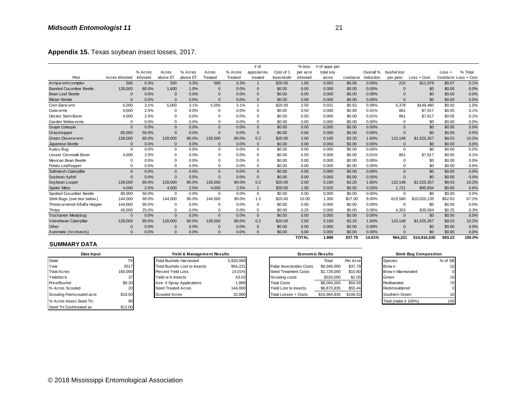| Appendix 15. Texas soybean insect losses, 2017. |                |          |              |          |                |         |              |             |              |               |           |           |             |               |          |                       |
|-------------------------------------------------|----------------|----------|--------------|----------|----------------|---------|--------------|-------------|--------------|---------------|-----------|-----------|-------------|---------------|----------|-----------------------|
|                                                 |                |          |              |          |                |         | # of         |             | $%$ loss     | # of apps per |           |           |             |               |          |                       |
|                                                 |                | % Acres  | Acres        | % Acres  | Acres          | % Acres | apps/acres   | Cost of 1   | per acre     | total soy     |           | Overall % | bushel lost |               | $Loss +$ | % Total               |
| Pest                                            | Acres Infested | Infested | above ET     | above ET | Treated        | Treated | treated      | Insecticide | infested     | acres         | cost/acre | reduction | per pest    | $Loss + Cost$ |          | Cost/acre Loss + Cost |
| Armyw orm complex                               | 500            | 0.3%     | 500          | 0.3%     | 500            | 0.3%    |              | \$20.00     | 1.00         | 0.003         | \$0.06    | 0.00%     | 215         | \$11,979      | \$0.07   | 0.1%                  |
| <b>Banded Cucumber Beetle</b>                   | 128,000        | 80.0%    | 1,600        | 1.0%     | $\overline{0}$ | 0.0%    | $\Omega$     | \$0.00      | 0.00         | 0.000         | \$0.00    | 0.00%     | $\sqrt{ }$  | \$0           | \$0.00   | 0.0%                  |
| Bean Leaf Beetle                                | $\Omega$       | 0.0%     | $\Omega$     | 0.0%     | $\Omega$       | 0.0%    | $\Omega$     | \$0.00      | 0.00         | 0.000         | \$0.00    | 0.00%     | $\sqrt{ }$  | \$0           | \$0.00   | 0.0%                  |
| <b>Blister Beetle</b>                           | $\Omega$       | 0.0%     | $\Omega$     | 0.0%     | $\Omega$       | 0.0%    | $\Omega$     | \$0.00      | 0.00         | 0.000         | \$0.00    | 0.00%     | $\sqrt{ }$  | \$0           | \$0.00   | 0.0%                  |
| Corn Earw orm                                   | 5,000          | 3.1%     | 5,000        | 3.1%     | 5,000          | 3.1%    | $\mathbf{1}$ | \$20.00     | 2.50         | 0.031         | \$0.63    | 0.08%     | 5,378       | \$149,480     | \$0.93   | 1.0%                  |
| Cutw orms                                       | 4.000          | 2.5%     | 0            | 0.0%     | $\Omega$       | 0.0%    | $\mathbf 0$  | \$0.00      | 0.50         | 0.000         | \$0.00    | 0.01%     | 861         | \$7,917       | \$0.05   | 0.1%                  |
| Dectes Stem Borer                               | 4.000          | 2.5%     | 0            | 0.0%     | $\Omega$       | 0.0%    | $\mathbf 0$  | \$0.00      | 0.50         | 0.000         | \$0.00    | 0.01%     | 861         | \$7,917       | \$0.05   | 0.1%                  |
| Garden Webw orms                                | $\Omega$       | 0.0%     | $\mathbf 0$  | 0.0%     | $\Omega$       | 0.0%    | $\mathbf 0$  | \$0.00      | 0.00         | 0.000         | \$0.00    | 0.00%     | $\mathbf 0$ | \$0           | \$0.00   | 0.0%                  |
| <b>Grape Colaspis</b>                           | $\mathbf{0}$   | 0.0%     | $\Omega$     | 0.0%     | $\Omega$       | 0.0%    | $\mathbf{0}$ | \$0.00      | 0.00         | 0.000         | \$0.00    | 0.00%     | $\Omega$    | \$0           | \$0.00   | 0.0%                  |
| Grasshopper                                     | 80,000         | 50.0%    | $\Omega$     | 0.0%     | $\Omega$       | 0.0%    | $\mathbf 0$  | \$0.00      | 0.00         | 0.000         | \$0.00    | 0.00%     | $\Omega$    | \$0           | \$0.00   | 0.0%                  |
| Green Cloverw orm                               | 128,000        | 80.0%    | 128,000      | 80.0%    | 128,000        | 80.0%   | 0.2          | \$20.00     | 2.00         | 0.160         | \$3.20    | 1.60%     | 110,148     | \$1,525,357   | \$9.53   | 10.2%                 |
| Japanese Beetle                                 | $\Omega$       | 0.0%     | $\Omega$     | 0.0%     | $\Omega$       | 0.0%    | $\mathbf{0}$ | \$0.00      | 0.00         | 0.000         | \$0.00    | 0.00%     | $\Omega$    | \$0           | \$0.00   | 0.0%                  |
| Kudzu Bug                                       | $\mathbf 0$    | 0.0%     | 0            | 0.0%     | $\Omega$       | 0.0%    | $\mathbf 0$  | \$0.00      | 0.00         | 0.000         | \$0.00    | 0.00%     | $\mathbf 0$ | \$0           | \$0.00   | 0.0%                  |
| Lesser Cornstalk Borer                          | 4,000          | 2.5%     | $\Omega$     | 0.0%     | $\Omega$       | 0.0%    | $\mathbf 0$  | \$0.00      | 0.50         | 0.000         | \$0.00    | 0.01%     | 861         | \$7,917       | \$0.05   | 0.1%                  |
| Mexican Bean Beetle                             | $\Omega$       | 0.0%     | $\Omega$     | 0.0%     | $\Omega$       | 0.0%    | $\mathbf 0$  | \$0.00      | 0.00         | 0.000         | \$0.00    | 0.00%     | $\Omega$    | \$0           | \$0.00   | 0.0%                  |
| Potato Leafhopper                               | $\Omega$       | 0.0%     | $\mathbf 0$  | 0.0%     | $\mathbf 0$    | 0.0%    | $\mathbf 0$  | \$0.00      | 0.00         | 0.000         | \$0.00    | 0.00%     | $\Omega$    | \$0           | \$0.00   | 0.0%                  |
| Saltmarsh Caterpillar                           | $\mathbf{0}$   | 0.0%     | $\mathbf{0}$ | 0.0%     | $\mathbf{0}$   | 0.0%    | $\mathbf{0}$ | \$0.00      | 0.00         | 0.000         | \$0.00    | 0.00%     | $\Omega$    | \$0           | \$0.00   | 0.0%                  |
| Soybean Aphid                                   | $\Omega$       | 0.0%     | $\Omega$     | 0.0%     | $\Omega$       | 0.0%    | $\mathbf{0}$ | \$0.00      | 0.00         | 0.000         | \$0.00    | 0.00%     | $\Omega$    | \$0           | \$0.00   | 0.0%                  |
| Soybean Looper                                  | 128,000        | 80.0%    | 128,000      | 80.0%    | 128,000        | 80.0%   | 0.2          | \$20.00     | 2.00         | 0.160         | \$3.20    | 1.60%     | 110,148     | \$1,525,357   | \$9.53   | 10.2%                 |
| <b>Spider Mites</b>                             | 4,000          | 2.5%     | 4,000        | 2.5%     | 4,000          | 2.5%    | $\mathbf{1}$ | \$20.00     | 1.00         | 0.025         | \$0.50    | 0.03%     | 1,721       | \$95,834      | \$0.60   | 0.6%                  |
| Spotted Cucumber Beetle                         | 80,000         | 50.0%    | $\mathbf 0$  | 0.0%     | $\Omega$       | 0.0%    | 0            | \$0.00      | 0.00         | 0.000         | \$0.00    | 0.00%     | $\Omega$    | \$0           | \$0.00   | 0.0%                  |
| Stink Bugs (see box below)                      | 144,000        | 90.0%    | 144,000      | 90.0%    | 144,000        | 90.0%   | 1.5          | \$20.00     | 10.00        | 1.350         | \$27.00   | 9.00%     | 619,580     | \$10.020.135  | \$62.63  | 67.2%                 |
| Threecornered Alfalfa Hopper                    | 144,000        | 90.0%    | 0            | 0.0%     | $\Omega$       | 0.0%    | $\mathbf 0$  | \$0.00      | 0.00         | 0.000         | \$0.00    | 0.00%     | $\Omega$    | \$0           | \$0.00   | 0.0%                  |
| <b>Thrips</b>                                   | 40,000         | 25.0%    | $\Omega$     | 0.0%     | $\Omega$       | 0.0%    | $\mathbf 0$  | \$0.00      | 0.25         | 0.000         | \$0.00    | 0.06%     | 4,303       | \$39,584      | \$0.25   | 0.3%                  |
| <b>Trochanter Mealybug</b>                      | $\Omega$       | 0.0%     | $\Omega$     | 0.0%     | $\Omega$       | 0.0%    | $\mathbf{0}$ | \$0.00      | 0.00         | 0.000         | \$0.00    | 0.00%     | $\Omega$    | \$0           | \$0.00   | 0.0%                  |
| Velvetbean Caterpillar                          | 128,000        | 80.0%    | 128,000      | 80.0%    | 128,000        | 80.0%   | 0.2          | \$20.00     | 2.00         | 0.160         | \$3.20    | 1.60%     | 110,148     | \$1,525,357   | \$9.53   | 10.2%                 |
| Other                                           | $\mathbf 0$    | 0.0%     | $\mathbf 0$  | 0.0%     | $\Omega$       | 0.0%    | $\mathbf{0}$ | \$0.00      | 0.00         | 0.000         | \$0.00    | 0.00%     | $\sqrt{ }$  | \$0           | \$0.00   | 0.0%                  |
| Automatic (no insects)                          | $\Omega$       | 0.0%     | $\Omega$     | 0.0%     | $\Omega$       | 0.0%    | $\Omega$     | \$0.00      | 0.00         | 0.000         | \$0.00    | 0.00%     |             | \$0           | \$0.00   | 0.0%                  |
|                                                 |                |          |              |          |                |         |              |             | <b>TOTAL</b> | 1.889         | \$37.79   | 14.01%    | 964.221     | \$14.916.835  | \$93.23  | 100.0%                |

#### **SUMMARY DATA**

 $\sim$ 

|                           |           | $\cdots$ | - - - -                        |          | .         |          |                           |      |                         |          | <u></u> |                      |                              | <b>v</b> .vv |
|---------------------------|-----------|----------|--------------------------------|----------|-----------|----------|---------------------------|------|-------------------------|----------|---------|----------------------|------------------------------|--------------|
| Automatic (no insects)    | 0         | 0.0%     | 0.0%<br>$\Omega$               | $\Omega$ | $0.0\%$   | $\Omega$ | \$0.00                    | 0.00 | 0.000                   | \$0.00   | 0.00%   | $\Omega$             | \$0                          | \$0.00       |
|                           |           |          |                                |          |           |          | <b>TOTAL</b>              |      | 1.889                   | \$37.79  | 14.01%  | 964.221              | \$14,916,835                 | \$93.23      |
| <b>SUMMARY DATA</b>       |           |          |                                |          |           |          |                           |      |                         |          |         |                      |                              |              |
| Data Input                |           |          | Yield & Management Results     |          |           |          |                           |      | <b>Economic Results</b> |          |         |                      | <b>Stink Bug Composition</b> |              |
| State                     | <b>TX</b> |          | <b>Total Bushels Harvested</b> |          | 5.920.000 |          |                           |      | Total                   | Per Acre |         | Species              |                              | % of SB      |
| Year                      | 2017      |          | Total Bushels Lost to Insects  |          | 964.221   |          | Foliar Insecticides Costs |      | \$6,046,000             | \$37.79  |         | Brow n               |                              | 10           |
| <b>Total Acres</b>        | 160,000   |          | Percent Yield Loss             |          | 14.01%    |          | Seed Treatment Costs      |      | \$1,728,000             | \$10.80  |         | Brow n Marmorated    |                              |              |
| Yield/acre                | 37        |          | Yield w/o Insects              |          | 43.03     |          | Scouting costs            |      | \$320,000               | \$2.00   |         | Green                |                              | 10           |
| Price/Bushel              | \$9.20    |          | Ave. # Spray Applications      |          | 1.889     |          | <b>Total Costs</b>        |      | \$8.094.000             | \$50.59  |         | Redbanded            |                              | 70           |
| % Acres Scouted           | 20        |          | Seed Treated Acres             |          | 144,000   |          | Yield Lost to insects     |      | \$8,870,835             | \$55.44  |         | Redshouldered        |                              | 01           |
| Scouting Fee/scouted acre | \$10.00   |          | <b>Scouted Acres</b>           |          | 32,000    |          | Total Losses + Costs      |      | \$16,964,835            | \$106.03 |         | Southern Green       |                              | 10           |
| % Acres Insect Seed Trt.  | 90        |          |                                |          |           |          |                           |      |                         |          |         | Total (make it 100%) |                              | 100          |
| Seed Trt Cost/treated ac  | \$12.00   |          |                                |          |           |          |                           |      |                         |          |         |                      |                              |              |

 $\sim$ 

 $\sim$ 

 $\sim$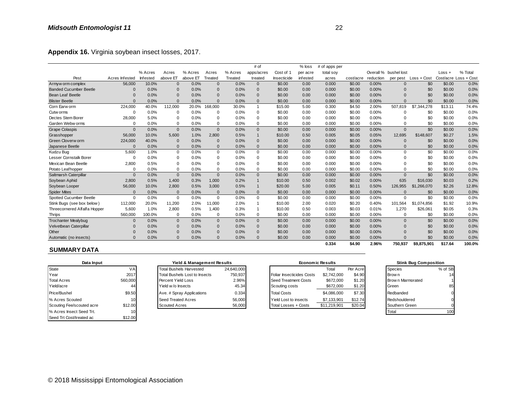| Appendix 16. Virginia soybean insect losses, 2017. |                |                            |              |                                |              |            |                |                           |          |                         |           |           |                       |                              |          |                       |
|----------------------------------------------------|----------------|----------------------------|--------------|--------------------------------|--------------|------------|----------------|---------------------------|----------|-------------------------|-----------|-----------|-----------------------|------------------------------|----------|-----------------------|
|                                                    |                |                            |              |                                |              |            | # of           |                           | $%$ loss | # of apps per           |           |           |                       |                              |          |                       |
|                                                    |                | % Acres                    | Acres        | % Acres                        | Acres        | % Acres    | apps/acres     | Cost of 1                 | per acre | total soy               |           |           | Overall % bushel lost |                              | $Loss +$ | % Total               |
| Pest                                               | Acres Infested | Infested                   | above ET     | above ET                       | Treated      | Treated    | treated        | Insecticide               | infested | acres                   | cost/acre | reduction | per pest              | Loss + Cost                  |          | Cost/acre Loss + Cost |
| Armyw orm complex                                  | 56,000         | 10.0%                      | $\mathbf{0}$ | 0.0%                           | $\Omega$     | 0.0%       | $\mathbf 0$    | \$0.00                    | 0.00     | 0.000                   | \$0.00    | 0.00%     | $\overline{0}$        | \$0                          | \$0.00   | 0.0%                  |
| <b>Banded Cucumber Beetle</b>                      | $\Omega$       | 0.0%                       | $\mathbf 0$  | 0.0%                           | $\mathbf 0$  | 0.0%       | $\mathbf{0}$   | \$0.00                    | 0.00     | 0.000                   | \$0.00    | 0.00%     | $\Omega$              | \$0                          | \$0.00   | 0.0%                  |
| <b>Bean Leaf Beetle</b>                            | $\Omega$       | 0.0%                       | $\mathbf{0}$ | 0.0%                           | $\Omega$     | 0.0%       | $\mathbf{0}$   | \$0.00                    | 0.00     | 0.000                   | \$0.00    | 0.00%     | $\Omega$              | \$0                          | \$0.00   | 0.0%                  |
| <b>Blister Beetle</b>                              | $\Omega$       | 0.0%                       | $\mathbf{0}$ | 0.0%                           | $\Omega$     | 0.0%       | $\mathbf{0}$   | \$0.00                    | 0.00     | 0.000                   | \$0.00    | 0.00%     | $\Omega$              | \$0                          | \$0.00   | 0.0%                  |
| Corn Earw orm                                      | 224,000        | 40.0%                      | 112,000      | 20.0%                          | 168,000      | 30.0%      | $\mathbf{1}$   | \$15.00                   | 5.00     | 0.300                   | \$4.50    | 2.00%     | 507.819               | \$7,344,278                  | \$13.11  | 74.4%                 |
| Cutw orms                                          | $\Omega$       | 0.0%                       | 0            | 0.0%                           | $\Omega$     | 0.0%       | $\mathbf 0$    | \$0.00                    | 0.00     | 0.000                   | \$0.00    | 0.00%     | $\Omega$              | \$0                          | \$0.00   | 0.0%                  |
| Dectes Stem Borer                                  | 28,000         | 5.0%                       | 0            | 0.0%                           | 0            | 0.0%       | 0              | \$0.00                    | 0.00     | 0.000                   | \$0.00    | 0.00%     | $\Omega$              | \$0                          | \$0.00   | 0.0%                  |
| Garden Webw orms                                   | $\Omega$       | 0.0%                       | 0            | 0.0%                           | 0            | 0.0%       | $\mathbf 0$    | \$0.00                    | 0.00     | 0.000                   | \$0.00    | 0.00%     | $\Omega$              | \$0                          | \$0.00   | 0.0%                  |
| <b>Grape Colaspis</b>                              | $\Omega$       | 0.0%                       | $\mathbf{0}$ | 0.0%                           | $\Omega$     | 0.0%       | $\mathbf{0}$   | \$0.00                    | 0.00     | 0.000                   | \$0.00    | 0.00%     | $\Omega$              | \$0                          | \$0.00   | 0.0%                  |
| Grasshopper                                        | 56,000         | 10.0%                      | 5.600        | 1.0%                           | 2.800        | 0.5%       | $\mathbf{1}$   | \$10.00                   | 0.50     | 0.005                   | \$0.05    | 0.05%     | 12.695                | \$148,607                    | \$0.27   | 1.5%                  |
| Green Cloverw orm                                  | 224,000        | 40.0%                      | $\mathbf{0}$ | 0.0%                           | $\mathbf 0$  | 0.0%       | $\mathbf{0}$   | \$0.00                    | 0.00     | 0.000                   | \$0.00    | 0.00%     | $\Omega$              | \$0                          | \$0.00   | 0.0%                  |
| Japanese Beetle                                    | 0              | 0.0%                       | $\mathbf{0}$ | 0.0%                           | $\Omega$     | 0.0%       | $\mathbf{0}$   | \$0.00                    | 0.00     | 0.000                   | \$0.00    | 0.00%     | $\Omega$              | \$0                          | \$0.00   | 0.0%                  |
| Kudzu Bug                                          | 5,600          | 1.0%                       | 0            | 0.0%                           | $\mathbf 0$  | 0.0%       | $\mathbf 0$    | \$0.00                    | 0.00     | 0.000                   | \$0.00    | 0.00%     | $\mathbf 0$           | \$0                          | \$0.00   | 0.0%                  |
| Lesser Cornstalk Borer                             | 0              | 0.0%                       | $\Omega$     | 0.0%                           | 0            | 0.0%       | $\bf 0$        | \$0.00                    | 0.00     | 0.000                   | \$0.00    | 0.00%     | $\Omega$              | \$0                          | \$0.00   | 0.0%                  |
| Mexican Bean Beetle                                | 2,800          | 0.5%                       | $\Omega$     | 0.0%                           | $\Omega$     | 0.0%       | $\mathbf 0$    | \$0.00                    | 0.00     | 0.000                   | \$0.00    | 0.00%     | $\Omega$              | \$0                          | \$0.00   | 0.0%                  |
| Potato Leaf hopper                                 | $\Omega$       | 0.0%                       | $\Omega$     | 0.0%                           | $\Omega$     | 0.0%       | $\mathbf 0$    | \$0.00                    | 0.00     | 0.000                   | \$0.00    | 0.00%     | $\Omega$              | \$0                          | \$0.00   | 0.0%                  |
| Saltmarsh Caterpillar                              | $\mathbf{0}$   | 0.0%                       | $\mathbf{0}$ | 0.0%                           | $\mathbf{0}$ | 0.0%       | $\mathbf{0}$   | \$0.00                    | 0.00     | 0.000                   | \$0.00    | 0.00%     | $\Omega$              | \$0                          | \$0.00   | 0.0%                  |
| Soybean Aphid                                      | 2,800          | 0.5%                       | 1,400        | 0.3%                           | 1,000        | 0.2%       | $\mathbf{1}$   | \$10.00                   | 0.50     | 0.002                   | \$0.02    | 0.00%     | 635                   | \$16,030                     | \$0.03   | 0.2%                  |
| Soybean Looper                                     | 56,000         | 10.0%                      | 2,800        | 0.5%                           | 3,000        | 0.5%       | $\mathbf{1}$   | \$20.00                   | 5.00     | 0.005                   | \$0.11    | 0.50%     | 126,955               | \$1,266,070                  | \$2.26   | 12.8%                 |
| <b>Spider Mites</b>                                | $\Omega$       | 0.0%                       | $\mathbf{0}$ | 0.0%                           | $\Omega$     | 0.0%       | $\mathbf{0}$   | \$0.00                    | 0.00     | 0.000                   | \$0.00    | 0.00%     | $\Omega$              | \$0                          | \$0.00   | 0.0%                  |
| Spotted Cucumber Beetle                            | $\Omega$       | 0.0%                       | $\mathbf 0$  | 0.0%                           | $\Omega$     | 0.0%       | $\mathbf 0$    | \$0.00                    | 0.00     | 0.000                   | \$0.00    | 0.00%     | $\Omega$              | \$0                          | \$0.00   | 0.0%                  |
| Stink Bugs (see box below)                         | 112,000        | 20.0%                      | 11,200       | 2.0%                           | 11,000       | 2.0%       | $\overline{1}$ | \$10.00                   | 2.00     | 0.020                   | \$0.20    | 0.40%     | 101,564               | \$1,074,856                  | \$1.92   | 10.9%                 |
| Threecornered Alfalfa Hopper                       | 5,600          | 1.0%                       | 2,800        | 0.5%                           | 1,400        | 0.3%       | $\overline{1}$ | \$10.00                   | 0.50     | 0.003                   | \$0.03    | 0.01%     | 1,270                 | \$26,061                     | \$0.05   | 0.3%                  |
| Thrips                                             | 560,000        | 100.0%                     | 0            | 0.0%                           | $\Omega$     | 0.0%       | $\mathbf 0$    | \$0.00                    | 0.00     | 0.000                   | \$0.00    | 0.00%     | $\Omega$              | \$0                          | \$0.00   | 0.0%                  |
| <b>Trochanter Mealybug</b>                         | $\Omega$       | 0.0%                       | $\mathbf{0}$ | 0.0%                           | $\mathbf{0}$ | 0.0%       | $\mathbf{0}$   | \$0.00                    | 0.00     | 0.000                   | \$0.00    | 0.00%     | $\mathbf{0}$          | \$0                          | \$0.00   | 0.0%                  |
| Velvetbean Caterpillar                             | $\Omega$       | 0.0%                       | $\mathbf{0}$ | 0.0%                           | $\mathbf{0}$ | 0.0%       | $\mathbf{0}$   | \$0.00                    | 0.00     | 0.000                   | \$0.00    | 0.00%     | $\Omega$              | \$0                          | \$0.00   | 0.0%                  |
| Other                                              | $\Omega$       | 0.0%                       | $\mathbf 0$  | 0.0%                           | $\Omega$     | 0.0%       | $\mathbf 0$    | \$0.00                    | 0.00     | 0.000                   | \$0.00    | 0.00%     | $\Omega$              | \$0                          | \$0.00   | 0.0%                  |
| Automatic (no insects)                             | $\Omega$       | 0.0%                       | $\Omega$     | 0.0%                           | $\Omega$     | 0.0%       | $\Omega$       | \$0.00                    | 0.00     | 0.000                   | \$0.00    | 0.00%     | $\Omega$              | \$0                          | \$0.00   | 0.0%                  |
| <b>SUMMARY DATA</b>                                |                |                            |              |                                |              |            |                |                           |          | 0.334                   | \$4.90    | 2.96%     | 750.937               | \$9,875,901                  | \$17.64  | 100.0%                |
| Data Input                                         |                | Yield & Management Results |              |                                |              |            |                |                           |          | <b>Economic Results</b> |           |           |                       | <b>Stink Bug Composition</b> |          |                       |
| State                                              | VA             |                            |              | <b>Total Bushels Harvested</b> |              | 24,640,000 |                |                           |          | Total                   | Per Acre  |           | <b>Species</b>        |                              | % of SB  |                       |
| Year                                               | 2017           |                            |              | Total Bushels Lost to Insects  |              | 750,937    |                | Foliar Insecticides Costs |          | \$2,742,000             | \$4.90    |           | Brow n                |                              | 14       |                       |
|                                                    |                |                            |              |                                |              |            |                |                           |          |                         |           |           |                       |                              |          |                       |

| Data Input                |         | Yield & Management Results     |            |                    |                           | <b>Economic Results</b> |          | <b>Stink Bug Composition</b> |         |
|---------------------------|---------|--------------------------------|------------|--------------------|---------------------------|-------------------------|----------|------------------------------|---------|
| State                     | VAI     | <b>Total Bushels Harvested</b> | 24,640,000 |                    |                           | Total                   | Per Acre | <b>Species</b>               | % of SB |
| Year                      | 2017    | Total Bushels Lost to Insects  | 750,937    |                    | Foliar Insecticides Costs | \$2,742,000             | \$4.90   | Brow n                       | 14      |
| <b>Total Acres</b>        | 560,000 | Percent Yield Loss             | 2.96%      |                    | Seed Treatment Costs      | \$672,000               | \$1.20   | Brow n Marmorated            |         |
| Yield/acre                |         | Yield w/o Insects              | 45.34      |                    | Scouting costs            | \$672,000               | \$1.20   | Green                        | 85      |
| Price/Bushel              | \$9.50  | Ave. # Spray Applications      | 0.334      | <b>Total Costs</b> |                           | \$4.086.000             | \$7.30   | Redbanded                    |         |
| % Acres Scouted           | 10      | Seed Treated Acres             | 56,000     |                    | Yield Lost to insects     | \$7.133.901             | \$12.74  | Redshouldered                |         |
| Scouting Fee/scouted acre | \$12.00 | Scouted Acres                  | 56,000     |                    | Total Losses + Costs      | \$11,219,901            | \$20.04  | Southern Green               |         |
| % Acres Insect Seed Trt.  | 10      |                                |            |                    |                           |                         |          | Total                        | 100     |
| Seed Trt Cost/treated ac  | \$12.00 |                                |            |                    |                           |                         |          |                              |         |

| <b>Yield &amp; Management Results</b> |            | Econ                   |
|---------------------------------------|------------|------------------------|
| <b>Total Bushels Harvested</b>        | 24.640.000 |                        |
| <b>Total Bushels Lost to Insects</b>  | 750,937    | Foliar Insecticides Co |
| Percent Yield Loss                    | 2.96%      | Seed Treatment Cos     |
| Yield w/o Insects                     | 45.34      | Scouting costs         |
| Ave. # Spray Applications             | 0.334      | <b>Total Costs</b>     |
| Seed Treated Acres                    | 56,000     | Yield Lost to insects  |
| <b>Scouted Acres</b>                  | 56,000     | Total Losses + Costs   |

| Automatic (no insects)    |                 | $0.0\%$                              | $0.0\%$                               | $0.0\%$    | \$0.00<br>0.00            | 0.000                   | \$0.00   | $0.00\%$ |                   | \$0                          | \$0.00  |
|---------------------------|-----------------|--------------------------------------|---------------------------------------|------------|---------------------------|-------------------------|----------|----------|-------------------|------------------------------|---------|
|                           |                 |                                      |                                       |            |                           | 0.334                   | \$4.90   | 2.96%    | 750.937           | \$9,875,901                  | \$17.64 |
| <b>SUMMARY DATA</b>       |                 |                                      |                                       |            |                           |                         |          |          |                   |                              |         |
| Data Input                |                 |                                      | <b>Yield &amp; Management Results</b> |            |                           | <b>Economic Results</b> |          |          |                   | <b>Stink Bug Composition</b> |         |
| State                     | VA              | <b>Total Bushels Harvested</b>       |                                       | 24,640,000 |                           | Total                   | Per Acre |          | <b>Species</b>    |                              | % of SB |
| Year                      | 2017            | <b>Total Bushels Lost to Insects</b> |                                       | 750.937    | Foliar Insecticides Costs | \$2,742,000             | \$4.90   |          | Brow n            |                              | 14      |
| <b>Total Acres</b>        | 560,000         | Percent Yield Loss                   |                                       | 2.96%      | Seed Treatment Costs      | \$672,000               | \$1.20   |          | Brow n Marmorated |                              |         |
| Yield/acre                | 44              | Yield w/o Insects                    |                                       | 45.34      | Scouting costs            | \$672,000               | \$1.20   |          | Green             |                              | 85      |
| Price/Bushel              | \$9.50          | Ave. # Spray Applications            |                                       | 0.334      | <b>Total Costs</b>        | \$4,086,000             | \$7.30   |          | Redbanded         |                              |         |
| % Acres Scouted           | 10              | Seed Treated Acres                   |                                       | 56,000     | Yield Lost to insects     | \$7,133,901             | \$12.74  |          | Redshouldered     |                              |         |
| Scouting Fee/scouted acre | \$12.00         | <b>Scouted Acres</b>                 |                                       | 56,000     | Total Losses + Costs      | \$11,219,901            | \$20.04  |          | Southern Green    |                              |         |
| % Acres Insect Seed Trt   | 10 <sup>1</sup> |                                      |                                       |            |                           |                         |          |          | Total             |                              | 100     |

| <b>Stink Bug Composition</b> |         |  |  |  |  |  |  |  |  |
|------------------------------|---------|--|--|--|--|--|--|--|--|
| <b>Species</b>               | % of SB |  |  |  |  |  |  |  |  |
| Brow n                       |         |  |  |  |  |  |  |  |  |
| Brow n Marmorated            |         |  |  |  |  |  |  |  |  |
| Green                        | 85      |  |  |  |  |  |  |  |  |
| Redbanded                    |         |  |  |  |  |  |  |  |  |
| Redshouldered                |         |  |  |  |  |  |  |  |  |
| Southern Green               |         |  |  |  |  |  |  |  |  |
| ntal                         |         |  |  |  |  |  |  |  |  |